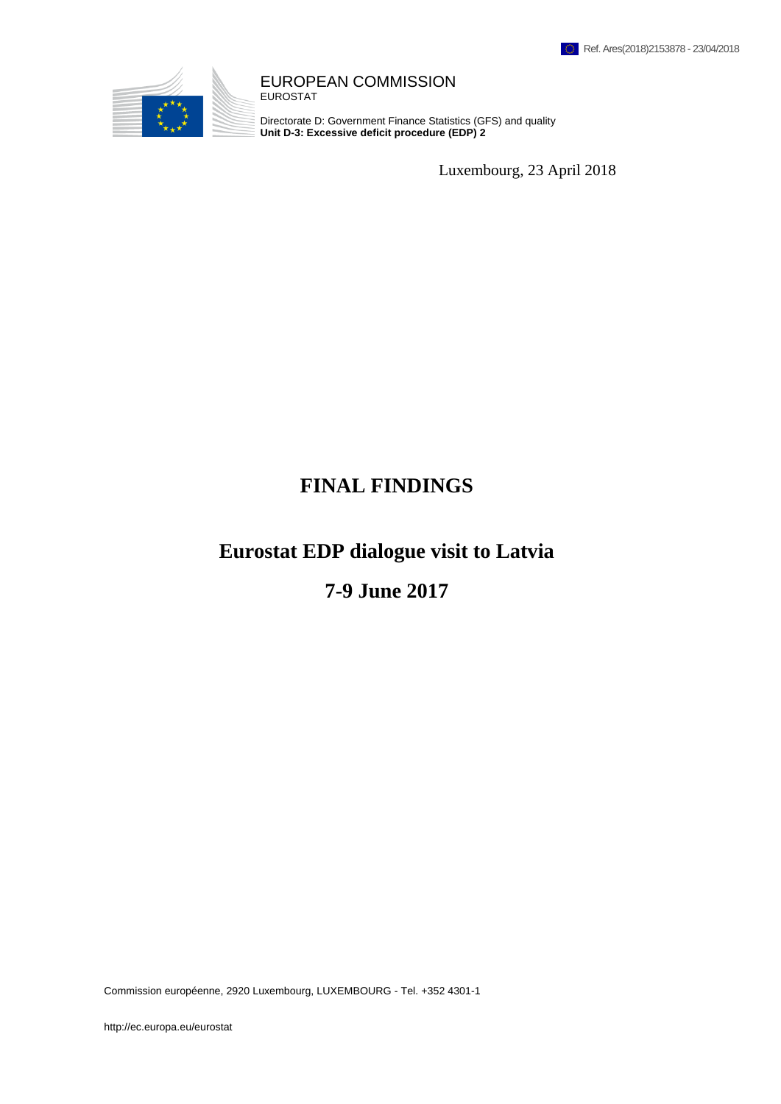

#### EUROPEAN COMMISSION EUROSTAT

Directorate D: Government Finance Statistics (GFS) and quality **Unit D-3: Excessive deficit procedure (EDP) 2**

Luxembourg, 23 April 2018

# **FINAL FINDINGS**

# **Eurostat EDP dialogue visit to Latvia**

# **7-9 June 2017**

Commission européenne, 2920 Luxembourg, LUXEMBOURG - Tel. +352 4301-1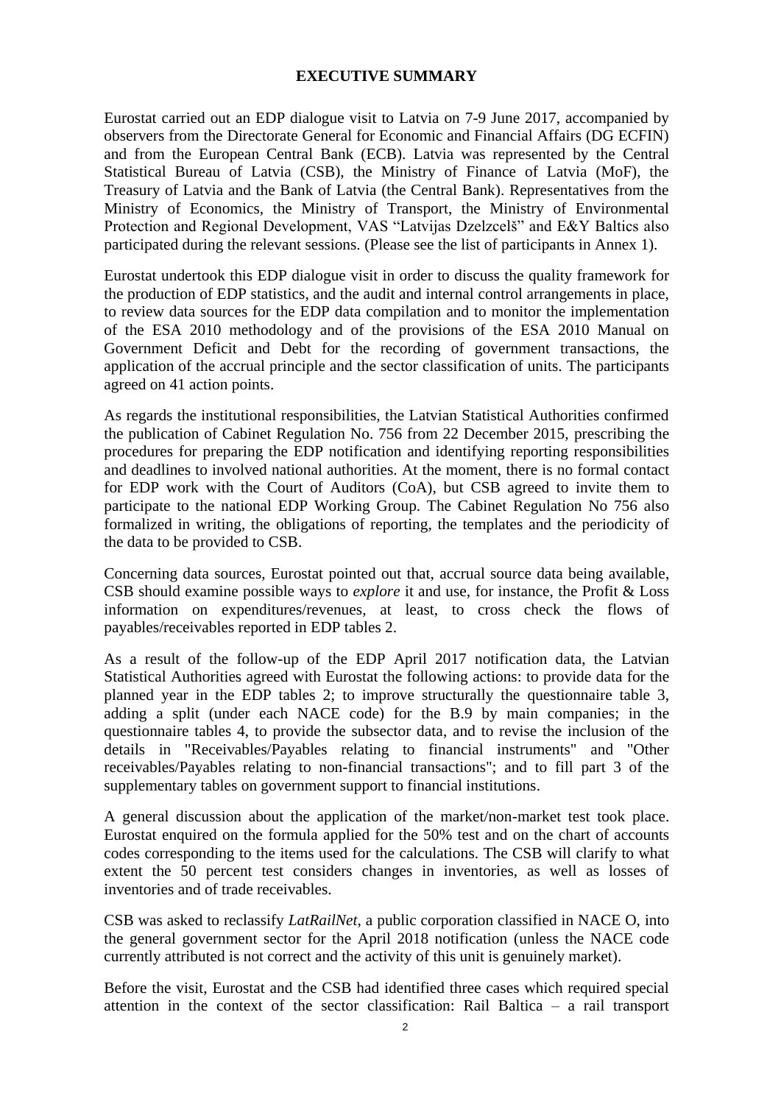### **EXECUTIVE SUMMARY**

Eurostat carried out an EDP dialogue visit to Latvia on 7-9 June 2017, accompanied by observers from the Directorate General for Economic and Financial Affairs (DG ECFIN) and from the European Central Bank (ECB). Latvia was represented by the Central Statistical Bureau of Latvia (CSB), the Ministry of Finance of Latvia (MoF), the Treasury of Latvia and the Bank of Latvia (the Central Bank). Representatives from the Ministry of Economics, the Ministry of Transport, the Ministry of Environmental Protection and Regional Development, VAS "Latvijas Dzelzcelš" and E&Y Baltics also participated during the relevant sessions. (Please see the list of participants in Annex 1).

Eurostat undertook this EDP dialogue visit in order to discuss the quality framework for the production of EDP statistics, and the audit and internal control arrangements in place, to review data sources for the EDP data compilation and to monitor the implementation of the ESA 2010 methodology and of the provisions of the ESA 2010 Manual on Government Deficit and Debt for the recording of government transactions, the application of the accrual principle and the sector classification of units. The participants agreed on 41 action points.

As regards the institutional responsibilities, the Latvian Statistical Authorities confirmed the publication of Cabinet Regulation No. 756 from 22 December 2015, prescribing the procedures for preparing the EDP notification and identifying reporting responsibilities and deadlines to involved national authorities. At the moment, there is no formal contact for EDP work with the Court of Auditors (CoA), but CSB agreed to invite them to participate to the national EDP Working Group. The Cabinet Regulation No 756 also formalized in writing, the obligations of reporting, the templates and the periodicity of the data to be provided to CSB.

Concerning data sources, Eurostat pointed out that, accrual source data being available, CSB should examine possible ways to *explore* it and use, for instance, the Profit & Loss information on expenditures/revenues, at least, to cross check the flows of payables/receivables reported in EDP tables 2.

As a result of the follow-up of the EDP April 2017 notification data, the Latvian Statistical Authorities agreed with Eurostat the following actions: to provide data for the planned year in the EDP tables 2; to improve structurally the questionnaire table 3, adding a split (under each NACE code) for the B.9 by main companies; in the questionnaire tables 4, to provide the subsector data, and to revise the inclusion of the details in "Receivables/Payables relating to financial instruments" and "Other receivables/Payables relating to non-financial transactions"; and to fill part 3 of the supplementary tables on government support to financial institutions.

A general discussion about the application of the market/non-market test took place. Eurostat enquired on the formula applied for the 50% test and on the chart of accounts codes corresponding to the items used for the calculations. The CSB will clarify to what extent the 50 percent test considers changes in inventories, as well as losses of inventories and of trade receivables.

CSB was asked to reclassify *LatRailNet*, a public corporation classified in NACE O, into the general government sector for the April 2018 notification (unless the NACE code currently attributed is not correct and the activity of this unit is genuinely market).

Before the visit, Eurostat and the CSB had identified three cases which required special attention in the context of the sector classification: Rail Baltica – a rail transport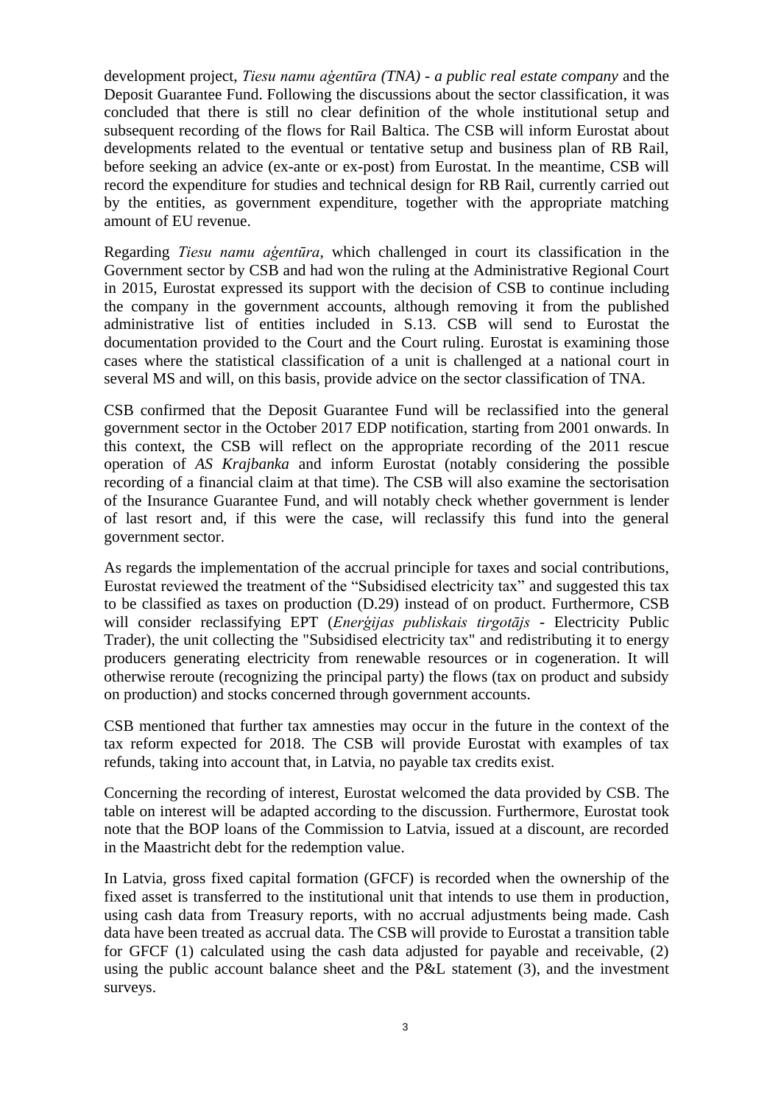development project, *Tiesu namu aģentūra (TNA) - a public real estate company* and the Deposit Guarantee Fund. Following the discussions about the sector classification, it was concluded that there is still no clear definition of the whole institutional setup and subsequent recording of the flows for Rail Baltica. The CSB will inform Eurostat about developments related to the eventual or tentative setup and business plan of RB Rail, before seeking an advice (ex-ante or ex-post) from Eurostat. In the meantime, CSB will record the expenditure for studies and technical design for RB Rail, currently carried out by the entities, as government expenditure, together with the appropriate matching amount of EU revenue.

Regarding *Tiesu namu aģentūra*, which challenged in court its classification in the Government sector by CSB and had won the ruling at the Administrative Regional Court in 2015, Eurostat expressed its support with the decision of CSB to continue including the company in the government accounts, although removing it from the published administrative list of entities included in S.13. CSB will send to Eurostat the documentation provided to the Court and the Court ruling. Eurostat is examining those cases where the statistical classification of a unit is challenged at a national court in several MS and will, on this basis, provide advice on the sector classification of TNA.

CSB confirmed that the Deposit Guarantee Fund will be reclassified into the general government sector in the October 2017 EDP notification, starting from 2001 onwards. In this context, the CSB will reflect on the appropriate recording of the 2011 rescue operation of *AS Krajbanka* and inform Eurostat (notably considering the possible recording of a financial claim at that time). The CSB will also examine the sectorisation of the Insurance Guarantee Fund, and will notably check whether government is lender of last resort and, if this were the case, will reclassify this fund into the general government sector.

As regards the implementation of the accrual principle for taxes and social contributions, Eurostat reviewed the treatment of the "Subsidised electricity tax" and suggested this tax to be classified as taxes on production (D.29) instead of on product. Furthermore, CSB will consider reclassifying EPT (*Enerģijas publiskais tirgotājs -* Electricity Public Trader), the unit collecting the "Subsidised electricity tax" and redistributing it to energy producers generating electricity from renewable resources or in cogeneration. It will otherwise reroute (recognizing the principal party) the flows (tax on product and subsidy on production) and stocks concerned through government accounts.

CSB mentioned that further tax amnesties may occur in the future in the context of the tax reform expected for 2018. The CSB will provide Eurostat with examples of tax refunds, taking into account that, in Latvia, no payable tax credits exist.

Concerning the recording of interest, Eurostat welcomed the data provided by CSB. The table on interest will be adapted according to the discussion. Furthermore, Eurostat took note that the BOP loans of the Commission to Latvia, issued at a discount, are recorded in the Maastricht debt for the redemption value.

In Latvia, gross fixed capital formation (GFCF) is recorded when the ownership of the fixed asset is transferred to the institutional unit that intends to use them in production, using cash data from Treasury reports, with no accrual adjustments being made. Cash data have been treated as accrual data. The CSB will provide to Eurostat a transition table for GFCF (1) calculated using the cash data adjusted for payable and receivable, (2) using the public account balance sheet and the P&L statement (3), and the investment surveys.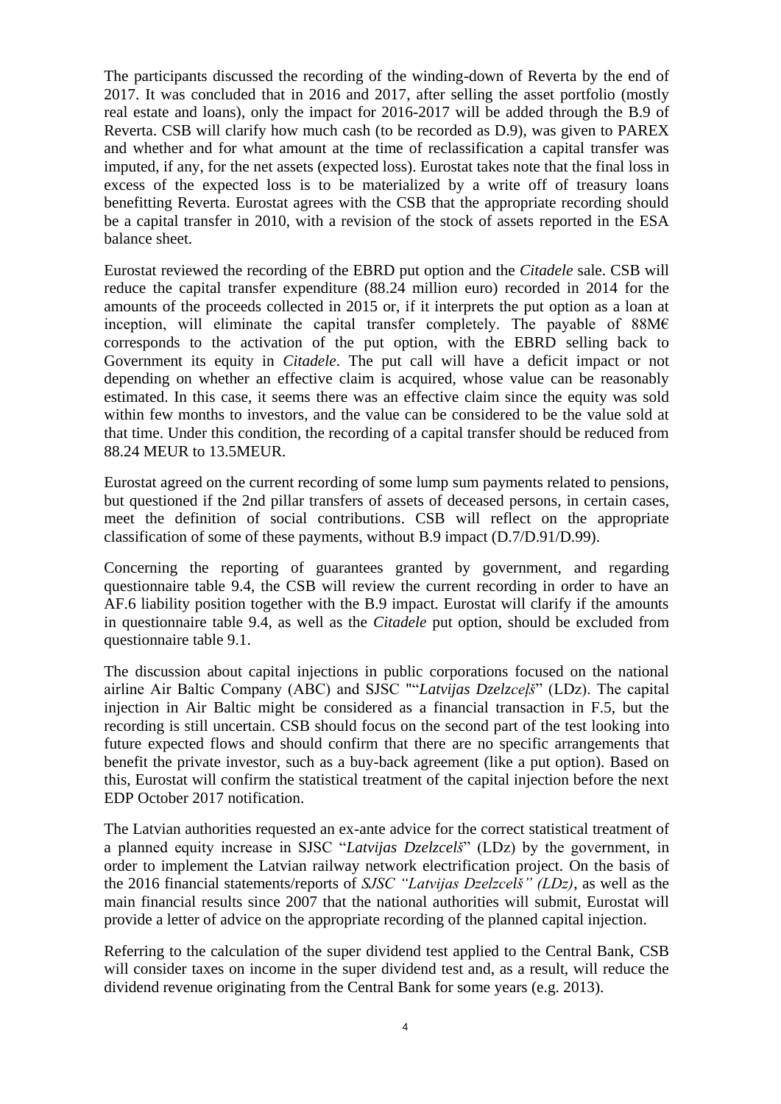The participants discussed the recording of the winding-down of Reverta by the end of 2017. It was concluded that in 2016 and 2017, after selling the asset portfolio (mostly real estate and loans), only the impact for 2016-2017 will be added through the B.9 of Reverta. CSB will clarify how much cash (to be recorded as D.9), was given to PAREX and whether and for what amount at the time of reclassification a capital transfer was imputed, if any, for the net assets (expected loss). Eurostat takes note that the final loss in excess of the expected loss is to be materialized by a write off of treasury loans benefitting Reverta. Eurostat agrees with the CSB that the appropriate recording should be a capital transfer in 2010, with a revision of the stock of assets reported in the ESA balance sheet.

Eurostat reviewed the recording of the EBRD put option and the *Citadele* sale. CSB will reduce the capital transfer expenditure (88.24 million euro) recorded in 2014 for the amounts of the proceeds collected in 2015 or, if it interprets the put option as a loan at inception, will eliminate the capital transfer completely. The payable of  $88\text{M}\text{E}$ corresponds to the activation of the put option, with the EBRD selling back to Government its equity in *Citadele*. The put call will have a deficit impact or not depending on whether an effective claim is acquired, whose value can be reasonably estimated. In this case, it seems there was an effective claim since the equity was sold within few months to investors, and the value can be considered to be the value sold at that time. Under this condition, the recording of a capital transfer should be reduced from 88.24 MEUR to 13.5MEUR.

Eurostat agreed on the current recording of some lump sum payments related to pensions, but questioned if the 2nd pillar transfers of assets of deceased persons, in certain cases, meet the definition of social contributions. CSB will reflect on the appropriate classification of some of these payments, without B.9 impact (D.7/D.91/D.99).

Concerning the reporting of guarantees granted by government, and regarding questionnaire table 9.4, the CSB will review the current recording in order to have an AF.6 liability position together with the B.9 impact. Eurostat will clarify if the amounts in questionnaire table 9.4, as well as the *Citadele* put option, should be excluded from questionnaire table 9.1.

The discussion about capital injections in public corporations focused on the national airline Air Baltic Company (ABC) and SJSC ""*Latvijas Dzelzceļš*" (LDz). The capital injection in Air Baltic might be considered as a financial transaction in F.5, but the recording is still uncertain. CSB should focus on the second part of the test looking into future expected flows and should confirm that there are no specific arrangements that benefit the private investor, such as a buy-back agreement (like a put option). Based on this, Eurostat will confirm the statistical treatment of the capital injection before the next EDP October 2017 notification.

The Latvian authorities requested an ex-ante advice for the correct statistical treatment of a planned equity increase in SJSC "*Latvijas Dzelzcelš*" (LDz) by the government, in order to implement the Latvian railway network electrification project. On the basis of the 2016 financial statements/reports of *SJSC "Latvijas Dzelzcelš" (LDz)*, as well as the main financial results since 2007 that the national authorities will submit, Eurostat will provide a letter of advice on the appropriate recording of the planned capital injection.

Referring to the calculation of the super dividend test applied to the Central Bank, CSB will consider taxes on income in the super dividend test and, as a result, will reduce the dividend revenue originating from the Central Bank for some years (e.g. 2013).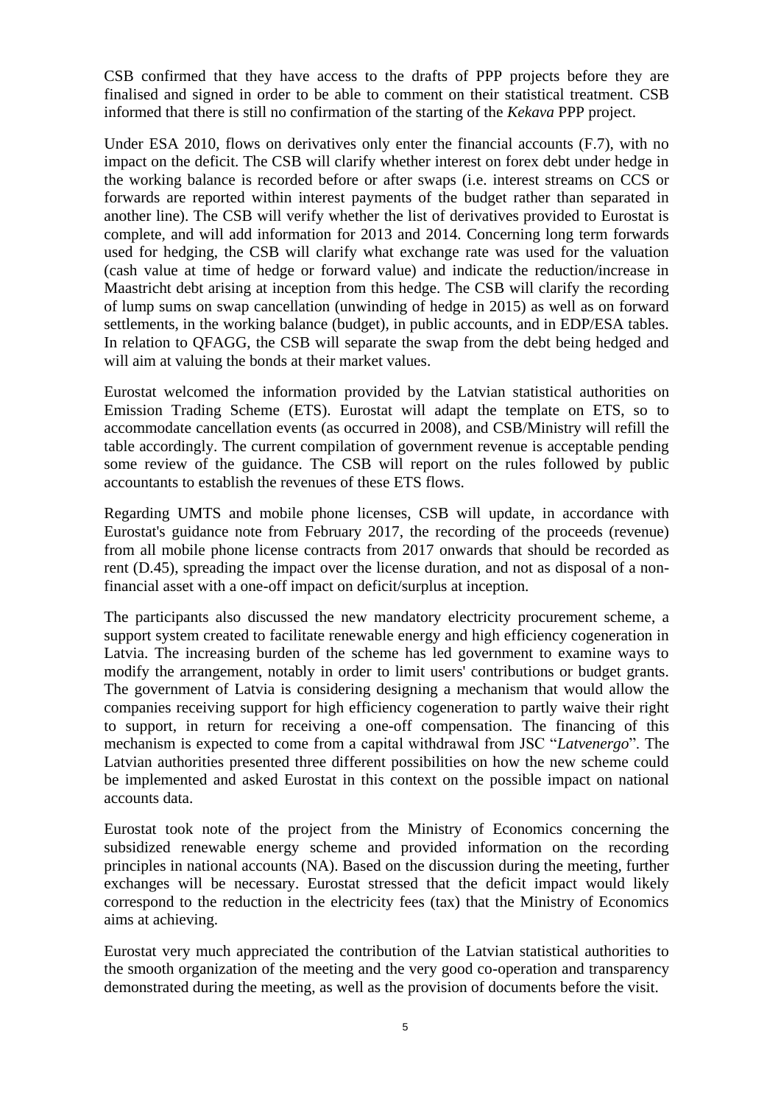CSB confirmed that they have access to the drafts of PPP projects before they are finalised and signed in order to be able to comment on their statistical treatment. CSB informed that there is still no confirmation of the starting of the *Kekava* PPP project.

Under ESA 2010, flows on derivatives only enter the financial accounts (F.7), with no impact on the deficit. The CSB will clarify whether interest on forex debt under hedge in the working balance is recorded before or after swaps (i.e. interest streams on CCS or forwards are reported within interest payments of the budget rather than separated in another line). The CSB will verify whether the list of derivatives provided to Eurostat is complete, and will add information for 2013 and 2014. Concerning long term forwards used for hedging, the CSB will clarify what exchange rate was used for the valuation (cash value at time of hedge or forward value) and indicate the reduction/increase in Maastricht debt arising at inception from this hedge. The CSB will clarify the recording of lump sums on swap cancellation (unwinding of hedge in 2015) as well as on forward settlements, in the working balance (budget), in public accounts, and in EDP/ESA tables. In relation to QFAGG, the CSB will separate the swap from the debt being hedged and will aim at valuing the bonds at their market values.

Eurostat welcomed the information provided by the Latvian statistical authorities on Emission Trading Scheme (ETS). Eurostat will adapt the template on ETS, so to accommodate cancellation events (as occurred in 2008), and CSB/Ministry will refill the table accordingly. The current compilation of government revenue is acceptable pending some review of the guidance. The CSB will report on the rules followed by public accountants to establish the revenues of these ETS flows.

Regarding UMTS and mobile phone licenses, CSB will update, in accordance with Eurostat's guidance note from February 2017, the recording of the proceeds (revenue) from all mobile phone license contracts from 2017 onwards that should be recorded as rent (D.45), spreading the impact over the license duration, and not as disposal of a nonfinancial asset with a one-off impact on deficit/surplus at inception.

The participants also discussed the new mandatory electricity procurement scheme, a support system created to facilitate renewable energy and high efficiency cogeneration in Latvia. The increasing burden of the scheme has led government to examine ways to modify the arrangement, notably in order to limit users' contributions or budget grants. The government of Latvia is considering designing a mechanism that would allow the companies receiving support for high efficiency cogeneration to partly waive their right to support, in return for receiving a one-off compensation. The financing of this mechanism is expected to come from a capital withdrawal from JSC "*Latvenergo*". The Latvian authorities presented three different possibilities on how the new scheme could be implemented and asked Eurostat in this context on the possible impact on national accounts data.

Eurostat took note of the project from the Ministry of Economics concerning the subsidized renewable energy scheme and provided information on the recording principles in national accounts (NA). Based on the discussion during the meeting, further exchanges will be necessary. Eurostat stressed that the deficit impact would likely correspond to the reduction in the electricity fees (tax) that the Ministry of Economics aims at achieving.

Eurostat very much appreciated the contribution of the Latvian statistical authorities to the smooth organization of the meeting and the very good co-operation and transparency demonstrated during the meeting, as well as the provision of documents before the visit.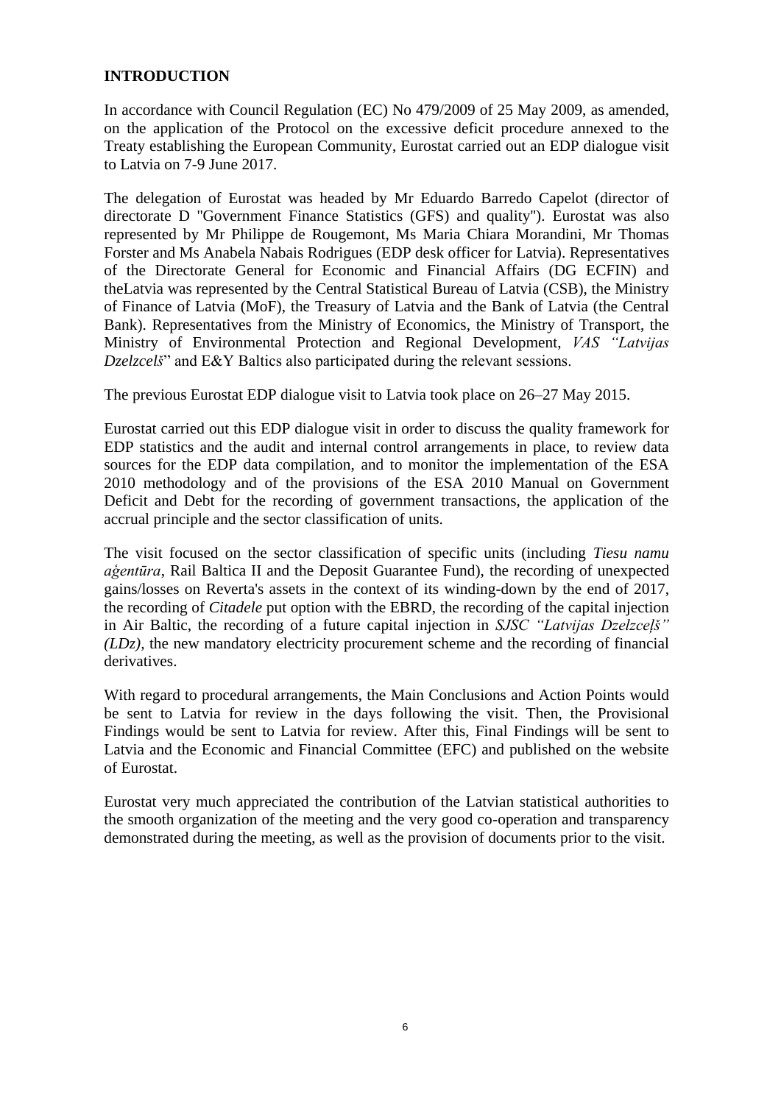### **INTRODUCTION**

In accordance with Council Regulation (EC) No 479/2009 of 25 May 2009, as amended, on the application of the Protocol on the excessive deficit procedure annexed to the Treaty establishing the European Community, Eurostat carried out an EDP dialogue visit to Latvia on 7-9 June 2017.

The delegation of Eurostat was headed by Mr Eduardo Barredo Capelot (director of directorate D ''Government Finance Statistics (GFS) and quality''). Eurostat was also represented by Mr Philippe de Rougemont, Ms Maria Chiara Morandini, Mr Thomas Forster and Ms Anabela Nabais Rodrigues (EDP desk officer for Latvia). Representatives of the Directorate General for Economic and Financial Affairs (DG ECFIN) and theLatvia was represented by the Central Statistical Bureau of Latvia (CSB), the Ministry of Finance of Latvia (MoF), the Treasury of Latvia and the Bank of Latvia (the Central Bank). Representatives from the Ministry of Economics, the Ministry of Transport, the Ministry of Environmental Protection and Regional Development, *VAS "Latvijas Dzelzcelš*" and E&Y Baltics also participated during the relevant sessions.

The previous Eurostat EDP dialogue visit to Latvia took place on 26–27 May 2015.

Eurostat carried out this EDP dialogue visit in order to discuss the quality framework for EDP statistics and the audit and internal control arrangements in place, to review data sources for the EDP data compilation, and to monitor the implementation of the ESA 2010 methodology and of the provisions of the ESA 2010 Manual on Government Deficit and Debt for the recording of government transactions, the application of the accrual principle and the sector classification of units.

The visit focused on the sector classification of specific units (including *Tiesu namu aģentūra*, Rail Baltica II and the Deposit Guarantee Fund), the recording of unexpected gains/losses on Reverta's assets in the context of its winding-down by the end of 2017, the recording of *Citadele* put option with the EBRD, the recording of the capital injection in Air Baltic, the recording of a future capital injection in *SJSC "Latvijas Dzelzceļš" (LDz),* the new mandatory electricity procurement scheme and the recording of financial derivatives.

With regard to procedural arrangements, the Main Conclusions and Action Points would be sent to Latvia for review in the days following the visit. Then, the Provisional Findings would be sent to Latvia for review. After this, Final Findings will be sent to Latvia and the Economic and Financial Committee (EFC) and published on the website of Eurostat.

Eurostat very much appreciated the contribution of the Latvian statistical authorities to the smooth organization of the meeting and the very good co-operation and transparency demonstrated during the meeting, as well as the provision of documents prior to the visit.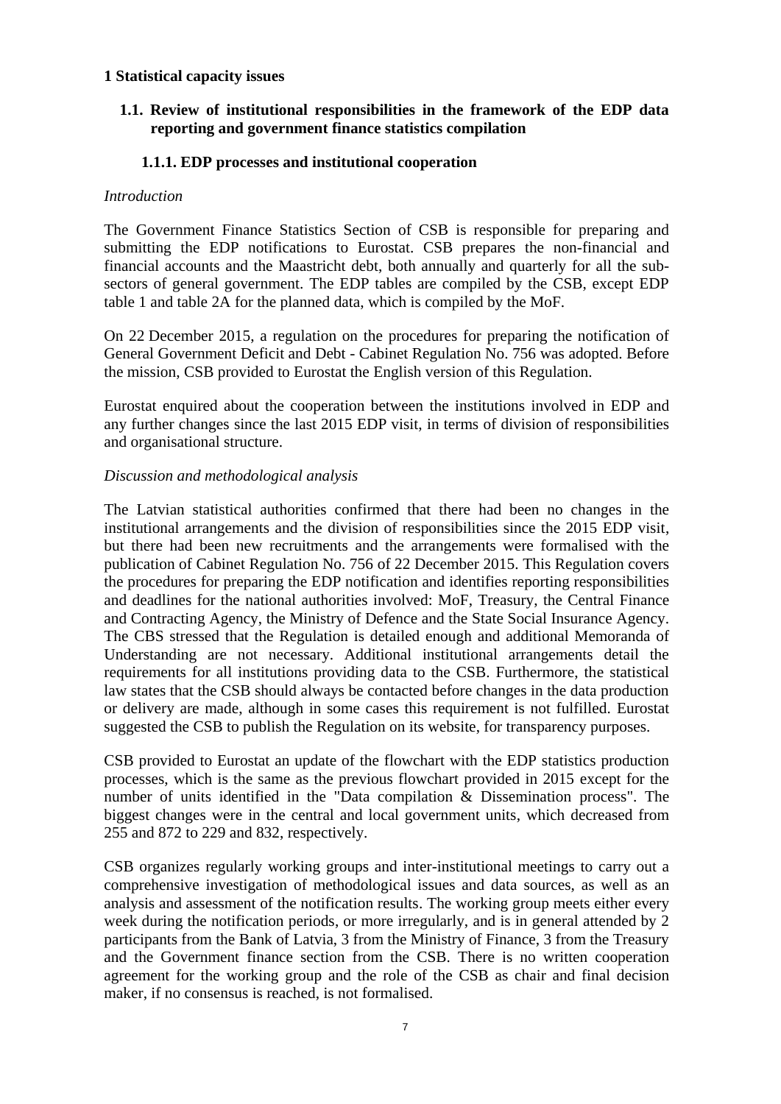### **1 Statistical capacity issues**

# **1.1. Review of institutional responsibilities in the framework of the EDP data reporting and government finance statistics compilation**

### **1.1.1. EDP processes and institutional cooperation**

#### *Introduction*

The Government Finance Statistics Section of CSB is responsible for preparing and submitting the EDP notifications to Eurostat. CSB prepares the non-financial and financial accounts and the Maastricht debt, both annually and quarterly for all the subsectors of general government. The EDP tables are compiled by the CSB, except EDP table 1 and table 2A for the planned data, which is compiled by the MoF.

On 22 December 2015, a regulation on the procedures for preparing the notification of General Government Deficit and Debt - Cabinet Regulation No. 756 was adopted. Before the mission, CSB provided to Eurostat the [English version of this](file:///C:/Users/ANR/AppData/Local/Microsoft/Windows/Temporary%20Internet%20Files/Content.IE5/02%20Documents%20received%20from%20LV/01%20Docs%20received%20before%20the%20mission/For%20the%20April%202017%20EDP%20notification/Cabinet_Regulation_756.docx) Regulation.

Eurostat enquired about the cooperation between the institutions involved in EDP and any further changes since the last 2015 EDP visit, in terms of division of responsibilities and organisational structure.

### *Discussion and methodological analysis*

The Latvian statistical authorities confirmed that there had been no changes in the institutional arrangements and the division of responsibilities since the 2015 EDP visit, but there had been new recruitments and the arrangements were formalised with the publication of Cabinet Regulation No. 756 of 22 December 2015. This Regulation covers the procedures for preparing the EDP notification and identifies reporting responsibilities and deadlines for the national authorities involved: MoF, Treasury, the Central Finance and Contracting Agency, the Ministry of Defence and the State Social Insurance Agency. The CBS stressed that the Regulation is detailed enough and additional Memoranda of Understanding are not necessary. Additional institutional arrangements detail the requirements for all institutions providing data to the CSB. Furthermore, the statistical law states that the CSB should always be contacted before changes in the data production or delivery are made, although in some cases this requirement is not fulfilled. Eurostat suggested the CSB to publish the Regulation on its website, for transparency purposes.

CSB provided to Eurostat an update of the [flowchart with the EDP](file:///C:/Users/ANR/AppData/Local/Microsoft/Windows/Temporary%20Internet%20Files/Content.IE5/02%20Documents%20received%20from%20LV/01%20Docs%20received%20before%20the%20mission/19May2017/1_Flowchart_EDP_statistics.pptx) statistics production processes, which is the same as the previous flowchart provided in 2015 except for the number of units identified in the "Data compilation & Dissemination process". The biggest changes were in the central and local government units, which decreased from 255 and 872 to 229 and 832, respectively.

CSB organizes regularly working groups and inter-institutional meetings to carry out a comprehensive investigation of methodological issues and data sources, as well as an analysis and assessment of the notification results. The working group meets either every week during the notification periods, or more irregularly, and is in general attended by 2 participants from the Bank of Latvia, 3 from the Ministry of Finance, 3 from the Treasury and the Government finance section from the CSB. There is no written cooperation agreement for the working group and the role of the CSB as chair and final decision maker, if no consensus is reached, is not formalised.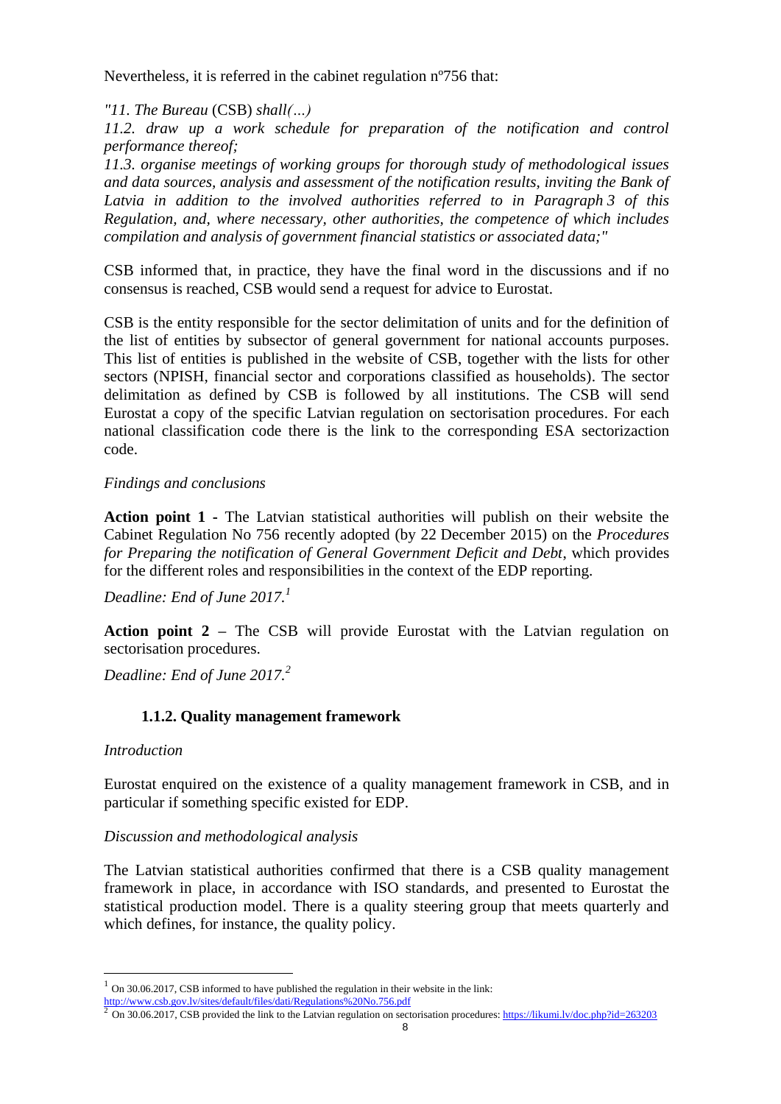Nevertheless, it is referred in the cabinet regulation nº756 that:

### *"11. The Bureau* (CSB) *shall(…)*

*11.2. draw up a work schedule for preparation of the notification and control performance thereof;*

*11.3. organise meetings of working groups for thorough study of methodological issues and data sources, analysis and assessment of the notification results, inviting the Bank of Latvia in addition to the involved authorities referred to in Paragraph 3 of this Regulation, and, where necessary, other authorities, the competence of which includes compilation and analysis of government financial statistics or associated data;"*

CSB informed that, in practice, they have the final word in the discussions and if no consensus is reached, CSB would send a request for advice to Eurostat.

CSB is the entity responsible for the sector delimitation of units and for the definition of the list of entities by subsector of general government for national accounts purposes. This list of entities is published in the website of CSB, together with the lists for other sectors (NPISH, financial sector and corporations classified as households). The sector delimitation as defined by CSB is followed by all institutions. The CSB will send Eurostat a copy of the specific Latvian regulation on sectorisation procedures. For each national classification code there is the link to the corresponding ESA sectorizaction code.

### *Findings and conclusions*

**Action point 1 -** The Latvian statistical authorities will publish on their website the Cabinet Regulation No 756 recently adopted (by 22 December 2015) on the *Procedures for Preparing the notification of General Government Deficit and Debt*, which provides for the different roles and responsibilities in the context of the EDP reporting.

*Deadline: End of June 2017.<sup>1</sup>*

**Action point 2 –** The CSB will provide Eurostat with the Latvian regulation on sectorisation procedures.

*Deadline: End of June 2017.<sup>2</sup>*

# **1.1.2. Quality management framework**

#### *Introduction*

 $\overline{a}$ 

Eurostat enquired on the existence of a quality management framework in CSB, and in particular if something specific existed for EDP.

#### *Discussion and methodological analysis*

The Latvian statistical authorities confirmed that there is a CSB quality management framework in place, in accordance with ISO standards, and presented to Eurostat the statistical production model. There is a quality steering group that meets quarterly and which defines, for instance, the quality policy.

 $1$  On 30.06.2017, CSB informed to have published the regulation in their website in the link:

<http://www.csb.gov.lv/sites/default/files/dati/Regulations%20No.756.pdf><br><sup>2</sup> On 30.06.2017, CSB provided the link to the Latvian regulation on sectorisation procedures: <u>https://likumi.lv/doc.php?id=263203</u>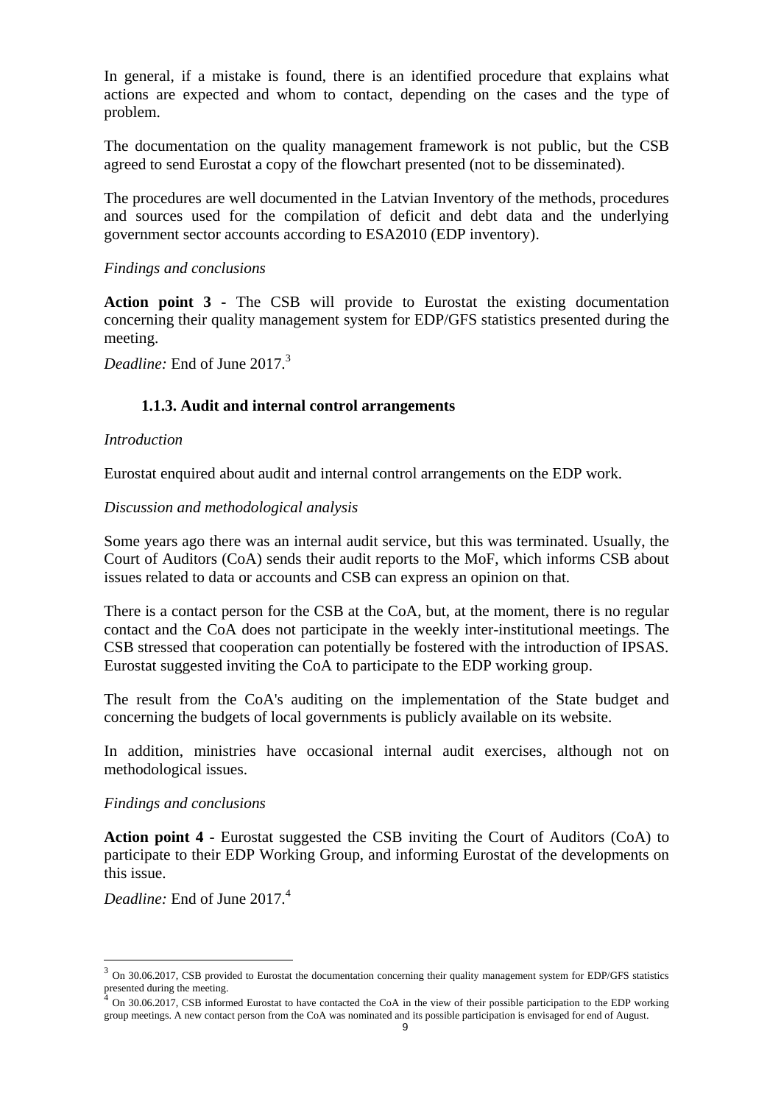In general, if a mistake is found, there is an identified procedure that explains what actions are expected and whom to contact, depending on the cases and the type of problem.

The documentation on the quality management framework is not public, but the CSB agreed to send Eurostat a copy of the flowchart presented (not to be disseminated).

The procedures are well documented in the Latvian Inventory of the methods, procedures and sources used for the compilation of deficit and debt data and the underlying government sector accounts according to ESA2010 (EDP inventory).

#### *Findings and conclusions*

**Action point 3 -** The CSB will provide to Eurostat the existing documentation concerning their quality management system for EDP/GFS statistics presented during the meeting.

*Deadline:* End of June 2017.<sup>3</sup>

### **1.1.3. Audit and internal control arrangements**

#### *Introduction*

Eurostat enquired about audit and internal control arrangements on the EDP work.

#### *Discussion and methodological analysis*

Some years ago there was an internal audit service, but this was terminated. Usually, the Court of Auditors (CoA) sends their audit reports to the MoF, which informs CSB about issues related to data or accounts and CSB can express an opinion on that.

There is a contact person for the CSB at the CoA, but, at the moment, there is no regular contact and the CoA does not participate in the weekly inter-institutional meetings. The CSB stressed that cooperation can potentially be fostered with the introduction of IPSAS. Eurostat suggested inviting the CoA to participate to the EDP working group.

The result from the CoA's auditing on the implementation of the State budget and concerning the budgets of local governments is publicly available on its website.

In addition, ministries have occasional internal audit exercises, although not on methodological issues.

#### *Findings and conclusions*

**Action point 4 -** Eurostat suggested the CSB inviting the Court of Auditors (CoA) to participate to their EDP Working Group, and informing Eurostat of the developments on this issue.

*Deadline:* End of June 2017.<sup>4</sup>

 $3$  On 30.06.2017, CSB provided to Eurostat the documentation concerning their quality management system for EDP/GFS statistics presented during the meeting.<br> $^{4}$  Or 20.06.2017. CSD infam

On 30.06.2017, CSB informed Eurostat to have contacted the CoA in the view of their possible participation to the EDP working group meetings. A new contact person from the CoA was nominated and its possible participation is envisaged for end of August.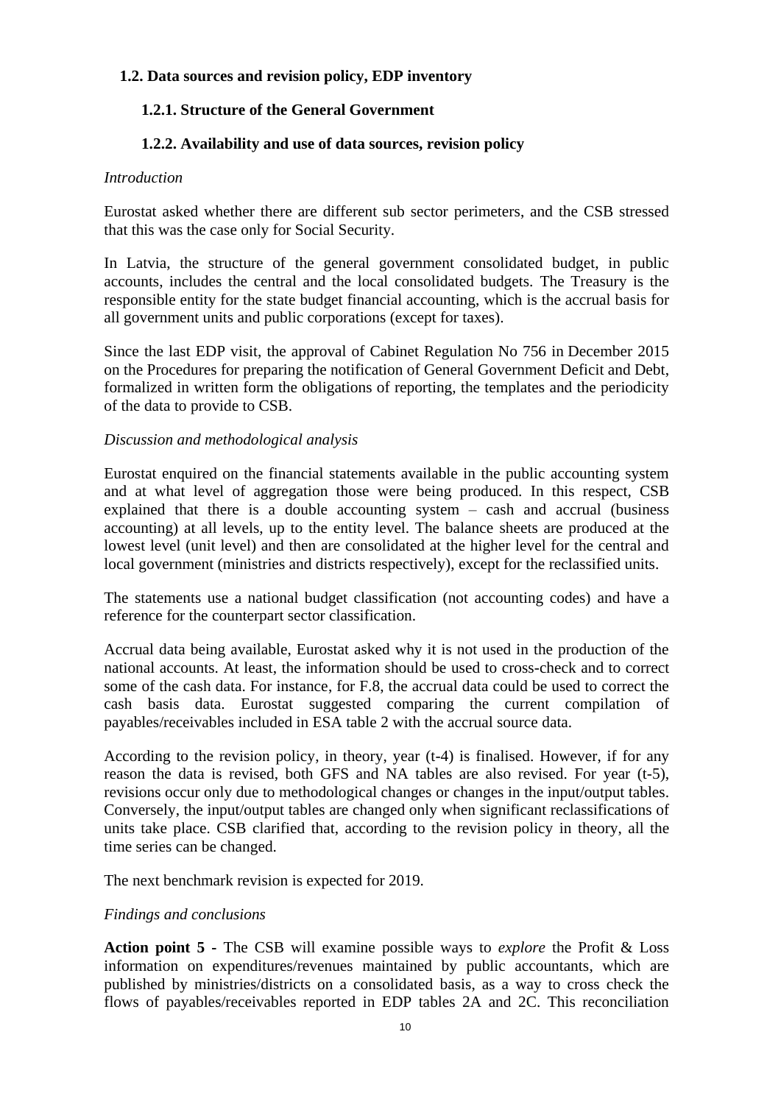# **1.2. Data sources and revision policy, EDP inventory**

# **1.2.1. Structure of the General Government**

# **1.2.2. Availability and use of data sources, revision policy**

### *Introduction*

Eurostat asked whether there are different sub sector perimeters, and the CSB stressed that this was the case only for Social Security.

In Latvia, the structure of the general government consolidated budget, in public accounts, includes the central and the local consolidated budgets. The Treasury is the responsible entity for the state budget financial accounting, which is the accrual basis for all government units and public corporations (except for taxes).

Since the last EDP visit, the approval of Cabinet Regulation No 756 in December 2015 on the Procedures for preparing the notification of General Government Deficit and Debt, formalized in written form the obligations of reporting, the templates and the periodicity of the data to provide to CSB.

### *Discussion and methodological analysis*

Eurostat enquired on the financial statements available in the public accounting system and at what level of aggregation those were being produced. In this respect, CSB explained that there is a double accounting system  $-$  cash and accrual (business accounting) at all levels, up to the entity level. The balance sheets are produced at the lowest level (unit level) and then are consolidated at the higher level for the central and local government (ministries and districts respectively), except for the reclassified units.

The statements use a national budget classification (not accounting codes) and have a reference for the counterpart sector classification.

Accrual data being available, Eurostat asked why it is not used in the production of the national accounts. At least, the information should be used to cross-check and to correct some of the cash data. For instance, for F.8, the accrual data could be used to correct the cash basis data. Eurostat suggested comparing the current compilation of payables/receivables included in ESA table 2 with the accrual source data.

According to the revision policy, in theory, year (t-4) is finalised. However, if for any reason the data is revised, both GFS and NA tables are also revised. For year (t-5), revisions occur only due to methodological changes or changes in the input/output tables. Conversely, the input/output tables are changed only when significant reclassifications of units take place. CSB clarified that, according to the revision policy in theory, all the time series can be changed.

The next benchmark revision is expected for 2019.

#### *Findings and conclusions*

**Action point 5 -** The CSB will examine possible ways to *explore* the Profit & Loss information on expenditures/revenues maintained by public accountants, which are published by ministries/districts on a consolidated basis, as a way to cross check the flows of payables/receivables reported in EDP tables 2A and 2C. This reconciliation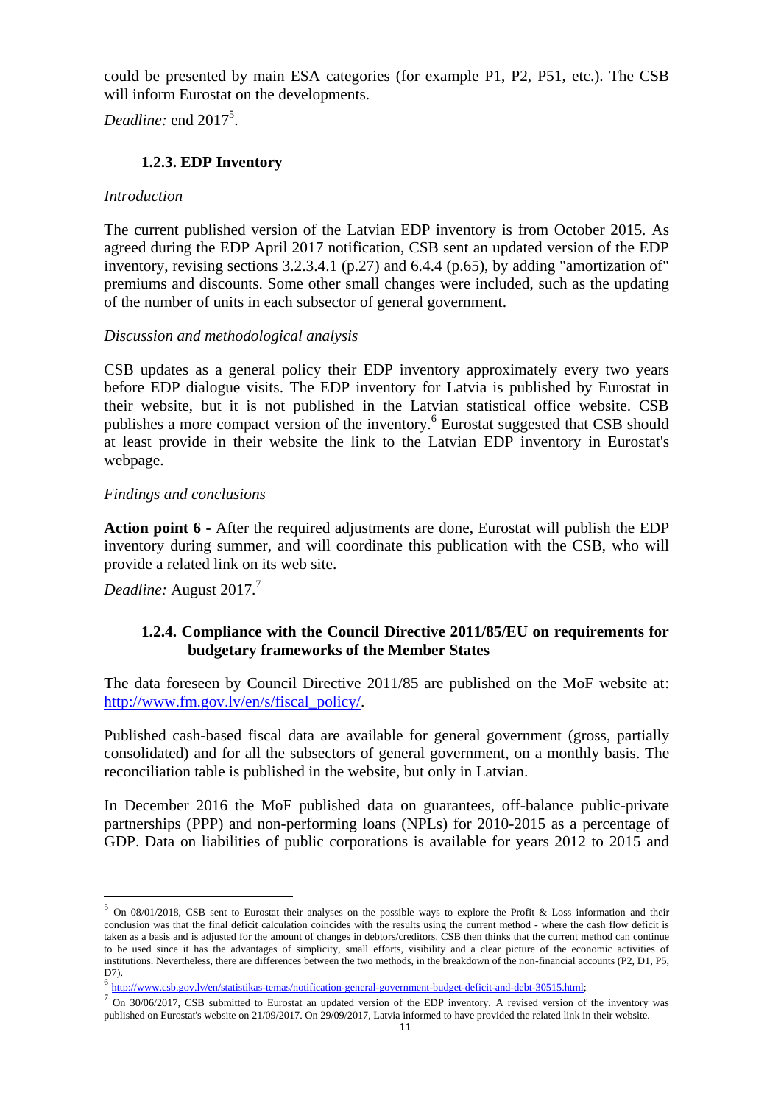could be presented by main ESA categories (for example P1, P2, P51, etc.). The CSB will inform Eurostat on the developments.

Deadline: end 2017<sup>5</sup>.

# **1.2.3. EDP Inventory**

### *Introduction*

The current published version of the Latvian EDP inventory is from October 2015. As agreed during the EDP April 2017 notification, CSB sent an updated version of the EDP inventory, revising sections 3.2.3.4.1 (p.27) and 6.4.4 (p.65), by adding "amortization of" premiums and discounts. Some other small changes were included, such as the updating of the number of units in each subsector of general government.

### *Discussion and methodological analysis*

CSB updates as a general policy their EDP inventory approximately every two years before EDP dialogue visits. The EDP inventory for Latvia is published by Eurostat in their website, but it is not published in the Latvian statistical office website. CSB publishes a more compact version of the inventory.<sup>6</sup> Eurostat suggested that CSB should at least provide in their website the link to the Latvian EDP inventory in Eurostat's webpage.

### *Findings and conclusions*

**Action point 6 -** After the required adjustments are done, Eurostat will publish the EDP inventory during summer, and will coordinate this publication with the CSB, who will provide a related link on its web site.

*Deadline:* August 2017.<sup>7</sup>

 $\overline{a}$ 

# **1.2.4. Compliance with the Council Directive 2011/85/EU on requirements for budgetary frameworks of the Member States**

The data foreseen by Council Directive 2011/85 are published on the MoF website at: [http://www.fm.gov.lv/en/s/fiscal\\_policy/.](http://www.fm.gov.lv/en/s/fiscal_policy/)

Published cash-based fiscal data are available for general government (gross, partially consolidated) and for all the subsectors of general government, on a monthly basis. The reconciliation table is published in the website, but only in Latvian.

In December 2016 the MoF published data on guarantees, off-balance public-private partnerships (PPP) and non-performing loans (NPLs) for 2010-2015 as a percentage of GDP. Data on liabilities of public corporations is available for years 2012 to 2015 and

 $5$  On 08/01/2018, CSB sent to Eurostat their analyses on the possible ways to explore the Profit & Loss information and their conclusion was that the final deficit calculation coincides with the results using the current method - where the cash flow deficit is taken as a basis and is adjusted for the amount of changes in debtors/creditors. CSB then thinks that the current method can continue to be used since it has the advantages of simplicity, small efforts, visibility and a clear picture of the economic activities of institutions. Nevertheless, there are differences between the two methods, in the breakdown of the non-financial accounts (P2, D1, P5,  $D7$ 

<sup>6</sup> [http://www.csb.gov.lv/en/statistikas-temas/notification-general-government-budget-deficit-and-debt-30515.html;](http://www.csb.gov.lv/en/statistikas-temas/notification-general-government-budget-deficit-and-debt-30515.html)

 $<sup>7</sup>$  On 30/06/2017, CSB submitted to Eurostat an updated version of the EDP inventory. A revised version of the inventory was</sup> published on Eurostat's website on 21/09/2017. On 29/09/2017, Latvia informed to have provided the related link in their website.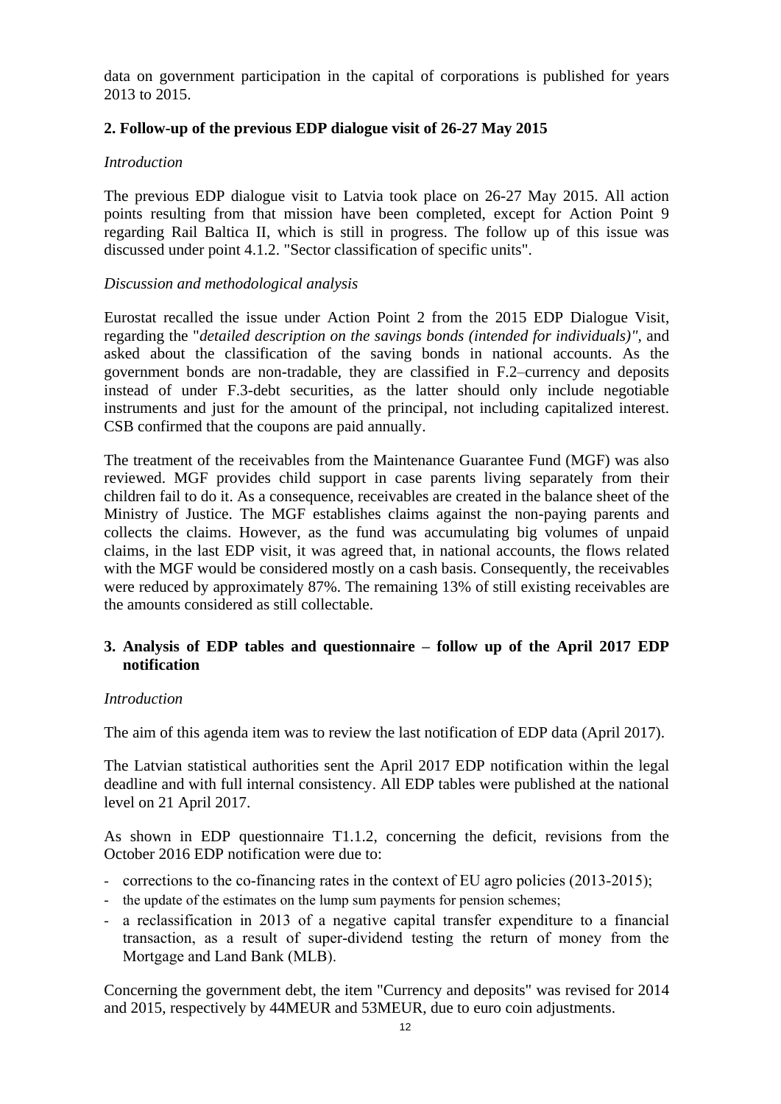data on government participation in the capital of corporations is published for years 2013 to 2015.

# **2. Follow-up of the previous EDP dialogue visit of 26-27 May 2015**

#### *Introduction*

The previous EDP dialogue visit to Latvia took place on 26-27 May 2015. All action points resulting from that mission have been completed, except for Action Point 9 regarding Rail Baltica II, which is still in progress. The follow up of this issue was discussed under point 4.1.2. "Sector classification of specific units".

#### *Discussion and methodological analysis*

Eurostat recalled the issue under Action Point 2 from the 2015 EDP Dialogue Visit, regarding the "*detailed description on the savings bonds (intended for individuals)",* and asked about the classification of the saving bonds in national accounts. As the government bonds are non-tradable, they are classified in F.2–currency and deposits instead of under F.3-debt securities, as the latter should only include negotiable instruments and just for the amount of the principal, not including capitalized interest. CSB confirmed that the coupons are paid annually.

The treatment of the receivables from the Maintenance Guarantee Fund (MGF) was also reviewed. MGF provides child support in case parents living separately from their children fail to do it. As a consequence, receivables are created in the balance sheet of the Ministry of Justice. The MGF establishes claims against the non-paying parents and collects the claims. However, as the fund was accumulating big volumes of unpaid claims, in the last EDP visit, it was agreed that, in national accounts, the flows related with the MGF would be considered mostly on a cash basis. Consequently, the receivables were reduced by approximately 87%. The remaining 13% of still existing receivables are the amounts considered as still collectable.

### **3. Analysis of EDP tables and questionnaire – follow up of the April 2017 EDP notification**

#### *Introduction*

The aim of this agenda item was to review the last notification of EDP data (April 2017).

The Latvian statistical authorities sent the April 2017 EDP notification within the legal deadline and with full internal consistency. All EDP tables were published at the national level on 21 April 2017.

As shown in EDP questionnaire T1.1.2, concerning the deficit, revisions from the October 2016 EDP notification were due to:

- corrections to the co-financing rates in the context of EU agro policies (2013-2015);
- the update of the estimates on the lump sum payments for pension schemes;
- a reclassification in 2013 of a negative capital transfer expenditure to a financial transaction, as a result of super-dividend testing the return of money from the Mortgage and Land Bank (MLB).

Concerning the government debt, the item "Currency and deposits" was revised for 2014 and 2015, respectively by 44MEUR and 53MEUR, due to euro coin adjustments.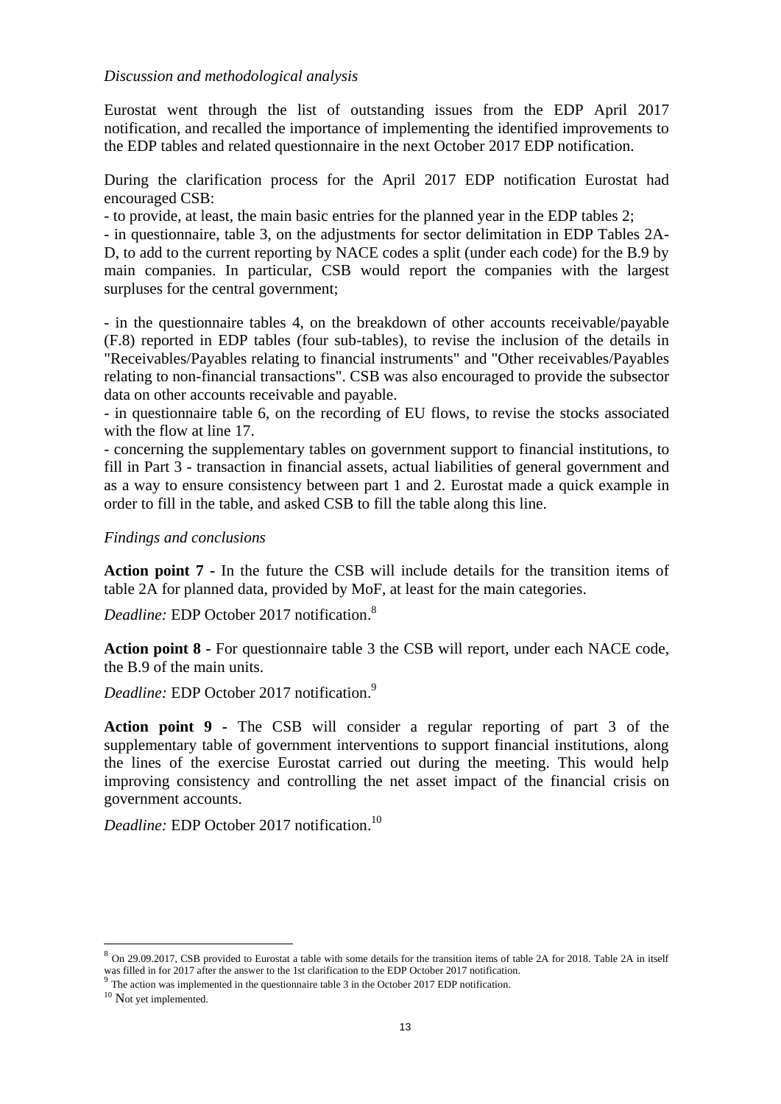#### *Discussion and methodological analysis*

Eurostat went through the list of outstanding issues from the EDP April 2017 notification, and recalled the importance of implementing the identified improvements to the EDP tables and related questionnaire in the next October 2017 EDP notification.

During the clarification process for the April 2017 EDP notification Eurostat had encouraged CSB:

- to provide, at least, the main basic entries for the planned year in the EDP tables 2;

- in questionnaire, table 3, on the adjustments for sector delimitation in EDP Tables 2A-D, to add to the current reporting by NACE codes a split (under each code) for the B.9 by main companies. In particular, CSB would report the companies with the largest surpluses for the central government;

- in the questionnaire tables 4, on the breakdown of other accounts receivable/payable (F.8) reported in EDP tables (four sub-tables), to revise the inclusion of the details in "Receivables/Payables relating to financial instruments" and "Other receivables/Payables relating to non-financial transactions". CSB was also encouraged to provide the subsector data on other accounts receivable and payable.

- in questionnaire table 6, on the recording of EU flows, to revise the stocks associated with the flow at line 17.

- concerning the supplementary tables on government support to financial institutions, to fill in Part 3 - transaction in financial assets, actual liabilities of general government and as a way to ensure consistency between part 1 and 2. Eurostat made a quick example in order to fill in the table, and asked CSB to fill the table along this line.

#### *Findings and conclusions*

**Action point 7 -** In the future the CSB will include details for the transition items of table 2A for planned data, provided by MoF, at least for the main categories.

*Deadline:* EDP October 2017 notification. 8

**Action point 8 -** For questionnaire table 3 the CSB will report, under each NACE code, the B.9 of the main units.

*Deadline:* EDP October 2017 notification. 9

**Action point 9 -** The CSB will consider a regular reporting of part 3 of the supplementary table of government interventions to support financial institutions, along the lines of the exercise Eurostat carried out during the meeting. This would help improving consistency and controlling the net asset impact of the financial crisis on government accounts.

*Deadline:* EDP October 2017 notification. 10

<sup>&</sup>lt;sup>8</sup> On 29.09.2017, CSB provided to Eurostat a table with some details for the transition items of table 2A for 2018. Table 2A in itself was filled in for 2017 after the answer to the 1st clarification to the EDP October 2017 notification.

 $9$  The action was implemented in the questionnaire table 3 in the October 2017 EDP notification.

<sup>&</sup>lt;sup>10</sup> Not yet implemented.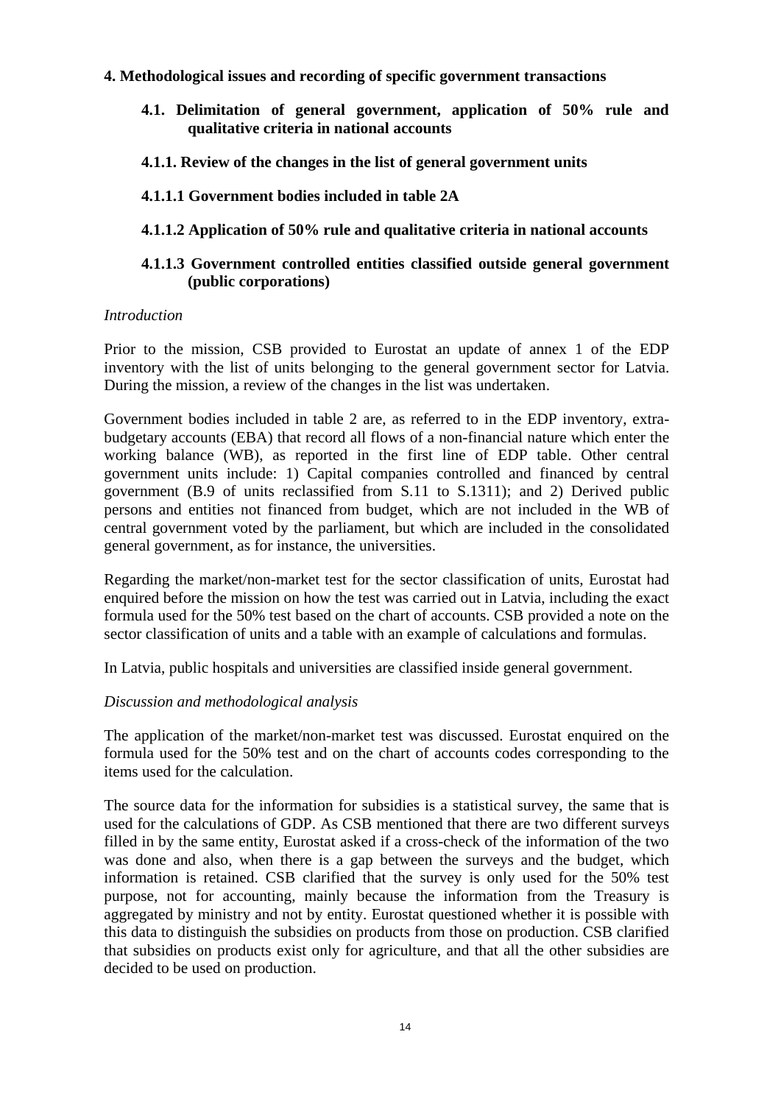### **4. Methodological issues and recording of specific government transactions**

- **4.1. Delimitation of general government, application of 50% rule and qualitative criteria in national accounts**
- **4.1.1. Review of the changes in the list of general government units**

### **4.1.1.1 Government bodies included in table 2A**

### **4.1.1.2 Application of 50% rule and qualitative criteria in national accounts**

# **4.1.1.3 Government controlled entities classified outside general government (public corporations)**

#### *Introduction*

Prior to the mission, CSB provided to Eurostat an update of annex 1 of the EDP inventory with the list of units belonging to the general government sector for Latvia. During the mission, a review of the changes in the list was undertaken.

Government bodies included in table 2 are, as referred to in the EDP inventory, extrabudgetary accounts (EBA) that record all flows of a non-financial nature which enter the working balance (WB), as reported in the first line of EDP table. Other central government units include: 1) Capital companies controlled and financed by central government (B.9 of units reclassified from S.11 to S.1311); and 2) Derived public persons and entities not financed from budget, which are not included in the WB of central government voted by the parliament, but which are included in the consolidated general government, as for instance, the universities.

Regarding the market/non-market test for the sector classification of units, Eurostat had enquired before the mission on how the test was carried out in Latvia, including the exact formula used for the 50% test based on the chart of accounts. CSB provided a note on the sector classification of units and a table with an example of calculations and formulas.

In Latvia, public hospitals and universities are classified inside general government.

#### *Discussion and methodological analysis*

The application of the market/non-market test was discussed. Eurostat enquired on the formula used for the 50% test and on the chart of accounts codes corresponding to the items used for the calculation.

The source data for the information for subsidies is a statistical survey, the same that is used for the calculations of GDP. As CSB mentioned that there are two different surveys filled in by the same entity, Eurostat asked if a cross-check of the information of the two was done and also, when there is a gap between the surveys and the budget, which information is retained. CSB clarified that the survey is only used for the 50% test purpose, not for accounting, mainly because the information from the Treasury is aggregated by ministry and not by entity. Eurostat questioned whether it is possible with this data to distinguish the subsidies on products from those on production. CSB clarified that subsidies on products exist only for agriculture, and that all the other subsidies are decided to be used on production.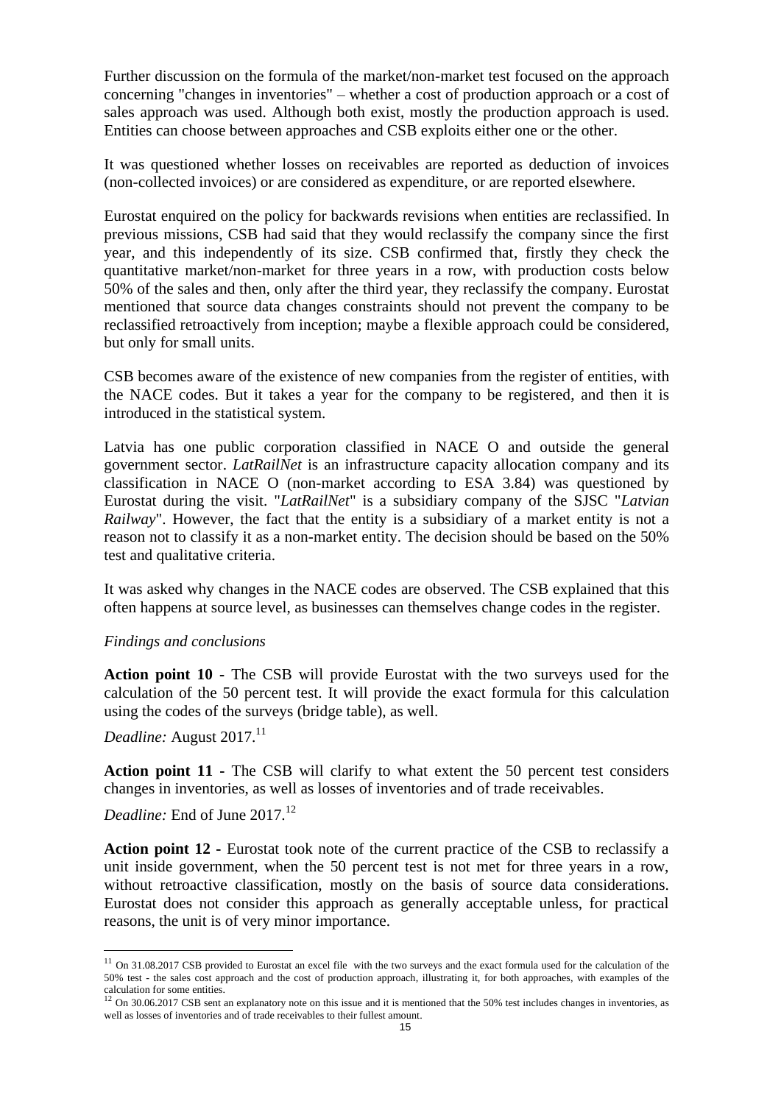Further discussion on the formula of the market/non-market test focused on the approach concerning "changes in inventories" – whether a cost of production approach or a cost of sales approach was used. Although both exist, mostly the production approach is used. Entities can choose between approaches and CSB exploits either one or the other.

It was questioned whether losses on receivables are reported as deduction of invoices (non-collected invoices) or are considered as expenditure, or are reported elsewhere.

Eurostat enquired on the policy for backwards revisions when entities are reclassified. In previous missions, CSB had said that they would reclassify the company since the first year, and this independently of its size. CSB confirmed that, firstly they check the quantitative market/non-market for three years in a row, with production costs below 50% of the sales and then, only after the third year, they reclassify the company. Eurostat mentioned that source data changes constraints should not prevent the company to be reclassified retroactively from inception; maybe a flexible approach could be considered, but only for small units.

CSB becomes aware of the existence of new companies from the register of entities, with the NACE codes. But it takes a year for the company to be registered, and then it is introduced in the statistical system.

Latvia has one public corporation classified in NACE O and outside the general government sector. *LatRailNet* is an infrastructure capacity allocation company and its classification in NACE O (non-market according to ESA 3.84) was questioned by Eurostat during the visit. "*LatRailNet*" is a subsidiary company of the SJSC "*Latvian Railway*". However, the fact that the entity is a subsidiary of a market entity is not a reason not to classify it as a non-market entity. The decision should be based on the 50% test and qualitative criteria.

It was asked why changes in the NACE codes are observed. The CSB explained that this often happens at source level, as businesses can themselves change codes in the register.

#### *Findings and conclusions*

**Action point 10 -** The CSB will provide Eurostat with the two surveys used for the calculation of the 50 percent test. It will provide the exact formula for this calculation using the codes of the surveys (bridge table), as well.

*Deadline:* August 2017.<sup>11</sup>

 $\overline{a}$ 

**Action point 11 -** The CSB will clarify to what extent the 50 percent test considers changes in inventories, as well as losses of inventories and of trade receivables.

*Deadline:* End of June 2017.<sup>12</sup>

**Action point 12 -** Eurostat took note of the current practice of the CSB to reclassify a unit inside government, when the 50 percent test is not met for three years in a row, without retroactive classification, mostly on the basis of source data considerations. Eurostat does not consider this approach as generally acceptable unless, for practical reasons, the unit is of very minor importance.

 $11$  On 31.08.2017 CSB provided to Eurostat an excel file with the two surveys and the exact formula used for the calculation of the 50% test - the sales cost approach and the cost of production approach, illustrating it, for both approaches, with examples of the calculation for some entities.<br><sup>12</sup> On 30.06.2017 CSB sent an explanatory note on this issue and it is mentioned that the 50% test includes changes in inventories, as

well as losses of inventories and of trade receivables to their fullest amount.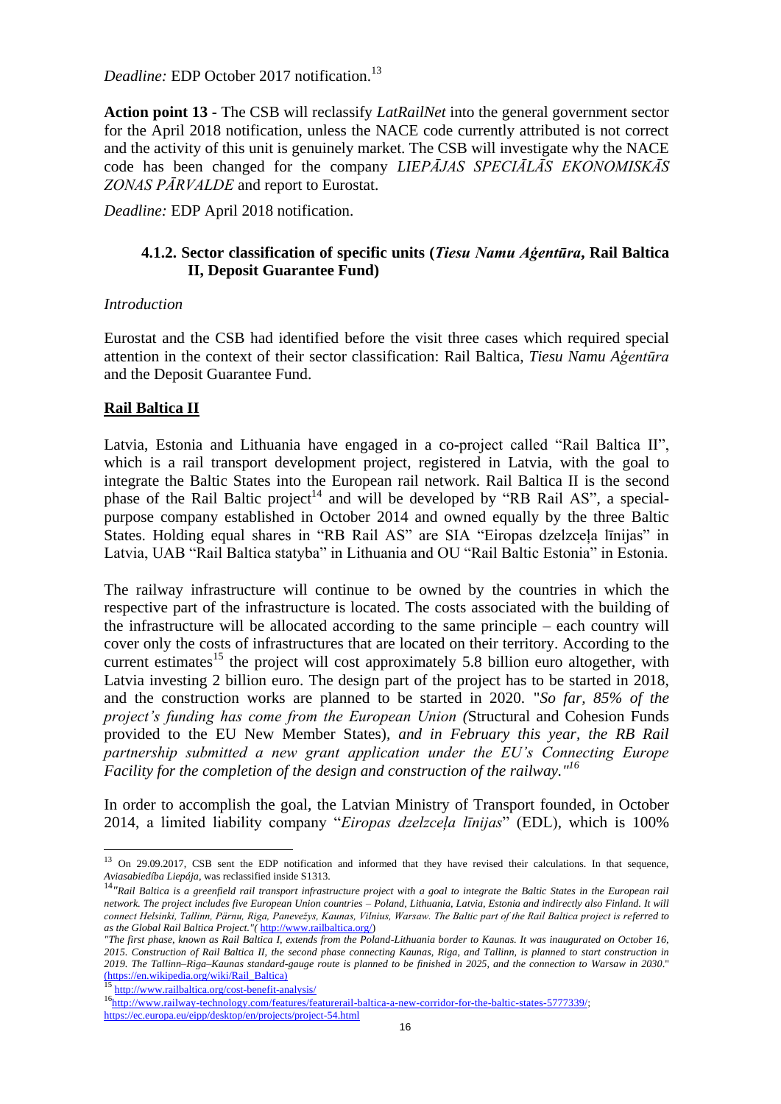*Deadline:* EDP October 2017 notification.<sup>13</sup>

**Action point 13 -** The CSB will reclassify *LatRailNet* into the general government sector for the April 2018 notification, unless the NACE code currently attributed is not correct and the activity of this unit is genuinely market. The CSB will investigate why the NACE code has been changed for the company *LIEPĀJAS SPECIĀLĀS EKONOMISKĀS ZONAS PĀRVALDE* and report to Eurostat.

*Deadline:* EDP April 2018 notification.

#### **4.1.2. Sector classification of specific units (***Tiesu Namu Aģentūra***, Rail Baltica II, Deposit Guarantee Fund)**

#### *Introduction*

Eurostat and the CSB had identified before the visit three cases which required special attention in the context of their sector classification: Rail Baltica, *Tiesu Namu Aģentūra* and the Deposit Guarantee Fund.

### **Rail Baltica II**

Latvia, Estonia and Lithuania have engaged in a co-project called "Rail Baltica II", which is a rail transport development project, registered in Latvia, with the goal to integrate the Baltic States into the European rail network. Rail Baltica II is the second phase of the Rail Baltic project<sup>14</sup> and will be developed by "RB Rail AS", a specialpurpose company established in October 2014 and owned equally by the three Baltic States. Holding equal shares in "RB Rail AS" are SIA "Eiropas dzelzceļa līnijas" in Latvia, UAB "Rail Baltica statyba" in Lithuania and OU "Rail Baltic Estonia" in Estonia.

The railway infrastructure will continue to be owned by the countries in which the respective part of the infrastructure is located. The costs associated with the building of the infrastructure will be allocated according to the same principle – each country will cover only the costs of infrastructures that are located on their territory. According to the current estimates<sup>15</sup> the project will cost approximately 5.8 billion euro altogether, with Latvia investing 2 billion euro. The design part of the project has to be started in 2018, and the construction works are planned to be started in 2020. "*So far, 85% of the project's funding has come from the European Union (*Structural and Cohesion Funds provided to the EU New Member States)*, and in February this year, the RB Rail partnership submitted a new grant application under the EU's Connecting Europe Facility for the completion of the design and construction of the railway." 16*

In order to accomplish the goal, the Latvian Ministry of Transport founded, in October 2014, a limited liability company "*Eiropas dzelzceļa līnijas*" (EDL), which is 100%

http://www.railbaltica.org/cost-benefit-analysis/

<sup>&</sup>lt;sup>13</sup> On 29.09.2017, CSB sent the EDP notification and informed that they have revised their calculations. In that sequence, *Aviasabiedíba Liepája*, was reclassified inside S1313.

<sup>&</sup>lt;sup>14</sup>"Rail Baltica is a greenfield rail transport infrastructure project with a goal to integrate the Baltic States in the European rail *network. The project includes five European Union countries – Poland, Lithuania, Latvia, Estonia and indirectly also Finland. It will connect Helsinki, Tallinn, Pärnu, Riga, Panevežys, Kaunas, Vilnius, Warsaw. The Baltic part of the Rail Baltica project is referred to as the Global Rail Baltica Project."(* [http://www.railbaltica.org/\)](http://www.railbaltica.org/)

*<sup>&</sup>quot;The first phase, known as Rail Baltica I, extends from the Poland-Lithuania border to Kaunas. It was inaugurated on October 16, 2015. Construction of Rail Baltica II, the second phase connecting Kaunas, Riga, and Tallinn, is planned to start construction in 2019. The Tallinn–Riga–Kaunas standard-gauge route is planned to be finished in 2025, and the connection to [Warsaw](https://en.wikipedia.org/wiki/Warsaw) in 2030*." (https://en.wikipedia.org/wiki/Rail\_Baltica)

<sup>16</sup>http://www.railway-technology.com/features/featurerail-baltica-a-new-corridor-for-the-baltic-states-5777339/ <https://ec.europa.eu/eipp/desktop/en/projects/project-54.html>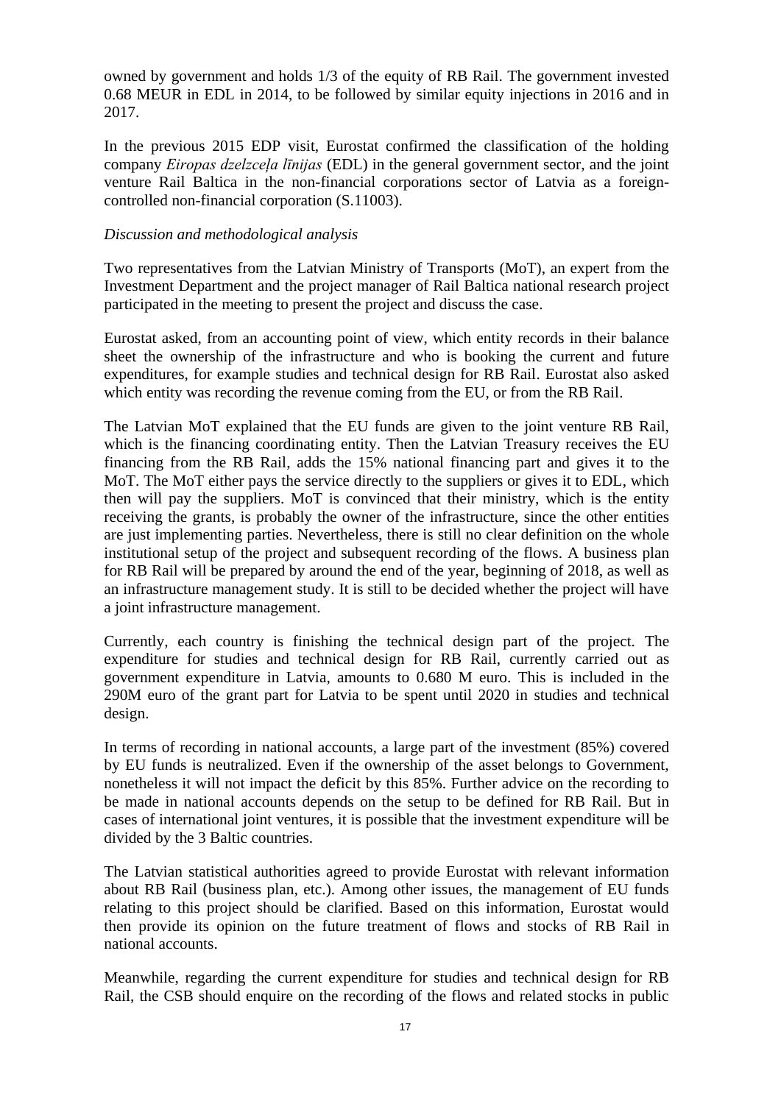owned by government and holds 1/3 of the equity of RB Rail. The government invested 0.68 MEUR in EDL in 2014, to be followed by similar equity injections in 2016 and in 2017.

In the previous 2015 EDP visit, Eurostat confirmed the classification of the holding company *Eiropas dzelzceļa līnijas* (EDL) in the general government sector, and the joint venture Rail Baltica in the non-financial corporations sector of Latvia as a foreigncontrolled non-financial corporation (S.11003).

#### *Discussion and methodological analysis*

Two representatives from the Latvian Ministry of Transports (MoT), an expert from the Investment Department and the project manager of Rail Baltica national research project participated in the meeting to present the project and discuss the case.

Eurostat asked, from an accounting point of view, which entity records in their balance sheet the ownership of the infrastructure and who is booking the current and future expenditures, for example studies and technical design for RB Rail. Eurostat also asked which entity was recording the revenue coming from the EU, or from the RB Rail.

The Latvian MoT explained that the EU funds are given to the joint venture RB Rail, which is the financing coordinating entity. Then the Latvian Treasury receives the EU financing from the RB Rail, adds the 15% national financing part and gives it to the MoT. The MoT either pays the service directly to the suppliers or gives it to EDL, which then will pay the suppliers. MoT is convinced that their ministry, which is the entity receiving the grants, is probably the owner of the infrastructure, since the other entities are just implementing parties. Nevertheless, there is still no clear definition on the whole institutional setup of the project and subsequent recording of the flows. A business plan for RB Rail will be prepared by around the end of the year, beginning of 2018, as well as an infrastructure management study. It is still to be decided whether the project will have a joint infrastructure management.

Currently, each country is finishing the technical design part of the project. The expenditure for studies and technical design for RB Rail, currently carried out as government expenditure in Latvia, amounts to 0.680 M euro. This is included in the 290M euro of the grant part for Latvia to be spent until 2020 in studies and technical design.

In terms of recording in national accounts, a large part of the investment (85%) covered by EU funds is neutralized. Even if the ownership of the asset belongs to Government, nonetheless it will not impact the deficit by this 85%. Further advice on the recording to be made in national accounts depends on the setup to be defined for RB Rail. But in cases of international joint ventures, it is possible that the investment expenditure will be divided by the 3 Baltic countries.

The Latvian statistical authorities agreed to provide Eurostat with relevant information about RB Rail (business plan, etc.). Among other issues, the management of EU funds relating to this project should be clarified. Based on this information, Eurostat would then provide its opinion on the future treatment of flows and stocks of RB Rail in national accounts.

Meanwhile, regarding the current expenditure for studies and technical design for RB Rail, the CSB should enquire on the recording of the flows and related stocks in public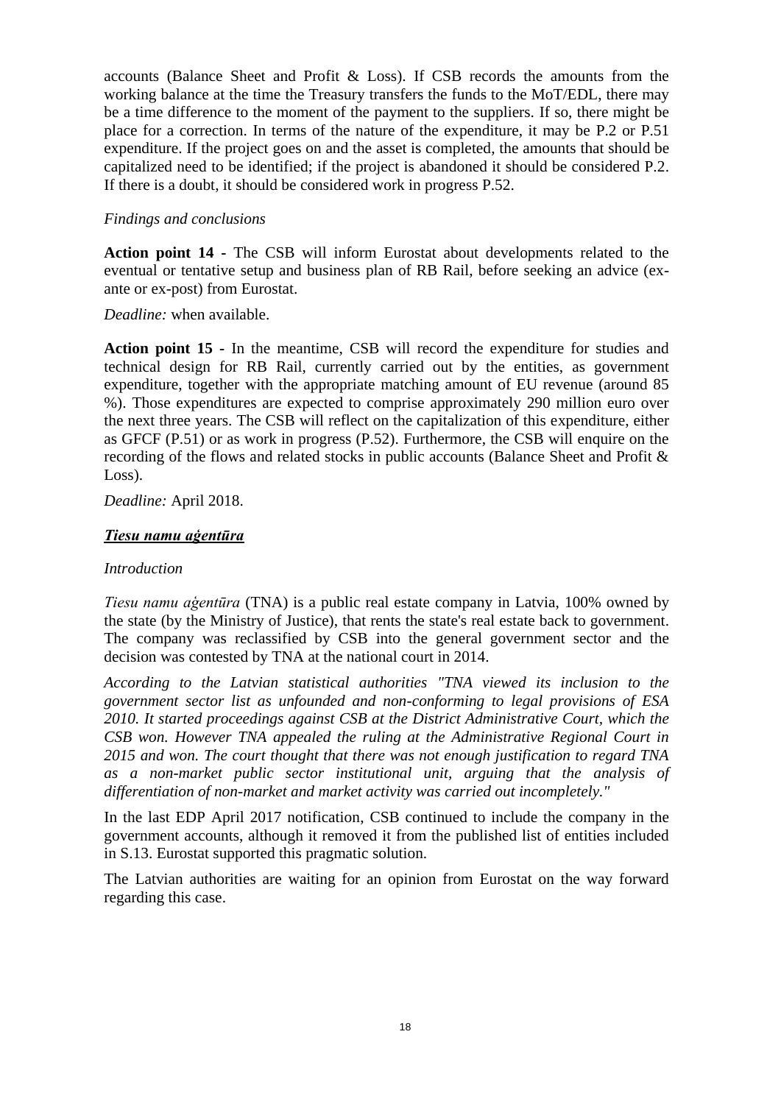accounts (Balance Sheet and Profit & Loss). If CSB records the amounts from the working balance at the time the Treasury transfers the funds to the MoT/EDL, there may be a time difference to the moment of the payment to the suppliers. If so, there might be place for a correction. In terms of the nature of the expenditure, it may be P.2 or P.51 expenditure. If the project goes on and the asset is completed, the amounts that should be capitalized need to be identified; if the project is abandoned it should be considered P.2. If there is a doubt, it should be considered work in progress P.52.

#### *Findings and conclusions*

**Action point 14 -** The CSB will inform Eurostat about developments related to the eventual or tentative setup and business plan of RB Rail, before seeking an advice (exante or ex-post) from Eurostat.

*Deadline:* when available.

**Action point 15 -** In the meantime, CSB will record the expenditure for studies and technical design for RB Rail, currently carried out by the entities, as government expenditure, together with the appropriate matching amount of EU revenue (around 85 %). Those expenditures are expected to comprise approximately 290 million euro over the next three years. The CSB will reflect on the capitalization of this expenditure, either as GFCF (P.51) or as work in progress (P.52). Furthermore, the CSB will enquire on the recording of the flows and related stocks in public accounts (Balance Sheet and Profit & Loss).

*Deadline:* April 2018.

# *Tiesu namu aģentūra*

#### *Introduction*

*Tiesu namu aģentūra* (TNA) is a public real estate company in Latvia, 100% owned by the state (by the Ministry of Justice), that rents the state's real estate back to government. The company was reclassified by CSB into the general government sector and the decision was contested by TNA at the national court in 2014.

*According to the Latvian statistical authorities "TNA viewed its inclusion to the government sector list as unfounded and non-conforming to legal provisions of ESA 2010. It started proceedings against CSB at the District Administrative Court, which the CSB won. However TNA appealed the ruling at the Administrative Regional Court in 2015 and won. The court thought that there was not enough justification to regard TNA as a non-market public sector institutional unit, arguing that the analysis of differentiation of non-market and market activity was carried out incompletely."*

In the last EDP April 2017 notification, CSB continued to include the company in the government accounts, although it removed it from the published list of entities included in S.13. Eurostat supported this pragmatic solution.

The Latvian authorities are waiting for an opinion from Eurostat on the way forward regarding this case.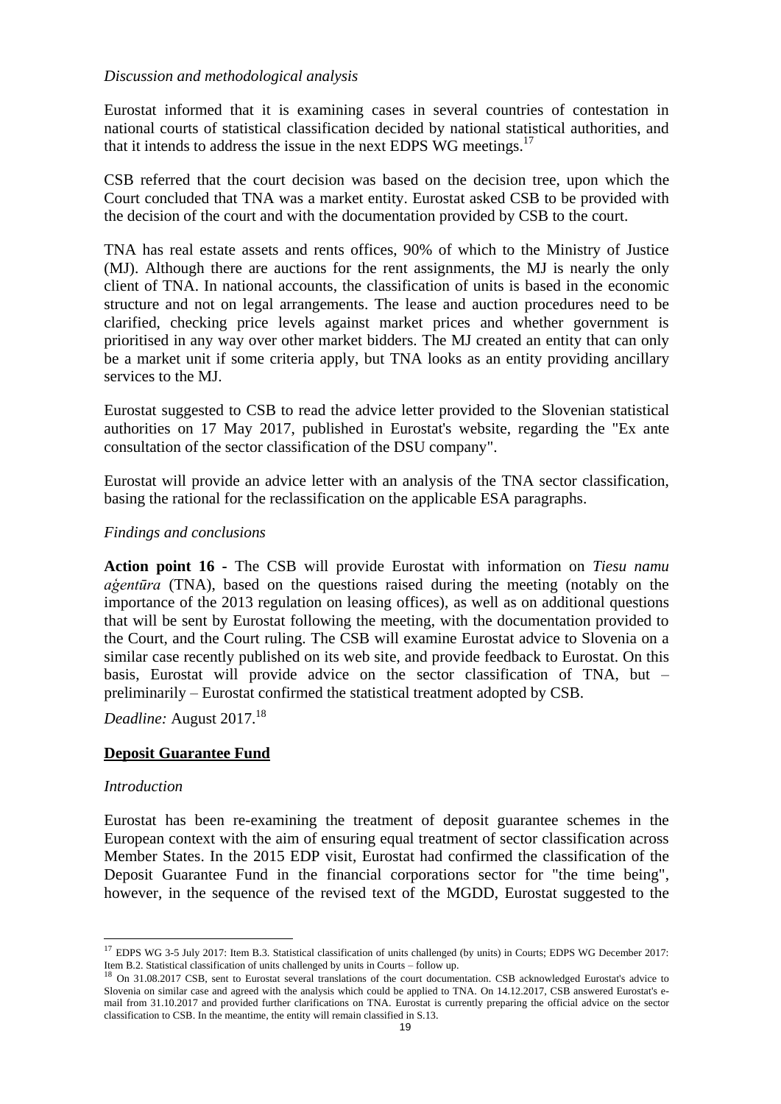### *Discussion and methodological analysis*

Eurostat informed that it is examining cases in several countries of contestation in national courts of statistical classification decided by national statistical authorities, and that it intends to address the issue in the next EDPS WG meetings.<sup>17</sup>

CSB referred that the court decision was based on the decision tree, upon which the Court concluded that TNA was a market entity. Eurostat asked CSB to be provided with the decision of the court and with the documentation provided by CSB to the court.

TNA has real estate assets and rents offices, 90% of which to the Ministry of Justice (MJ). Although there are auctions for the rent assignments, the MJ is nearly the only client of TNA. In national accounts, the classification of units is based in the economic structure and not on legal arrangements. The lease and auction procedures need to be clarified, checking price levels against market prices and whether government is prioritised in any way over other market bidders. The MJ created an entity that can only be a market unit if some criteria apply, but TNA looks as an entity providing ancillary services to the MJ.

Eurostat suggested to CSB to read the advice letter provided to the Slovenian statistical authorities on 17 May 2017, published in Eurostat's website, regarding the "Ex ante consultation of the sector classification of the DSU company".

Eurostat will provide an advice letter with an analysis of the TNA sector classification, basing the rational for the reclassification on the applicable ESA paragraphs.

### *Findings and conclusions*

**Action point 16 -** The CSB will provide Eurostat with information on *Tiesu namu aģentūra* (TNA), based on the questions raised during the meeting (notably on the importance of the 2013 regulation on leasing offices), as well as on additional questions that will be sent by Eurostat following the meeting, with the documentation provided to the Court, and the Court ruling. The CSB will examine Eurostat advice to Slovenia on a similar case recently published on its web site, and provide feedback to Eurostat. On this basis, Eurostat will provide advice on the sector classification of TNA, but – preliminarily – Eurostat confirmed the statistical treatment adopted by CSB.

*Deadline:* August 2017. 18

# **Deposit Guarantee Fund**

#### *Introduction*

 $\overline{a}$ 

Eurostat has been re-examining the treatment of deposit guarantee schemes in the European context with the aim of ensuring equal treatment of sector classification across Member States. In the 2015 EDP visit, Eurostat had confirmed the classification of the Deposit Guarantee Fund in the financial corporations sector for "the time being", however, in the sequence of the revised text of the MGDD, Eurostat suggested to the

<sup>&</sup>lt;sup>17</sup> EDPS WG 3-5 July 2017: Item B.3. Statistical classification of units challenged (by units) in Courts; EDPS WG December 2017: Item B.2. Statistical classification of units challenged by units in Courts – follow up.<br><sup>18</sup> On 31.08.2017 CSB, sent to Eurostat several translations of the court documentation. CSB acknowledged Eurostat's advice to

Slovenia on similar case and agreed with the analysis which could be applied to TNA. On 14.12.2017, CSB answered Eurostat's email from 31.10.2017 and provided further clarifications on TNA. Eurostat is currently preparing the official advice on the sector classification to CSB. In the meantime, the entity will remain classified in S.13.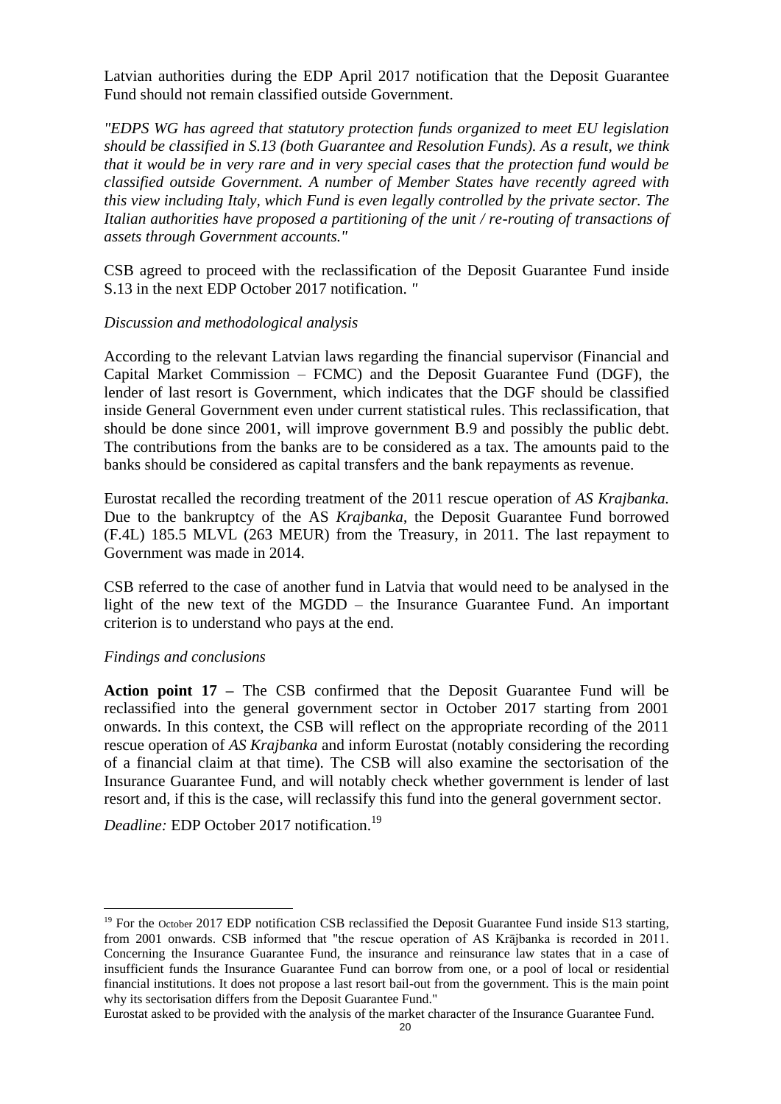Latvian authorities during the EDP April 2017 notification that the Deposit Guarantee Fund should not remain classified outside Government.

*"EDPS WG has agreed that statutory protection funds organized to meet EU legislation should be classified in S.13 (both Guarantee and Resolution Funds). As a result, we think that it would be in very rare and in very special cases that the protection fund would be classified outside Government. A number of Member States have recently agreed with this view including Italy, which Fund is even legally controlled by the private sector. The Italian authorities have proposed a partitioning of the unit / re-routing of transactions of assets through Government accounts."* 

CSB agreed to proceed with the reclassification of the Deposit Guarantee Fund inside S.13 in the next EDP October 2017 notification. *"*

#### *Discussion and methodological analysis*

According to the relevant Latvian laws regarding the financial supervisor (Financial and Capital Market Commission – FCMC) and the Deposit Guarantee Fund (DGF), the lender of last resort is Government, which indicates that the DGF should be classified inside General Government even under current statistical rules. This reclassification, that should be done since 2001, will improve government B.9 and possibly the public debt. The contributions from the banks are to be considered as a tax. The amounts paid to the banks should be considered as capital transfers and the bank repayments as revenue.

Eurostat recalled the recording treatment of the 2011 rescue operation of *AS Krajbanka.*  Due to the bankruptcy of the AS *Krajbanka*, the Deposit Guarantee Fund borrowed (F.4L) 185.5 MLVL (263 MEUR) from the Treasury, in 2011. The last repayment to Government was made in 2014.

CSB referred to the case of another fund in Latvia that would need to be analysed in the light of the new text of the MGDD – the Insurance Guarantee Fund. An important criterion is to understand who pays at the end.

#### *Findings and conclusions*

 $\overline{a}$ 

**Action point 17 –** The CSB confirmed that the Deposit Guarantee Fund will be reclassified into the general government sector in October 2017 starting from 2001 onwards. In this context, the CSB will reflect on the appropriate recording of the 2011 rescue operation of *AS Krajbanka* and inform Eurostat (notably considering the recording of a financial claim at that time). The CSB will also examine the sectorisation of the Insurance Guarantee Fund, and will notably check whether government is lender of last resort and, if this is the case, will reclassify this fund into the general government sector.

*Deadline:* EDP October 2017 notification.<sup>19</sup>

Eurostat asked to be provided with the analysis of the market character of the Insurance Guarantee Fund.

<sup>&</sup>lt;sup>19</sup> For the October 2017 EDP notification CSB reclassified the Deposit Guarantee Fund inside S13 starting, from 2001 onwards. CSB informed that "the rescue operation of AS Krājbanka is recorded in 2011. Concerning the Insurance Guarantee Fund, the insurance and reinsurance law states that in a case of insufficient funds the Insurance Guarantee Fund can borrow from one, or a pool of local or residential financial institutions. It does not propose a last resort bail-out from the government. This is the main point why its sectorisation differs from the Deposit Guarantee Fund."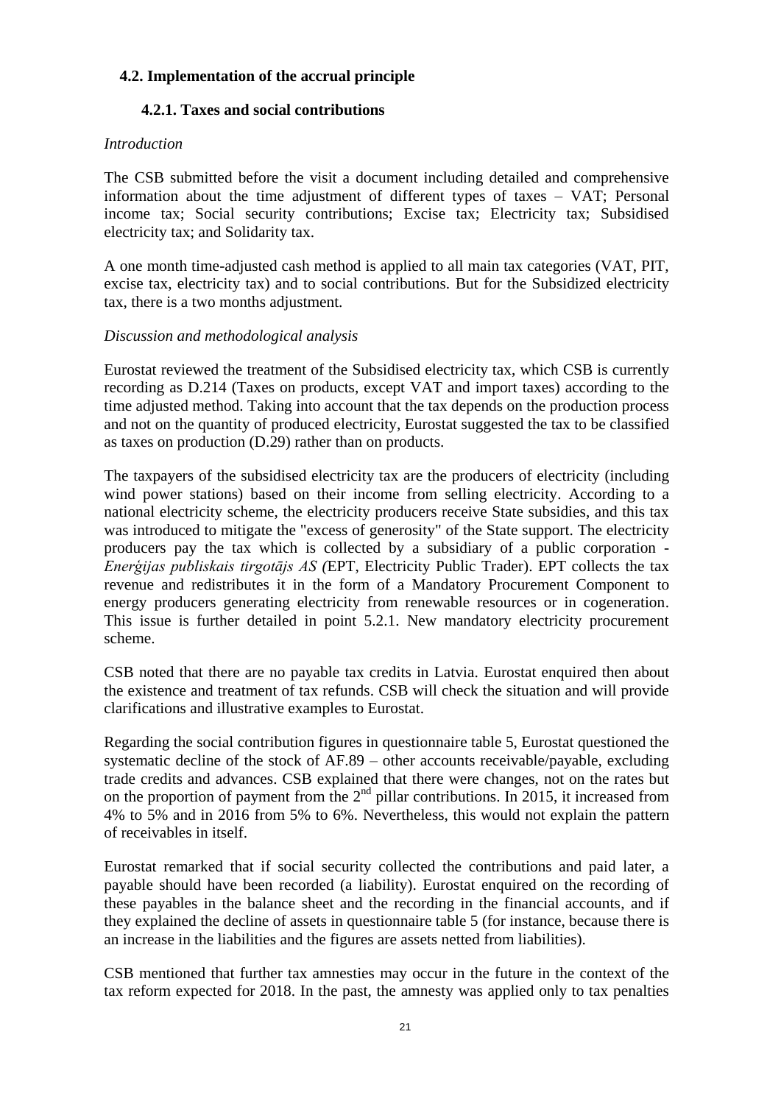# **4.2. Implementation of the accrual principle**

# **4.2.1. Taxes and social contributions**

#### *Introduction*

The CSB submitted before the visit a document including detailed and comprehensive information about the time adjustment of different types of taxes – VAT; Personal income tax; Social security contributions; Excise tax; Electricity tax; Subsidised electricity tax; and Solidarity tax.

A one month time-adjusted cash method is applied to all main tax categories (VAT, PIT, excise tax, electricity tax) and to social contributions. But for the Subsidized electricity tax, there is a two months adjustment.

### *Discussion and methodological analysis*

Eurostat reviewed the treatment of the Subsidised electricity tax, which CSB is currently recording as D.214 (Taxes on products, except VAT and import taxes) according to the time adjusted method. Taking into account that the tax depends on the production process and not on the quantity of produced electricity, Eurostat suggested the tax to be classified as taxes on production (D.29) rather than on products.

The taxpayers of the subsidised electricity tax are the producers of electricity (including wind power stations) based on their income from selling electricity. According to a national electricity scheme, the electricity producers receive State subsidies, and this tax was introduced to mitigate the "excess of generosity" of the State support. The electricity producers pay the tax which is collected by a subsidiary of a public corporation - *Enerģijas publiskais tirgotājs AS (*EPT, Electricity Public Trader). EPT collects the tax revenue and redistributes it in the form of a Mandatory Procurement Component to energy producers generating electricity from renewable resources or in cogeneration. This issue is further detailed in point 5.2.1. New mandatory electricity procurement scheme.

CSB noted that there are no payable tax credits in Latvia. Eurostat enquired then about the existence and treatment of tax refunds. CSB will check the situation and will provide clarifications and illustrative examples to Eurostat.

Regarding the social contribution figures in questionnaire table 5, Eurostat questioned the systematic decline of the stock of AF.89 – other accounts receivable/payable, excluding trade credits and advances. CSB explained that there were changes, not on the rates but on the proportion of payment from the  $2<sup>nd</sup>$  pillar contributions. In 2015, it increased from 4% to 5% and in 2016 from 5% to 6%. Nevertheless, this would not explain the pattern of receivables in itself.

Eurostat remarked that if social security collected the contributions and paid later, a payable should have been recorded (a liability). Eurostat enquired on the recording of these payables in the balance sheet and the recording in the financial accounts, and if they explained the decline of assets in questionnaire table 5 (for instance, because there is an increase in the liabilities and the figures are assets netted from liabilities).

CSB mentioned that further tax amnesties may occur in the future in the context of the tax reform expected for 2018. In the past, the amnesty was applied only to tax penalties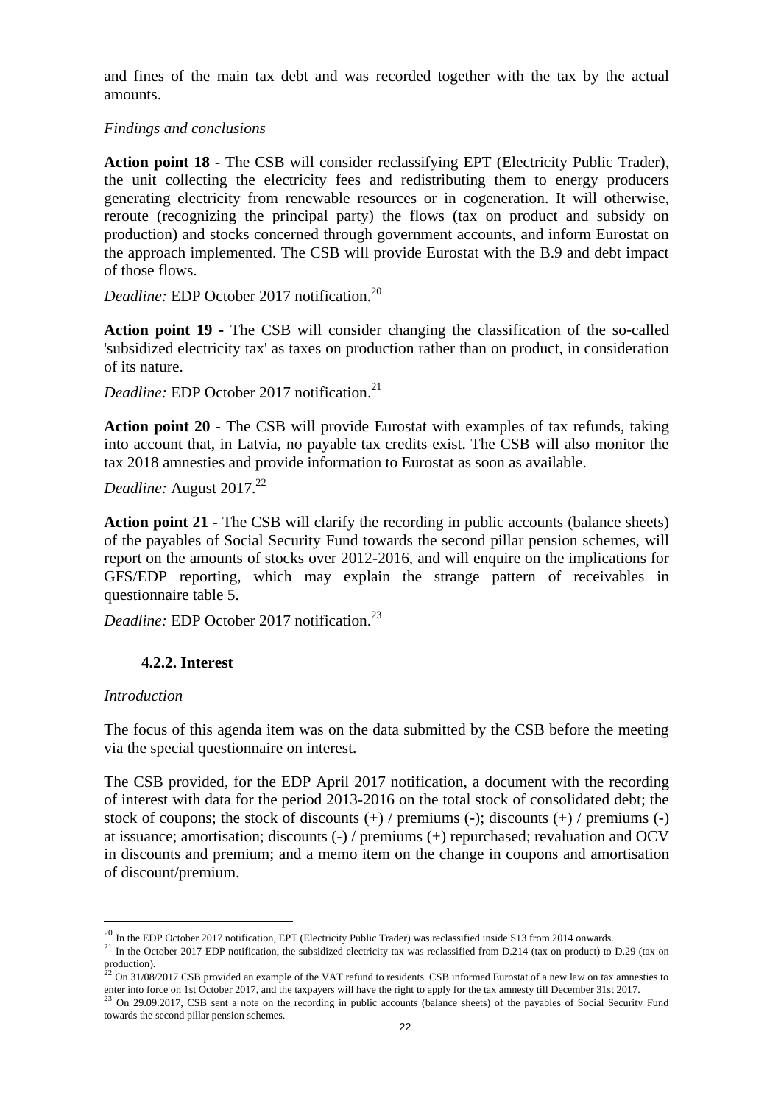and fines of the main tax debt and was recorded together with the tax by the actual amounts.

#### *Findings and conclusions*

**Action point 18 -** The CSB will consider reclassifying EPT (Electricity Public Trader), the unit collecting the electricity fees and redistributing them to energy producers generating electricity from renewable resources or in cogeneration. It will otherwise, reroute (recognizing the principal party) the flows (tax on product and subsidy on production) and stocks concerned through government accounts, and inform Eurostat on the approach implemented. The CSB will provide Eurostat with the B.9 and debt impact of those flows.

*Deadline:* EDP October 2017 notification.<sup>20</sup>

**Action point 19 -** The CSB will consider changing the classification of the so-called 'subsidized electricity tax' as taxes on production rather than on product, in consideration of its nature.

*Deadline:* EDP October 2017 notification. 21

**Action point 20 -** The CSB will provide Eurostat with examples of tax refunds, taking into account that, in Latvia, no payable tax credits exist. The CSB will also monitor the tax 2018 amnesties and provide information to Eurostat as soon as available.

*Deadline:* August 2017.<sup>22</sup>

**Action point 21 -** The CSB will clarify the recording in public accounts (balance sheets) of the payables of Social Security Fund towards the second pillar pension schemes, will report on the amounts of stocks over 2012-2016, and will enquire on the implications for GFS/EDP reporting, which may explain the strange pattern of receivables in questionnaire table 5.

*Deadline:* EDP October 2017 notification.<sup>23</sup>

# **4.2.2. Interest**

#### *Introduction*

 $\overline{a}$ 

The focus of this agenda item was on the data submitted by the CSB before the meeting via the special questionnaire on interest.

The CSB provided, for the EDP April 2017 notification, a document with the recording of interest with data for the period 2013-2016 on the total stock of consolidated debt; the stock of coupons; the stock of discounts  $(+)$  / premiums  $(-)$ ; discounts  $(+)$  / premiums  $(-)$ at issuance; amortisation; discounts (-) / premiums (+) repurchased; revaluation and OCV in discounts and premium; and a memo item on the change in coupons and amortisation of discount/premium.

 $^{20}$  In the EDP October 2017 notification, EPT (Electricity Public Trader) was reclassified inside S13 from 2014 onwards.

 $21$  In the October 2017 EDP notification, the subsidized electricity tax was reclassified from D.214 (tax on product) to D.29 (tax on production).<br><sup>22</sup> On 31/08/2017 CSB provided an example of the VAT refund to residents. CSB informed Eurostat of a new law on tax amnesties to

enter into force on 1st October 2017, and the taxpayers will have the right to apply for the tax amnesty till December 31st 2017.<br><sup>23</sup> On 29.09.2017, CSB sent a note on the recording in public accounts (balance sheets) of towards the second pillar pension schemes.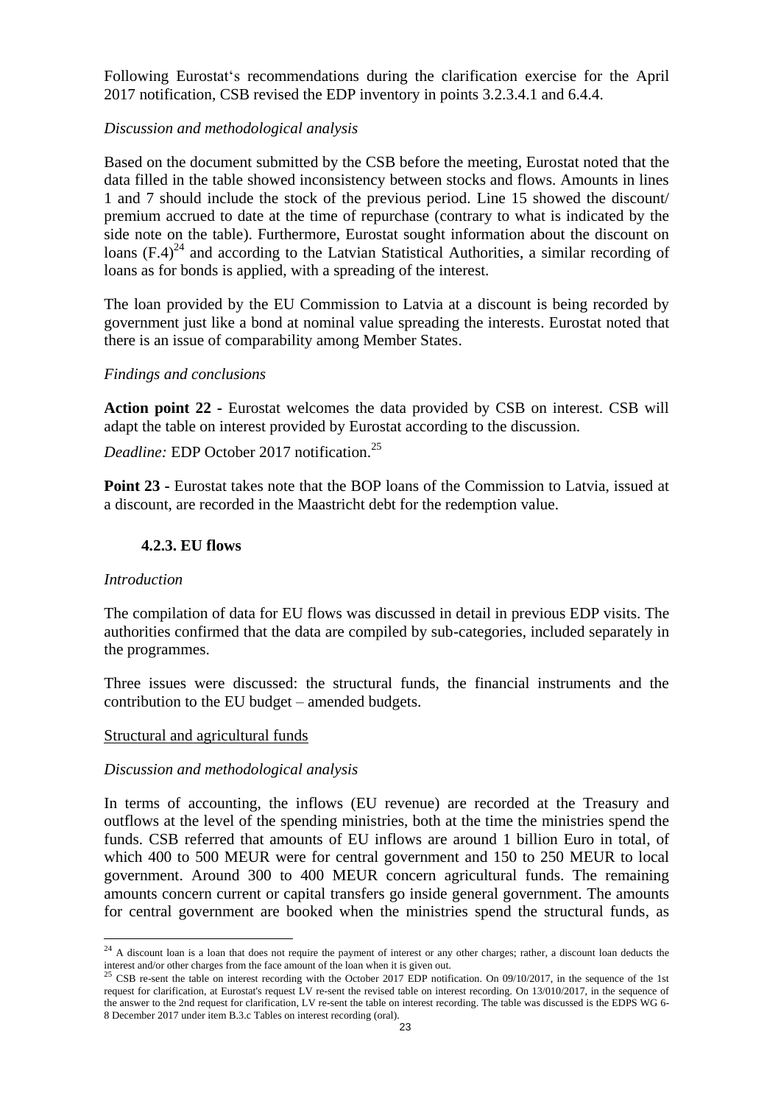Following Eurostat's recommendations during the clarification exercise for the April 2017 notification, CSB revised the EDP inventory in points 3.2.3.4.1 and 6.4.4.

#### *Discussion and methodological analysis*

Based on the document submitted by the CSB before the meeting, Eurostat noted that the data filled in the table showed inconsistency between stocks and flows. Amounts in lines 1 and 7 should include the stock of the previous period. Line 15 showed the discount/ premium accrued to date at the time of repurchase (contrary to what is indicated by the side note on the table). Furthermore, Eurostat sought information about the discount on loans  $(F.4)^{24}$  and according to the Latvian Statistical Authorities, a similar recording of loans as for bonds is applied, with a spreading of the interest.

The loan provided by the EU Commission to Latvia at a discount is being recorded by government just like a bond at nominal value spreading the interests. Eurostat noted that there is an issue of comparability among Member States.

#### *Findings and conclusions*

**Action point 22 -** Eurostat welcomes the data provided by CSB on interest. CSB will adapt the table on interest provided by Eurostat according to the discussion.

*Deadline:* EDP October 2017 notification.<sup>25</sup>

**Point 23 -** Eurostat takes note that the BOP loans of the Commission to Latvia, issued at a discount, are recorded in the Maastricht debt for the redemption value.

### **4.2.3. EU flows**

#### *Introduction*

 $\overline{a}$ 

The compilation of data for EU flows was discussed in detail in previous EDP visits. The authorities confirmed that the data are compiled by sub-categories, included separately in the programmes.

Three issues were discussed: the structural funds, the financial instruments and the contribution to the EU budget – amended budgets.

#### Structural and agricultural funds

#### *Discussion and methodological analysis*

In terms of accounting, the inflows (EU revenue) are recorded at the Treasury and outflows at the level of the spending ministries, both at the time the ministries spend the funds. CSB referred that amounts of EU inflows are around 1 billion Euro in total, of which 400 to 500 MEUR were for central government and 150 to 250 MEUR to local government. Around 300 to 400 MEUR concern agricultural funds. The remaining amounts concern current or capital transfers go inside general government. The amounts for central government are booked when the ministries spend the structural funds, as

<sup>&</sup>lt;sup>24</sup> A discount loan is a loan that does not require the payment of interest or any other charges; rather, a discount loan deducts the

interest and/or other charges from the face amount of the loan when it is given out.<br><sup>25</sup> CSB re-sent the table on interest recording with the October 2017 EDP notification. On 09/10/2017, in the sequence of the 1st request for clarification, at Eurostat's request LV re-sent the revised table on interest recording. On 13/010/2017, in the sequence of the answer to the 2nd request for clarification, LV re-sent the table on interest recording. The table was discussed is the EDPS WG 6- 8 December 2017 under item B.3.c Tables on interest recording (oral).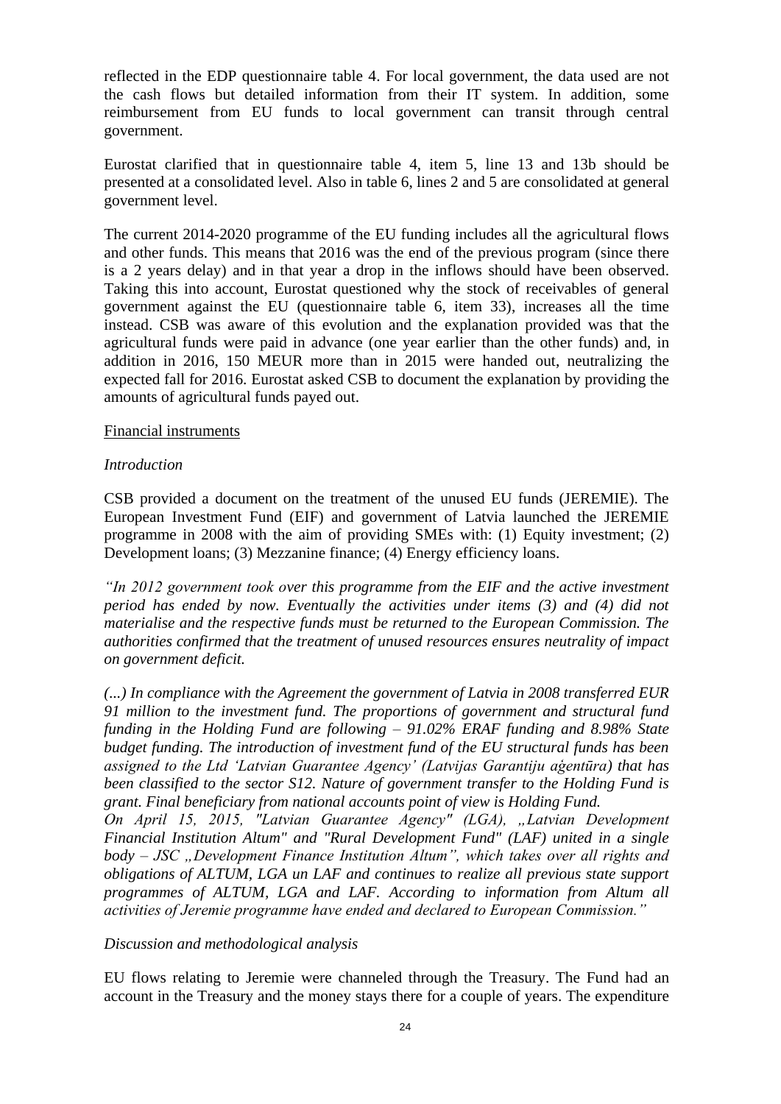reflected in the EDP questionnaire table 4. For local government, the data used are not the cash flows but detailed information from their IT system. In addition, some reimbursement from EU funds to local government can transit through central government.

Eurostat clarified that in questionnaire table 4, item 5, line 13 and 13b should be presented at a consolidated level. Also in table 6, lines 2 and 5 are consolidated at general government level.

The current 2014-2020 programme of the EU funding includes all the agricultural flows and other funds. This means that 2016 was the end of the previous program (since there is a 2 years delay) and in that year a drop in the inflows should have been observed. Taking this into account, Eurostat questioned why the stock of receivables of general government against the EU (questionnaire table 6, item 33), increases all the time instead. CSB was aware of this evolution and the explanation provided was that the agricultural funds were paid in advance (one year earlier than the other funds) and, in addition in 2016, 150 MEUR more than in 2015 were handed out, neutralizing the expected fall for 2016. Eurostat asked CSB to document the explanation by providing the amounts of agricultural funds payed out.

#### Financial instruments

#### *Introduction*

CSB provided a document on the treatment of the unused EU funds (JEREMIE). The European Investment Fund (EIF) and government of Latvia launched the JEREMIE programme in 2008 with the aim of providing SMEs with: (1) Equity investment; (2) Development loans; (3) Mezzanine finance; (4) Energy efficiency loans.

*"In 2012 government took over this programme from the EIF and the active investment period has ended by now. Eventually the activities under items (3) and (4) did not materialise and the respective funds must be returned to the European Commission. The authorities confirmed that the treatment of unused resources ensures neutrality of impact on government deficit.*

*(...) In compliance with the Agreement the government of Latvia in 2008 transferred EUR 91 million to the investment fund. The proportions of government and structural fund funding in the Holding Fund are following – 91.02% ERAF funding and 8.98% State budget funding. The introduction of investment fund of the EU structural funds has been assigned to the Ltd 'Latvian Guarantee Agency' (Latvijas Garantiju aģentūra) that has been classified to the sector S12. Nature of government transfer to the Holding Fund is grant. Final beneficiary from national accounts point of view is Holding Fund.*

*On April 15, 2015, "Latvian Guarantee Agency" (LGA), "Latvian Development Financial Institution Altum" and "Rural Development Fund" (LAF) united in a single body – JSC "Development Finance Institution Altum", which takes over all rights and obligations of ALTUM, LGA un LAF and continues to realize all previous state support programmes of ALTUM, LGA and LAF. According to information from Altum all activities of Jeremie programme have ended and declared to European Commission."*

#### *Discussion and methodological analysis*

EU flows relating to Jeremie were channeled through the Treasury. The Fund had an account in the Treasury and the money stays there for a couple of years. The expenditure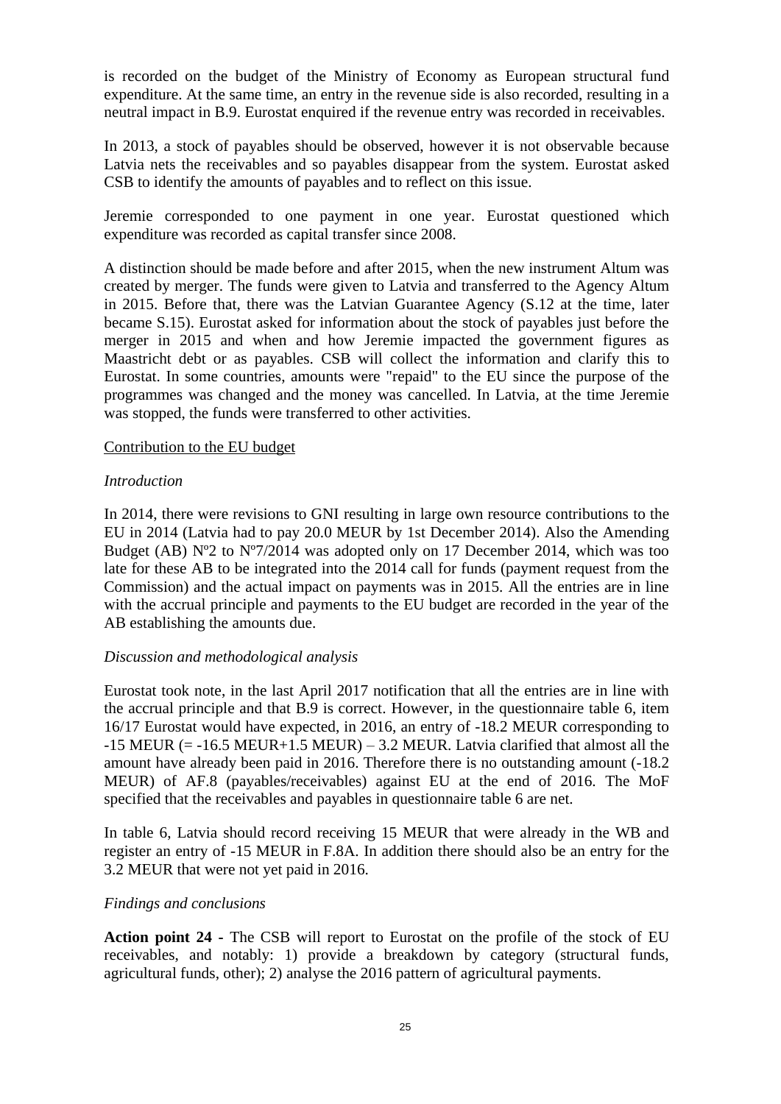is recorded on the budget of the Ministry of Economy as European structural fund expenditure. At the same time, an entry in the revenue side is also recorded, resulting in a neutral impact in B.9. Eurostat enquired if the revenue entry was recorded in receivables.

In 2013, a stock of payables should be observed, however it is not observable because Latvia nets the receivables and so payables disappear from the system. Eurostat asked CSB to identify the amounts of payables and to reflect on this issue.

Jeremie corresponded to one payment in one year. Eurostat questioned which expenditure was recorded as capital transfer since 2008.

A distinction should be made before and after 2015, when the new instrument Altum was created by merger. The funds were given to Latvia and transferred to the Agency Altum in 2015. Before that, there was the Latvian Guarantee Agency (S.12 at the time, later became S.15). Eurostat asked for information about the stock of payables just before the merger in 2015 and when and how Jeremie impacted the government figures as Maastricht debt or as payables. CSB will collect the information and clarify this to Eurostat. In some countries, amounts were "repaid" to the EU since the purpose of the programmes was changed and the money was cancelled. In Latvia, at the time Jeremie was stopped, the funds were transferred to other activities.

#### Contribution to the EU budget

#### *Introduction*

In 2014, there were revisions to GNI resulting in large own resource contributions to the EU in 2014 (Latvia had to pay 20.0 MEUR by 1st December 2014). Also the Amending Budget (AB)  $N^{\circ}2$  to  $N^{\circ}7/2014$  was adopted only on 17 December 2014, which was too late for these AB to be integrated into the 2014 call for funds (payment request from the Commission) and the actual impact on payments was in 2015. All the entries are in line with the accrual principle and payments to the EU budget are recorded in the year of the AB establishing the amounts due.

#### *Discussion and methodological analysis*

Eurostat took note, in the last April 2017 notification that all the entries are in line with the accrual principle and that B.9 is correct. However, in the questionnaire table 6, item 16/17 Eurostat would have expected, in 2016, an entry of -18.2 MEUR corresponding to  $-15$  MEUR (=  $-16.5$  MEUR $+1.5$  MEUR) – 3.2 MEUR. Latvia clarified that almost all the amount have already been paid in 2016. Therefore there is no outstanding amount (-18.2 MEUR) of AF.8 (payables/receivables) against EU at the end of 2016. The MoF specified that the receivables and payables in questionnaire table 6 are net.

In table 6, Latvia should record receiving 15 MEUR that were already in the WB and register an entry of -15 MEUR in F.8A. In addition there should also be an entry for the 3.2 MEUR that were not yet paid in 2016.

#### *Findings and conclusions*

**Action point 24 -** The CSB will report to Eurostat on the profile of the stock of EU receivables, and notably: 1) provide a breakdown by category (structural funds, agricultural funds, other); 2) analyse the 2016 pattern of agricultural payments.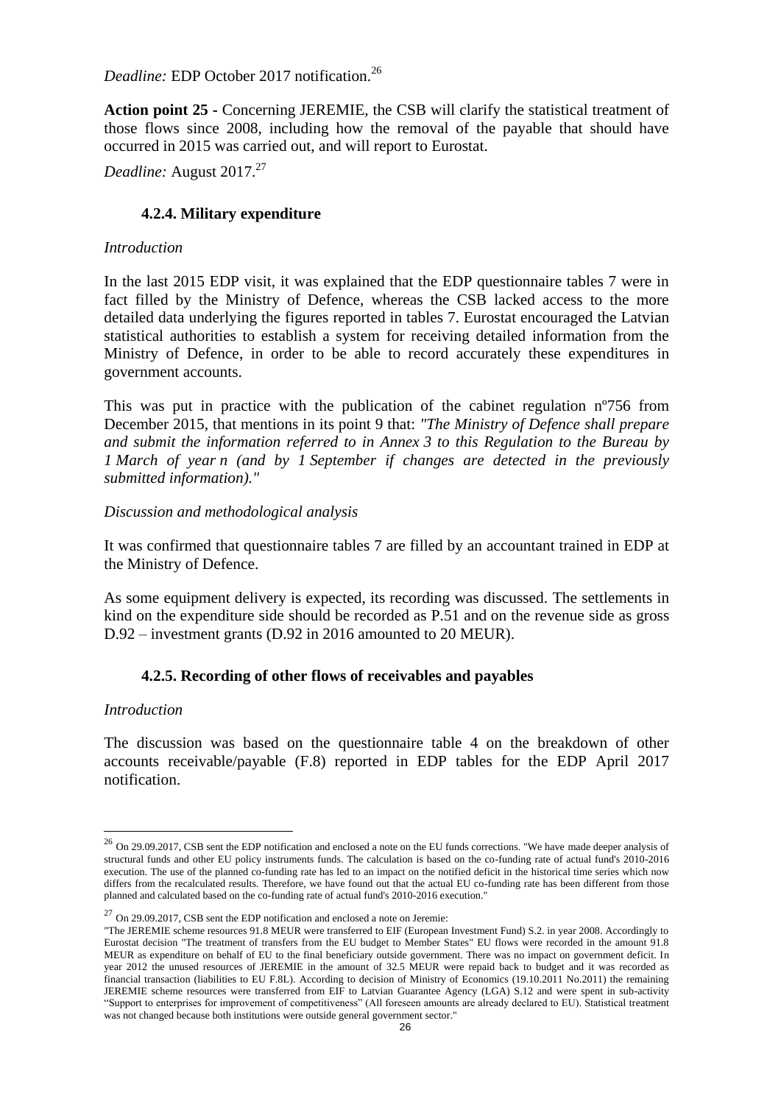*Deadline:* EDP October 2017 notification.<sup>26</sup>

**Action point 25 -** Concerning JEREMIE, the CSB will clarify the statistical treatment of those flows since 2008, including how the removal of the payable that should have occurred in 2015 was carried out, and will report to Eurostat.

*Deadline:* August 2017. 27

# **4.2.4. Military expenditure**

### *Introduction*

In the last 2015 EDP visit, it was explained that the EDP questionnaire tables 7 were in fact filled by the Ministry of Defence, whereas the CSB lacked access to the more detailed data underlying the figures reported in tables 7. Eurostat encouraged the Latvian statistical authorities to establish a system for receiving detailed information from the Ministry of Defence, in order to be able to record accurately these expenditures in government accounts.

This was put in practice with the publication of the cabinet regulation nº756 from December 2015, that mentions in its point 9 that: *"The Ministry of Defence shall prepare and submit the information referred to in Annex 3 to this Regulation to the Bureau by 1 March of year n (and by 1 September if changes are detected in the previously submitted information)."*

### *Discussion and methodological analysis*

It was confirmed that questionnaire tables 7 are filled by an accountant trained in EDP at the Ministry of Defence.

As some equipment delivery is expected, its recording was discussed. The settlements in kind on the expenditure side should be recorded as P.51 and on the revenue side as gross D.92 – investment grants (D.92 in 2016 amounted to 20 MEUR).

# **4.2.5. Recording of other flows of receivables and payables**

#### *Introduction*

 $\overline{a}$ 

The discussion was based on the questionnaire table 4 on the breakdown of other accounts receivable/payable (F.8) reported in EDP tables for the EDP April 2017 notification.

<sup>&</sup>lt;sup>26</sup> On 29.09.2017, CSB sent the EDP notification and enclosed a note on the EU funds corrections. "We have made deeper analysis of structural funds and other EU policy instruments funds. The calculation is based on the co-funding rate of actual fund's 2010-2016 execution. The use of the planned co-funding rate has led to an impact on the notified deficit in the historical time series which now differs from the recalculated results. Therefore, we have found out that the actual EU co-funding rate has been different from those planned and calculated based on the co-funding rate of actual fund's 2010-2016 execution."

 $27$  On 29.09.2017, CSB sent the EDP notification and enclosed a note on Jeremie:

<sup>&</sup>quot;The JEREMIE scheme resources 91.8 MEUR were transferred to EIF (European Investment Fund) S.2. in year 2008. Accordingly to Eurostat decision "The treatment of transfers from the EU budget to Member States" EU flows were recorded in the amount 91.8 MEUR as expenditure on behalf of EU to the final beneficiary outside government. There was no impact on government deficit. In year 2012 the unused resources of JEREMIE in the amount of 32.5 MEUR were repaid back to budget and it was recorded as financial transaction (liabilities to EU F.8L). According to decision of Ministry of Economics (19.10.2011 No.2011) the remaining JEREMIE scheme resources were transferred from EIF to Latvian Guarantee Agency (LGA) S.12 and were spent in sub-activity "Support to enterprises for improvement of competitiveness" (All foreseen amounts are already declared to EU). Statistical treatment was not changed because both institutions were outside general government sector."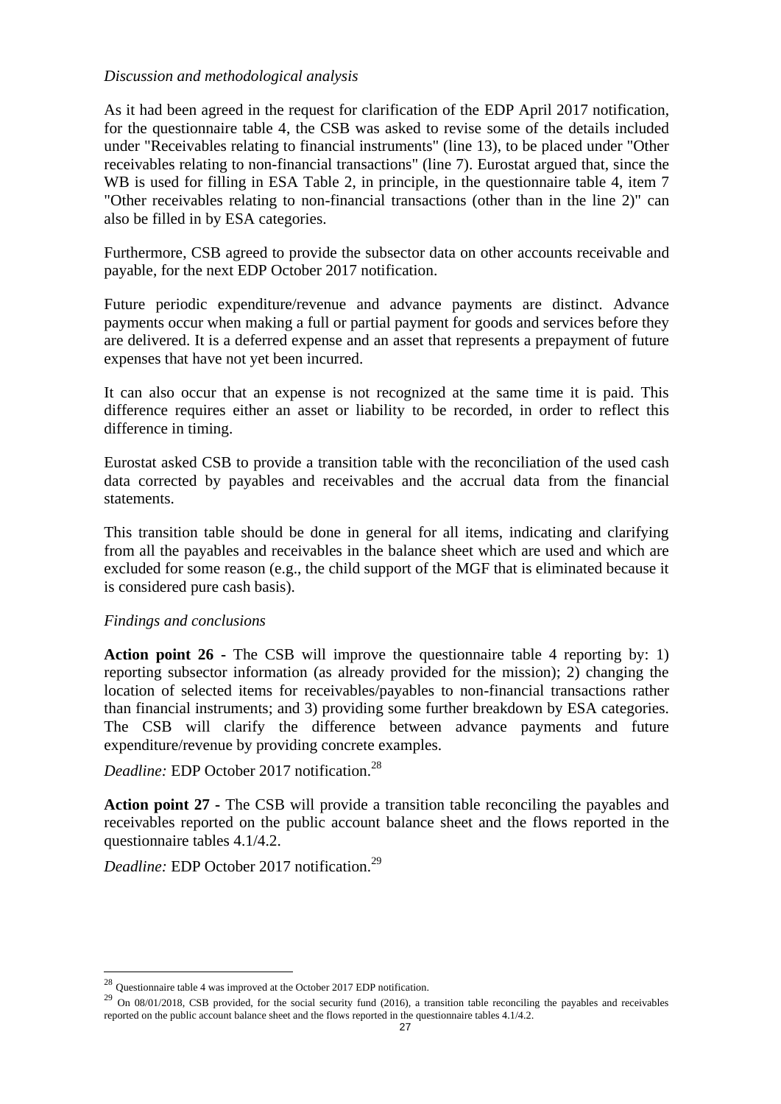#### *Discussion and methodological analysis*

As it had been agreed in the request for clarification of the EDP April 2017 notification, for the questionnaire table 4, the CSB was asked to revise some of the details included under "Receivables relating to financial instruments" (line 13), to be placed under "Other receivables relating to non-financial transactions" (line 7). Eurostat argued that, since the WB is used for filling in ESA Table 2, in principle, in the questionnaire table 4, item 7 "Other receivables relating to non-financial transactions (other than in the line 2)" can also be filled in by ESA categories.

Furthermore, CSB agreed to provide the subsector data on other accounts receivable and payable, for the next EDP October 2017 notification.

Future periodic expenditure/revenue and advance payments are distinct. Advance payments occur when making a full or partial payment for goods and services before they are delivered. It is a deferred expense and an asset that represents a prepayment of future expenses that have not yet been incurred.

It can also occur that an expense is not recognized at the same time it is paid. This difference requires either an asset or liability to be recorded, in order to reflect this difference in timing.

Eurostat asked CSB to provide a transition table with the reconciliation of the used cash data corrected by payables and receivables and the accrual data from the financial statements.

This transition table should be done in general for all items, indicating and clarifying from all the payables and receivables in the balance sheet which are used and which are excluded for some reason (e.g., the child support of the MGF that is eliminated because it is considered pure cash basis).

#### *Findings and conclusions*

 $\overline{a}$ 

**Action point 26 -** The CSB will improve the questionnaire table 4 reporting by: 1) reporting subsector information (as already provided for the mission); 2) changing the location of selected items for receivables/payables to non-financial transactions rather than financial instruments; and 3) providing some further breakdown by ESA categories. The CSB will clarify the difference between advance payments and future expenditure/revenue by providing concrete examples.

*Deadline:* EDP October 2017 notification.<sup>28</sup>

**Action point 27 -** The CSB will provide a transition table reconciling the payables and receivables reported on the public account balance sheet and the flows reported in the questionnaire tables 4.1/4.2.

*Deadline:* EDP October 2017 notification.<sup>29</sup>

 $^{28}$  Questionnaire table 4 was improved at the October 2017 EDP notification.

<sup>&</sup>lt;sup>29</sup> On 08/01/2018, CSB provided, for the social security fund (2016), a transition table reconciling the payables and receivables reported on the public account balance sheet and the flows reported in the questionnaire tables 4.1/4.2.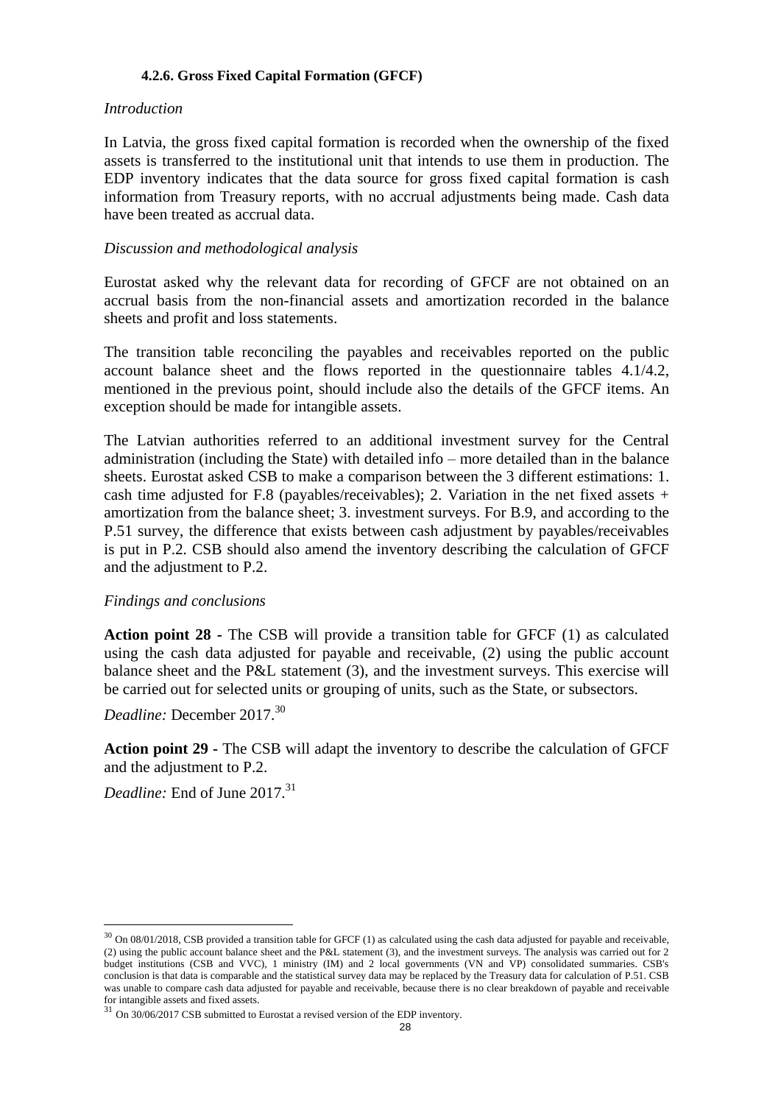#### **4.2.6. Gross Fixed Capital Formation (GFCF)**

#### *Introduction*

In Latvia, the gross fixed capital formation is recorded when the ownership of the fixed assets is transferred to the institutional unit that intends to use them in production. The EDP inventory indicates that the data source for gross fixed capital formation is cash information from Treasury reports, with no accrual adjustments being made. Cash data have been treated as accrual data.

### *Discussion and methodological analysis*

Eurostat asked why the relevant data for recording of GFCF are not obtained on an accrual basis from the non-financial assets and amortization recorded in the balance sheets and profit and loss statements.

The transition table reconciling the payables and receivables reported on the public account balance sheet and the flows reported in the questionnaire tables 4.1/4.2, mentioned in the previous point, should include also the details of the GFCF items. An exception should be made for intangible assets.

The Latvian authorities referred to an additional investment survey for the Central administration (including the State) with detailed info – more detailed than in the balance sheets. Eurostat asked CSB to make a comparison between the 3 different estimations: 1. cash time adjusted for F.8 (payables/receivables); 2. Variation in the net fixed assets  $+$ amortization from the balance sheet; 3. investment surveys. For B.9, and according to the P.51 survey, the difference that exists between cash adjustment by payables/receivables is put in P.2. CSB should also amend the inventory describing the calculation of GFCF and the adjustment to P.2.

#### *Findings and conclusions*

**Action point 28 -** The CSB will provide a transition table for GFCF (1) as calculated using the cash data adjusted for payable and receivable, (2) using the public account balance sheet and the P&L statement (3), and the investment surveys. This exercise will be carried out for selected units or grouping of units, such as the State, or subsectors.

*Deadline:* December 2017.<sup>30</sup>

**Action point 29 -** The CSB will adapt the inventory to describe the calculation of GFCF and the adjustment to P.2.

*Deadline:* End of June 2017.<sup>31</sup>

 $30$  On 08/01/2018, CSB provided a transition table for GFCF (1) as calculated using the cash data adjusted for payable and receivable, (2) using the public account balance sheet and the P&L statement (3), and the investment surveys. The analysis was carried out for 2 budget institutions (CSB and VVC), 1 ministry (IM) and 2 local governments (VN and VP) consolidated summaries. CSB's conclusion is that data is comparable and the statistical survey data may be replaced by the Treasury data for calculation of P.51. CSB was unable to compare cash data adjusted for payable and receivable, because there is no clear breakdown of payable and receivable for intangible assets and fixed assets.

 $31$  On  $30/06/2017$  CSB submitted to Eurostat a revised version of the EDP inventory.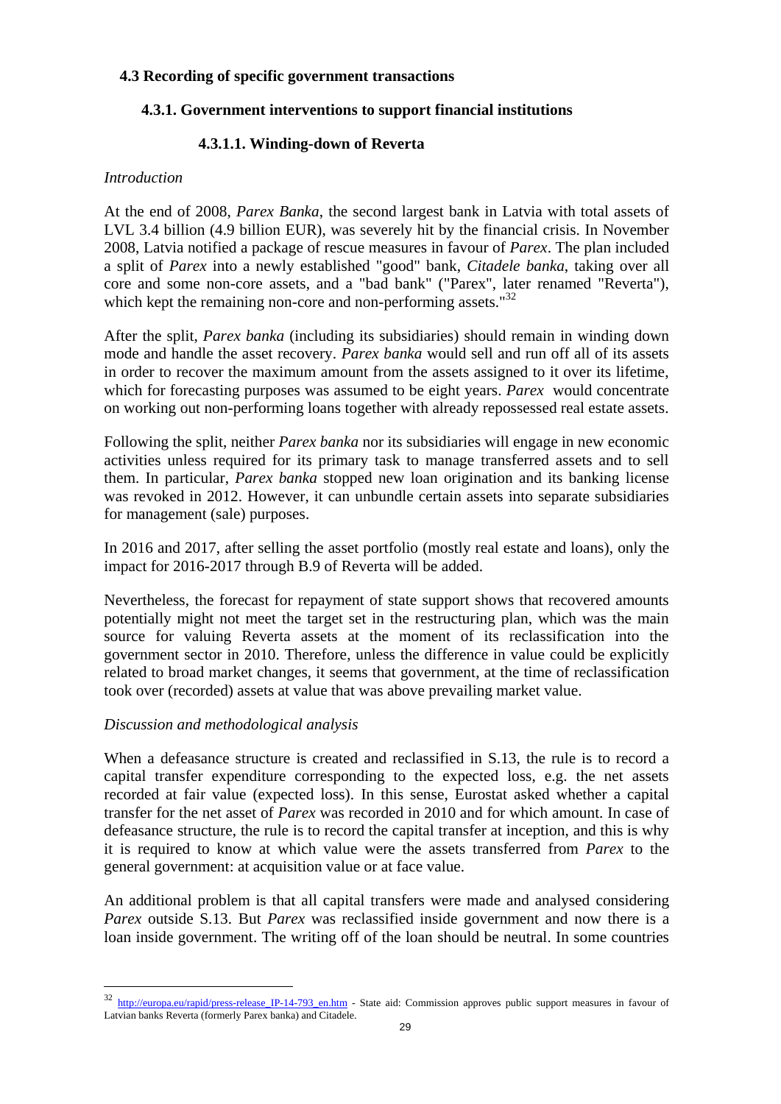### **4.3 Recording of specific government transactions**

# **4.3.1. Government interventions to support financial institutions**

# **4.3.1.1. Winding-down of Reverta**

#### *Introduction*

At the end of 2008, *Parex Banka*, the second largest bank in Latvia with total assets of LVL 3.4 billion (4.9 billion EUR), was severely hit by the financial crisis. In November 2008, Latvia notified a package of rescue measures in favour of *Parex*. The plan included a split of *Parex* into a newly established "good" bank, *Citadele banka*, taking over all core and some non-core assets, and a "bad bank" ("Parex", later renamed "Reverta"), which kept the remaining non-core and non-performing assets. $132$ 

After the split, *Parex banka* (including its subsidiaries) should remain in winding down mode and handle the asset recovery. *Parex banka* would sell and run off all of its assets in order to recover the maximum amount from the assets assigned to it over its lifetime, which for forecasting purposes was assumed to be eight years. *Parex* would concentrate on working out non-performing loans together with already repossessed real estate assets.

Following the split, neither *Parex banka* nor its subsidiaries will engage in new economic activities unless required for its primary task to manage transferred assets and to sell them. In particular, *Parex banka* stopped new loan origination and its banking license was revoked in 2012. However, it can unbundle certain assets into separate subsidiaries for management (sale) purposes.

In 2016 and 2017, after selling the asset portfolio (mostly real estate and loans), only the impact for 2016-2017 through B.9 of Reverta will be added.

Nevertheless, the forecast for repayment of state support shows that recovered amounts potentially might not meet the target set in the restructuring plan, which was the main source for valuing Reverta assets at the moment of its reclassification into the government sector in 2010. Therefore, unless the difference in value could be explicitly related to broad market changes, it seems that government, at the time of reclassification took over (recorded) assets at value that was above prevailing market value.

#### *Discussion and methodological analysis*

 $\overline{a}$ 

When a defeasance structure is created and reclassified in S.13, the rule is to record a capital transfer expenditure corresponding to the expected loss, e.g. the net assets recorded at fair value (expected loss). In this sense, Eurostat asked whether a capital transfer for the net asset of *Parex* was recorded in 2010 and for which amount. In case of defeasance structure, the rule is to record the capital transfer at inception, and this is why it is required to know at which value were the assets transferred from *Parex* to the general government: at acquisition value or at face value.

An additional problem is that all capital transfers were made and analysed considering *Parex* outside S.13. But *Parex* was reclassified inside government and now there is a loan inside government. The writing off of the loan should be neutral. In some countries

<sup>&</sup>lt;sup>32</sup> [http://europa.eu/rapid/press-release\\_IP-14-793\\_en.htm](http://europa.eu/rapid/press-release_IP-14-793_en.htm) - State aid: Commission approves public support measures in favour of Latvian banks Reverta (formerly Parex banka) and Citadele.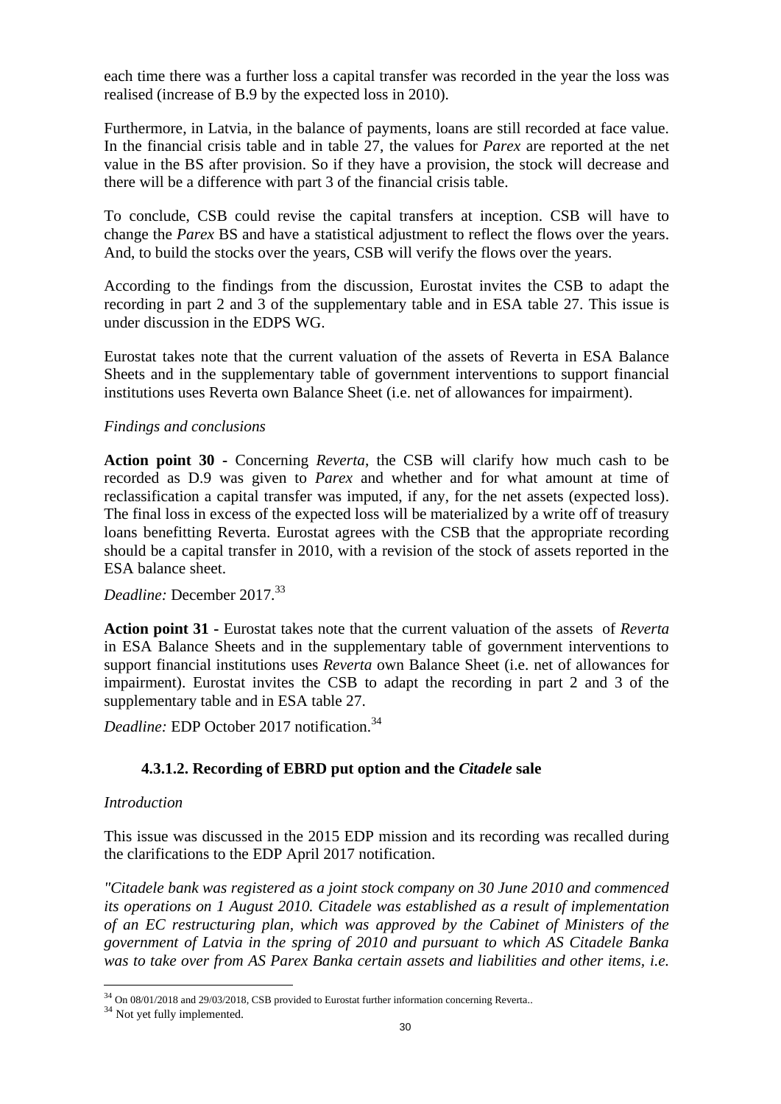each time there was a further loss a capital transfer was recorded in the year the loss was realised (increase of B.9 by the expected loss in 2010).

Furthermore, in Latvia, in the balance of payments, loans are still recorded at face value. In the financial crisis table and in table 27, the values for *Parex* are reported at the net value in the BS after provision. So if they have a provision, the stock will decrease and there will be a difference with part 3 of the financial crisis table.

To conclude, CSB could revise the capital transfers at inception. CSB will have to change the *Parex* BS and have a statistical adjustment to reflect the flows over the years. And, to build the stocks over the years, CSB will verify the flows over the years.

According to the findings from the discussion, Eurostat invites the CSB to adapt the recording in part 2 and 3 of the supplementary table and in ESA table 27. This issue is under discussion in the EDPS WG.

Eurostat takes note that the current valuation of the assets of Reverta in ESA Balance Sheets and in the supplementary table of government interventions to support financial institutions uses Reverta own Balance Sheet (i.e. net of allowances for impairment).

#### *Findings and conclusions*

**Action point 30 -** Concerning *Reverta*, the CSB will clarify how much cash to be recorded as D.9 was given to *Parex* and whether and for what amount at time of reclassification a capital transfer was imputed, if any, for the net assets (expected loss). The final loss in excess of the expected loss will be materialized by a write off of treasury loans benefitting Reverta. Eurostat agrees with the CSB that the appropriate recording should be a capital transfer in 2010, with a revision of the stock of assets reported in the ESA balance sheet.

*Deadline:* December 2017.<sup>33</sup>

**Action point 31 -** Eurostat takes note that the current valuation of the assets of *Reverta* in ESA Balance Sheets and in the supplementary table of government interventions to support financial institutions uses *Reverta* own Balance Sheet (i.e. net of allowances for impairment). Eurostat invites the CSB to adapt the recording in part 2 and 3 of the supplementary table and in ESA table 27.

*Deadline:* EDP October 2017 notification.<sup>34</sup>

# **4.3.1.2. Recording of EBRD put option and the** *Citadele* **sale**

#### *Introduction*

This issue was discussed in the 2015 EDP mission and its recording was recalled during the clarifications to the EDP April 2017 notification.

*"Citadele bank was registered as a joint stock company on 30 June 2010 and commenced its operations on 1 August 2010. Citadele was established as a result of implementation of an EC restructuring plan, which was approved by the Cabinet of Ministers of the government of Latvia in the spring of 2010 and pursuant to which AS Citadele Banka was to take over from AS Parex Banka certain assets and liabilities and other items, i.e.* 

 $34$  On 08/01/2018 and 29/03/2018, CSB provided to Eurostat further information concerning Reverta..

<sup>&</sup>lt;sup>34</sup> Not yet fully implemented.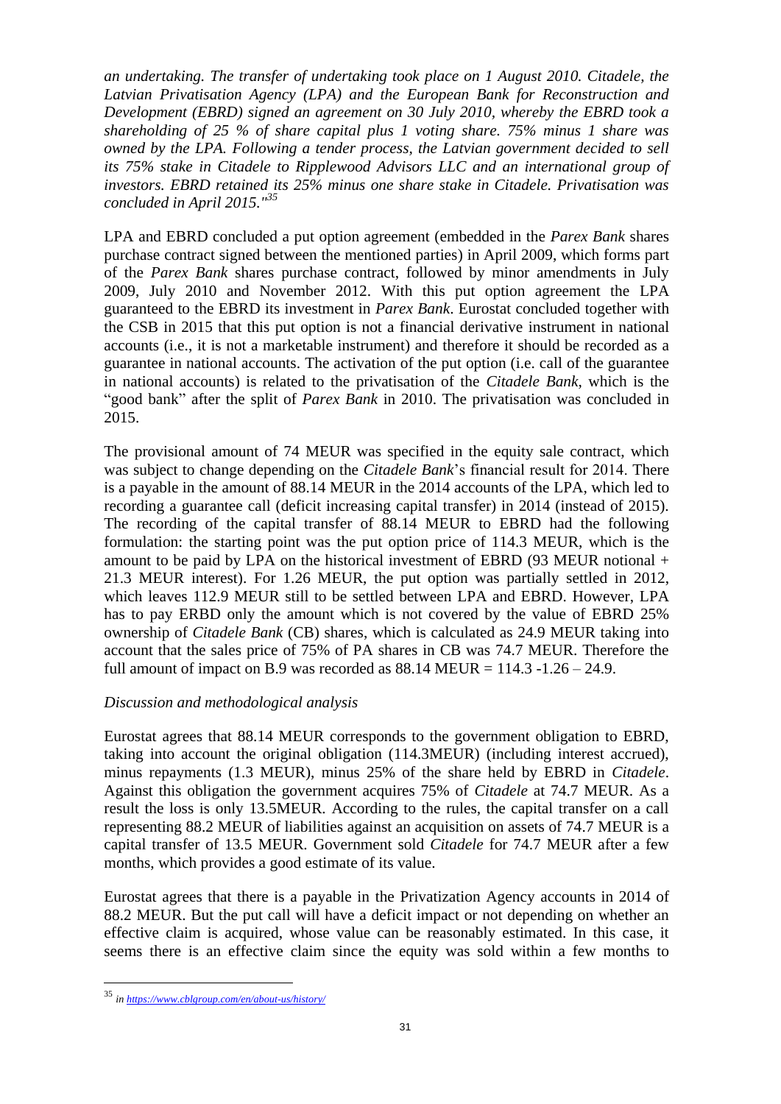*an undertaking. The transfer of undertaking took place on 1 August 2010. Citadele, the Latvian Privatisation Agency (LPA) and the European Bank for Reconstruction and Development (EBRD) signed an agreement on 30 July 2010, whereby the EBRD took a shareholding of 25 % of share capital plus 1 voting share. 75% minus 1 share was owned by the LPA. Following a tender process, the Latvian government decided to sell its 75% stake in Citadele to Ripplewood Advisors LLC and an international group of investors. EBRD retained its 25% minus one share stake in Citadele. Privatisation was concluded in April 2015." 35*

LPA and EBRD concluded a put option agreement (embedded in the *Parex Bank* shares purchase contract signed between the mentioned parties) in April 2009, which forms part of the *Parex Bank* shares purchase contract, followed by minor amendments in July 2009, July 2010 and November 2012. With this put option agreement the LPA guaranteed to the EBRD its investment in *Parex Bank*. Eurostat concluded together with the CSB in 2015 that this put option is not a financial derivative instrument in national accounts (i.e., it is not a marketable instrument) and therefore it should be recorded as a guarantee in national accounts. The activation of the put option (i.e. call of the guarantee in national accounts) is related to the privatisation of the *Citadele Bank*, which is the "good bank" after the split of *Parex Bank* in 2010. The privatisation was concluded in 2015.

The provisional amount of 74 MEUR was specified in the equity sale contract, which was subject to change depending on the *Citadele Bank*'s financial result for 2014. There is a payable in the amount of 88.14 MEUR in the 2014 accounts of the LPA, which led to recording a guarantee call (deficit increasing capital transfer) in 2014 (instead of 2015). The recording of the capital transfer of 88.14 MEUR to EBRD had the following formulation: the starting point was the put option price of 114.3 MEUR, which is the amount to be paid by LPA on the historical investment of EBRD (93 MEUR notional + 21.3 MEUR interest). For 1.26 MEUR, the put option was partially settled in 2012, which leaves 112.9 MEUR still to be settled between LPA and EBRD. However, LPA has to pay ERBD only the amount which is not covered by the value of EBRD 25% ownership of *Citadele Bank* (CB) shares, which is calculated as 24.9 MEUR taking into account that the sales price of 75% of PA shares in CB was 74.7 MEUR. Therefore the full amount of impact on B.9 was recorded as  $88.14 \text{ MEUR} = 114.3 \text{ -} 1.26 - 24.9$ .

#### *Discussion and methodological analysis*

Eurostat agrees that 88.14 MEUR corresponds to the government obligation to EBRD, taking into account the original obligation (114.3MEUR) (including interest accrued), minus repayments (1.3 MEUR), minus 25% of the share held by EBRD in *Citadele*. Against this obligation the government acquires 75% of *Citadele* at 74.7 MEUR. As a result the loss is only 13.5MEUR. According to the rules, the capital transfer on a call representing 88.2 MEUR of liabilities against an acquisition on assets of 74.7 MEUR is a capital transfer of 13.5 MEUR. Government sold *Citadele* for 74.7 MEUR after a few months, which provides a good estimate of its value.

Eurostat agrees that there is a payable in the Privatization Agency accounts in 2014 of 88.2 MEUR. But the put call will have a deficit impact or not depending on whether an effective claim is acquired, whose value can be reasonably estimated. In this case, it seems there is an effective claim since the equity was sold within a few months to

<sup>35</sup> *i[n https://www.cblgroup.com/en/about-us/history/](https://www.cblgroup.com/en/about-us/history/)*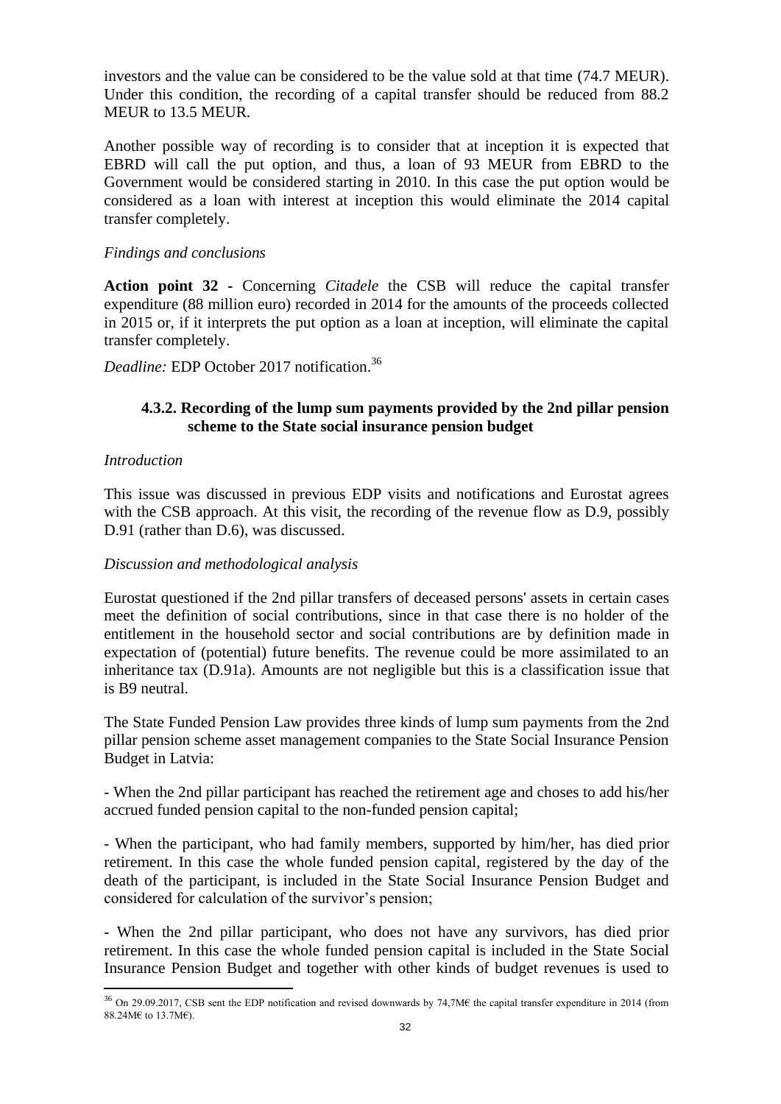investors and the value can be considered to be the value sold at that time (74.7 MEUR). Under this condition, the recording of a capital transfer should be reduced from 88.2 MEUR to 13.5 MEUR.

Another possible way of recording is to consider that at inception it is expected that EBRD will call the put option, and thus, a loan of 93 MEUR from EBRD to the Government would be considered starting in 2010. In this case the put option would be considered as a loan with interest at inception this would eliminate the 2014 capital transfer completely.

#### *Findings and conclusions*

**Action point 32 -** Concerning *Citadele* the CSB will reduce the capital transfer expenditure (88 million euro) recorded in 2014 for the amounts of the proceeds collected in 2015 or, if it interprets the put option as a loan at inception, will eliminate the capital transfer completely.

*Deadline:* EDP October 2017 notification.<sup>36</sup>

#### **4.3.2. Recording of the lump sum payments provided by the 2nd pillar pension scheme to the State social insurance pension budget**

#### *Introduction*

 $\overline{a}$ 

This issue was discussed in previous EDP visits and notifications and Eurostat agrees with the CSB approach. At this visit, the recording of the revenue flow as D.9, possibly D.91 (rather than D.6), was discussed.

#### *Discussion and methodological analysis*

Eurostat questioned if the 2nd pillar transfers of deceased persons' assets in certain cases meet the definition of social contributions, since in that case there is no holder of the entitlement in the household sector and social contributions are by definition made in expectation of (potential) future benefits. The revenue could be more assimilated to an inheritance tax (D.91a). Amounts are not negligible but this is a classification issue that is B9 neutral.

The State Funded Pension Law provides three kinds of lump sum payments from the 2nd pillar pension scheme asset management companies to the State Social Insurance Pension Budget in Latvia:

- When the 2nd pillar participant has reached the retirement age and choses to add his/her accrued funded pension capital to the non-funded pension capital;

- When the participant, who had family members, supported by him/her, has died prior retirement. In this case the whole funded pension capital, registered by the day of the death of the participant, is included in the State Social Insurance Pension Budget and considered for calculation of the survivor's pension;

- When the 2nd pillar participant, who does not have any survivors, has died prior retirement. In this case the whole funded pension capital is included in the State Social Insurance Pension Budget and together with other kinds of budget revenues is used to

<sup>&</sup>lt;sup>36</sup> On 29.09.2017, CSB sent the EDP notification and revised downwards by 74,7M€ the capital transfer expenditure in 2014 (from 88.24ME to 13.7ME).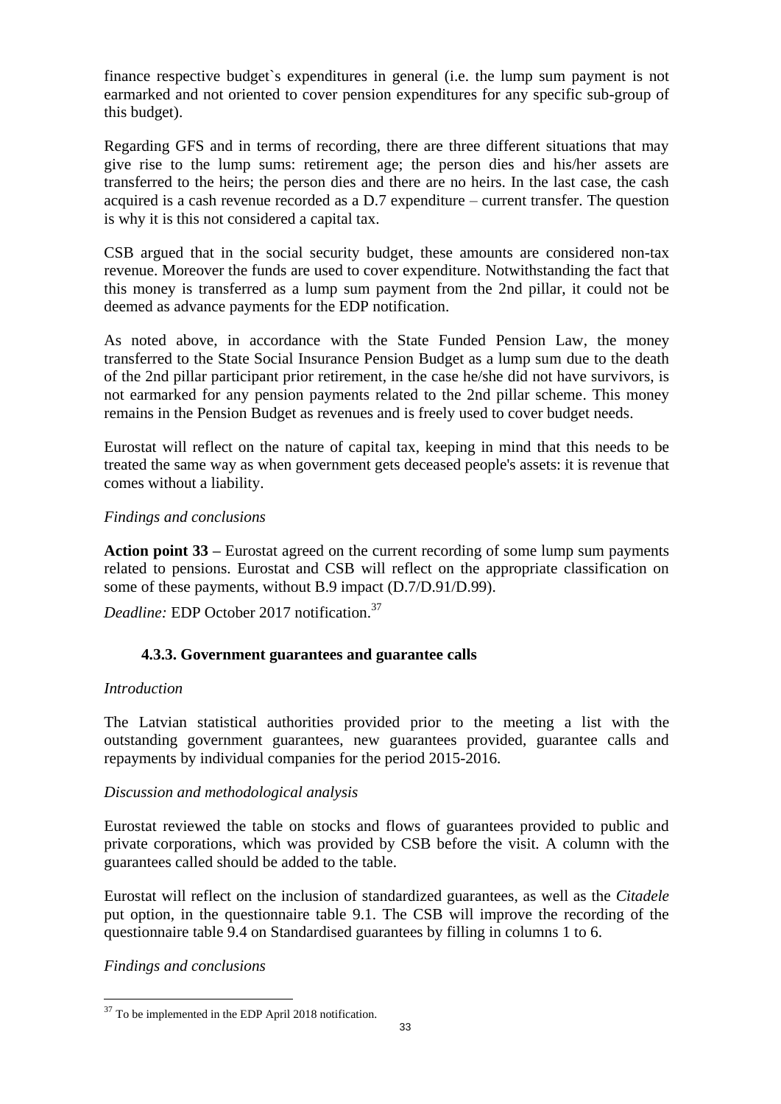finance respective budget`s expenditures in general (i.e. the lump sum payment is not earmarked and not oriented to cover pension expenditures for any specific sub-group of this budget).

Regarding GFS and in terms of recording, there are three different situations that may give rise to the lump sums: retirement age; the person dies and his/her assets are transferred to the heirs; the person dies and there are no heirs. In the last case, the cash acquired is a cash revenue recorded as a D.7 expenditure – current transfer. The question is why it is this not considered a capital tax.

CSB argued that in the social security budget, these amounts are considered non-tax revenue. Moreover the funds are used to cover expenditure. Notwithstanding the fact that this money is transferred as a lump sum payment from the 2nd pillar, it could not be deemed as advance payments for the EDP notification.

As noted above, in accordance with the State Funded Pension Law, the money transferred to the State Social Insurance Pension Budget as a lump sum due to the death of the 2nd pillar participant prior retirement, in the case he/she did not have survivors, is not earmarked for any pension payments related to the 2nd pillar scheme. This money remains in the Pension Budget as revenues and is freely used to cover budget needs.

Eurostat will reflect on the nature of capital tax, keeping in mind that this needs to be treated the same way as when government gets deceased people's assets: it is revenue that comes without a liability.

#### *Findings and conclusions*

**Action point 33 –** Eurostat agreed on the current recording of some lump sum payments related to pensions. Eurostat and CSB will reflect on the appropriate classification on some of these payments, without B.9 impact (D.7/D.91/D.99).

*Deadline:* EDP October 2017 notification.<sup>37</sup>

# **4.3.3. Government guarantees and guarantee calls**

#### *Introduction*

The Latvian statistical authorities provided prior to the meeting a list with the outstanding government guarantees, new guarantees provided, guarantee calls and repayments by individual companies for the period 2015-2016.

#### *Discussion and methodological analysis*

Eurostat reviewed the table on stocks and flows of guarantees provided to public and private corporations, which was provided by CSB before the visit. A column with the guarantees called should be added to the table.

Eurostat will reflect on the inclusion of standardized guarantees, as well as the *Citadele* put option, in the questionnaire table 9.1. The CSB will improve the recording of the questionnaire table 9.4 on Standardised guarantees by filling in columns 1 to 6.

*Findings and conclusions*

<sup>&</sup>lt;sup>37</sup> To be implemented in the EDP April 2018 notification.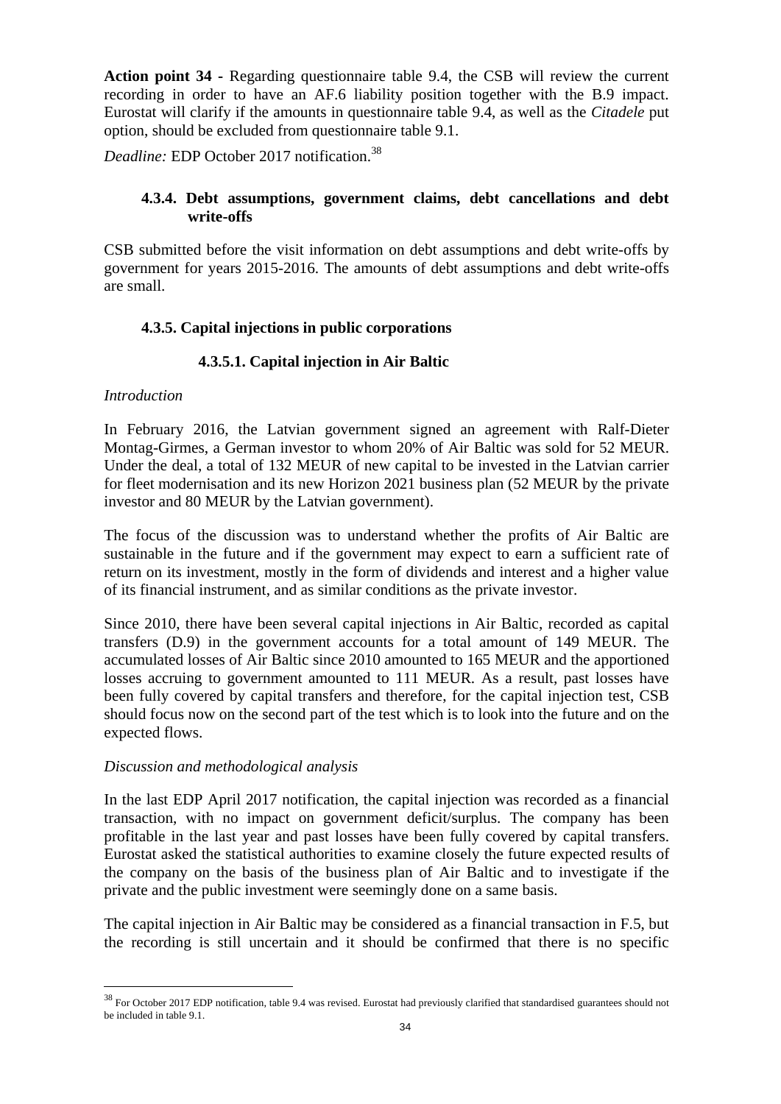**Action point 34 -** Regarding questionnaire table 9.4, the CSB will review the current recording in order to have an AF.6 liability position together with the B.9 impact. Eurostat will clarify if the amounts in questionnaire table 9.4, as well as the *Citadele* put option, should be excluded from questionnaire table 9.1.

*Deadline:* EDP October 2017 notification.<sup>38</sup>

# **4.3.4. Debt assumptions, government claims, debt cancellations and debt write-offs**

CSB submitted before the visit information on debt assumptions and debt write-offs by government for years 2015-2016. The amounts of debt assumptions and debt write-offs are small.

# **4.3.5. Capital injections in public corporations**

# **4.3.5.1. Capital injection in Air Baltic**

### *Introduction*

 $\overline{a}$ 

In February 2016, the Latvian government signed an agreement with Ralf-Dieter Montag-Girmes, a German investor to whom 20% of Air Baltic was sold for 52 MEUR. Under the deal, a total of 132 MEUR of new capital to be invested in the Latvian carrier for fleet modernisation and its new Horizon 2021 business plan (52 MEUR by the private investor and 80 MEUR by the Latvian government).

The focus of the discussion was to understand whether the profits of Air Baltic are sustainable in the future and if the government may expect to earn a sufficient rate of return on its investment, mostly in the form of dividends and interest and a higher value of its financial instrument, and as similar conditions as the private investor.

Since 2010, there have been several capital injections in Air Baltic, recorded as capital transfers (D.9) in the government accounts for a total amount of 149 MEUR. The accumulated losses of Air Baltic since 2010 amounted to 165 MEUR and the apportioned losses accruing to government amounted to 111 MEUR. As a result, past losses have been fully covered by capital transfers and therefore, for the capital injection test, CSB should focus now on the second part of the test which is to look into the future and on the expected flows.

#### *Discussion and methodological analysis*

In the last EDP April 2017 notification, the capital injection was recorded as a financial transaction, with no impact on government deficit/surplus. The company has been profitable in the last year and past losses have been fully covered by capital transfers. Eurostat asked the statistical authorities to examine closely the future expected results of the company on the basis of the business plan of Air Baltic and to investigate if the private and the public investment were seemingly done on a same basis.

The capital injection in Air Baltic may be considered as a financial transaction in F.5, but the recording is still uncertain and it should be confirmed that there is no specific

<sup>&</sup>lt;sup>38</sup> For October 2017 EDP notification, table 9.4 was revised. Eurostat had previously clarified that standardised guarantees should not be included in table 9.1.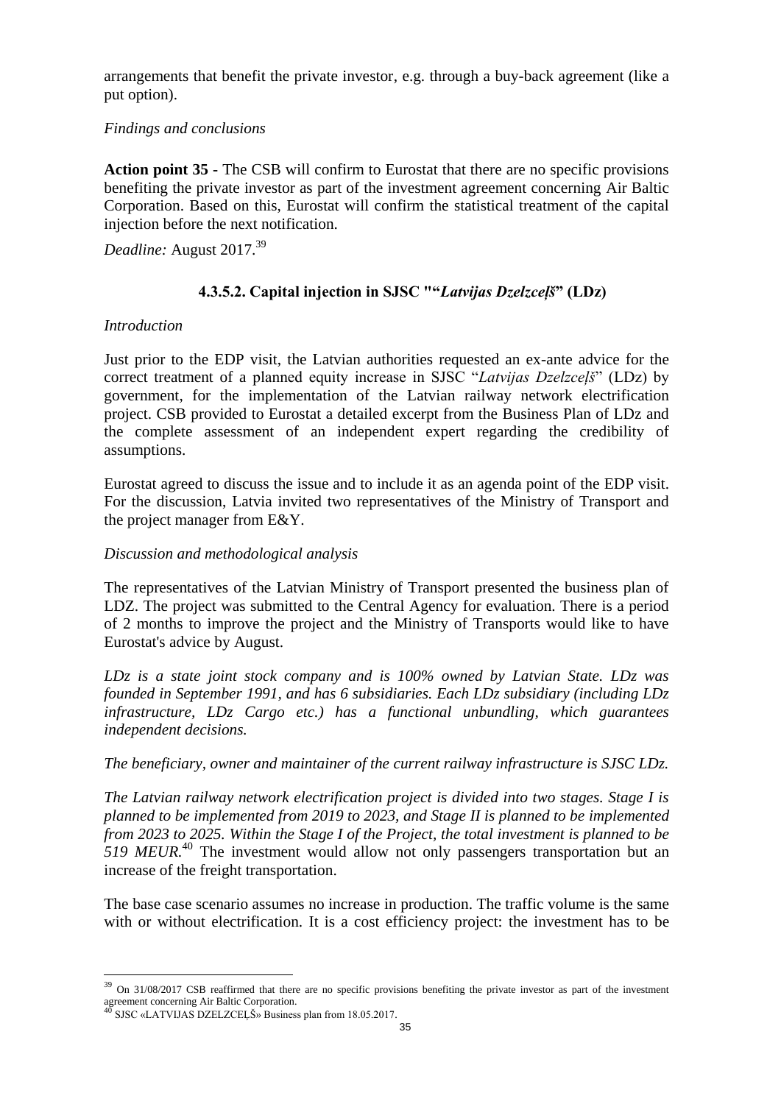arrangements that benefit the private investor, e.g. through a buy-back agreement (like a put option).

### *Findings and conclusions*

**Action point 35 -** The CSB will confirm to Eurostat that there are no specific provisions benefiting the private investor as part of the investment agreement concerning Air Baltic Corporation. Based on this, Eurostat will confirm the statistical treatment of the capital injection before the next notification.

*Deadline:* August 2017.<sup>39</sup>

# **4.3.5.2. Capital injection in SJSC ""***Latvijas Dzelzceļš***" (LDz)**

### *Introduction*

Just prior to the EDP visit, the Latvian authorities requested an ex-ante advice for the correct treatment of a planned equity increase in SJSC "*Latvijas Dzelzceļš*" (LDz) by government, for the implementation of the Latvian railway network electrification project. CSB provided to Eurostat a detailed excerpt from the Business Plan of LDz and the complete assessment of an independent expert regarding the credibility of assumptions.

Eurostat agreed to discuss the issue and to include it as an agenda point of the EDP visit. For the discussion, Latvia invited two representatives of the Ministry of Transport and the project manager from E&Y.

### *Discussion and methodological analysis*

The representatives of the Latvian Ministry of Transport presented the business plan of LDZ. The project was submitted to the Central Agency for evaluation. There is a period of 2 months to improve the project and the Ministry of Transports would like to have Eurostat's advice by August.

*LDz is a state joint stock company and is 100% owned by Latvian State. LDz was founded in September 1991, and has 6 subsidiaries. Each LDz subsidiary (including LDz infrastructure, LDz Cargo etc.) has a functional unbundling, which guarantees independent decisions.* 

*The beneficiary, owner and maintainer of the current railway infrastructure is SJSC LDz.* 

*The Latvian railway network electrification project is divided into two stages. Stage I is planned to be implemented from 2019 to 2023, and Stage II is planned to be implemented from 2023 to 2025. Within the Stage I of the Project, the total investment is planned to be 519 MEUR.*<sup>40</sup> The investment would allow not only passengers transportation but an increase of the freight transportation.

The base case scenario assumes no increase in production. The traffic volume is the same with or without electrification. It is a cost efficiency project: the investment has to be

<sup>&</sup>lt;sup>39</sup> On 31/08/2017 CSB reaffirmed that there are no specific provisions benefiting the private investor as part of the investment agreement concerning Air Baltic Corporation.

SJSC «LATVIJAS DZELZCEĻŠ» Business plan from 18.05.2017.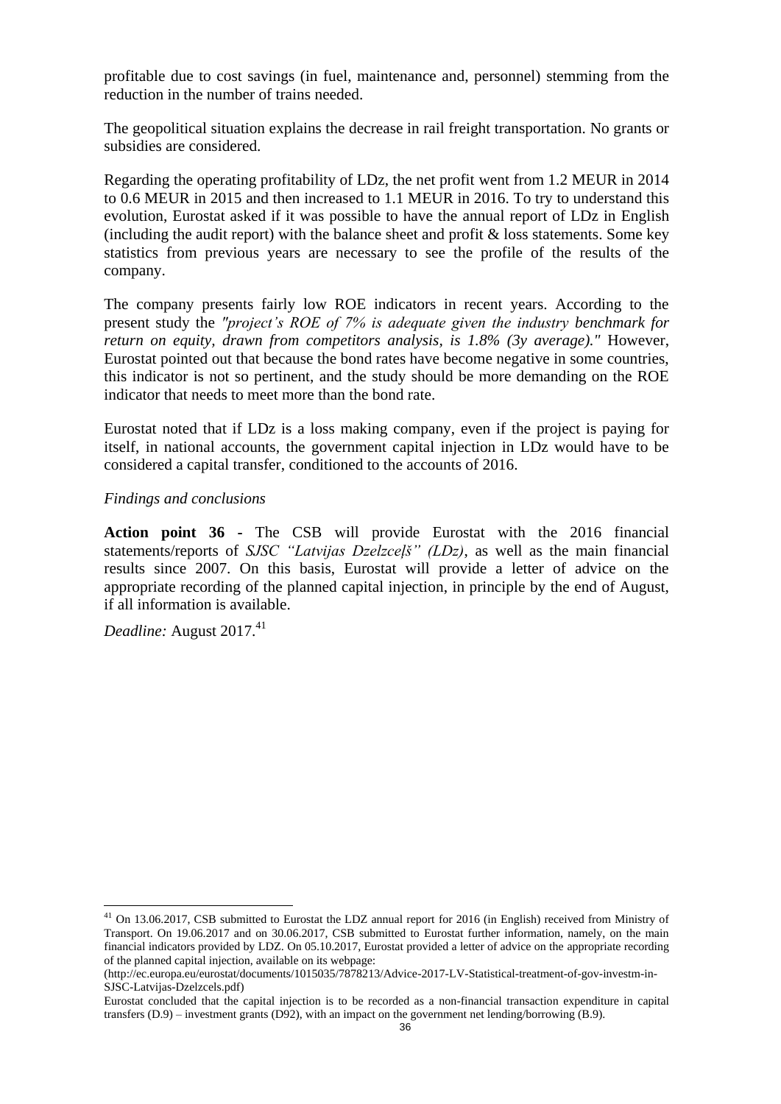profitable due to cost savings (in fuel, maintenance and, personnel) stemming from the reduction in the number of trains needed.

The geopolitical situation explains the decrease in rail freight transportation. No grants or subsidies are considered.

Regarding the operating profitability of LDz, the net profit went from 1.2 MEUR in 2014 to 0.6 MEUR in 2015 and then increased to 1.1 MEUR in 2016. To try to understand this evolution, Eurostat asked if it was possible to have the annual report of LDz in English (including the audit report) with the balance sheet and profit  $\&$  loss statements. Some key statistics from previous years are necessary to see the profile of the results of the company.

The company presents fairly low ROE indicators in recent years. According to the present study the *"project's ROE of 7% is adequate given the industry benchmark for return on equity, drawn from competitors analysis, is 1.8% (3y average)."* However, Eurostat pointed out that because the bond rates have become negative in some countries, this indicator is not so pertinent, and the study should be more demanding on the ROE indicator that needs to meet more than the bond rate.

Eurostat noted that if LDz is a loss making company, even if the project is paying for itself, in national accounts, the government capital injection in LDz would have to be considered a capital transfer, conditioned to the accounts of 2016.

#### *Findings and conclusions*

**Action point 36 -** The CSB will provide Eurostat with the 2016 financial statements/reports of *SJSC "Latvijas Dzelzceļš" (LDz)*, as well as the main financial results since 2007. On this basis, Eurostat will provide a letter of advice on the appropriate recording of the planned capital injection, in principle by the end of August, if all information is available.

*Deadline:* August 2017.<sup>41</sup>

 $41$  On 13.06.2017, CSB submitted to Eurostat the LDZ annual report for 2016 (in English) received from Ministry of Transport. On 19.06.2017 and on 30.06.2017, CSB submitted to Eurostat further information, namely, on the main financial indicators provided by LDZ. On 05.10.2017, Eurostat provided a letter of advice on the appropriate recording of the planned capital injection, available on its webpage:

<sup>(</sup>http://ec.europa.eu/eurostat/documents/1015035/7878213/Advice-2017-LV-Statistical-treatment-of-gov-investm-in-SJSC-Latvijas-Dzelzcels.pdf)

Eurostat concluded that the capital injection is to be recorded as a non-financial transaction expenditure in capital transfers (D.9) – investment grants (D92), with an impact on the government net lending/borrowing (B.9).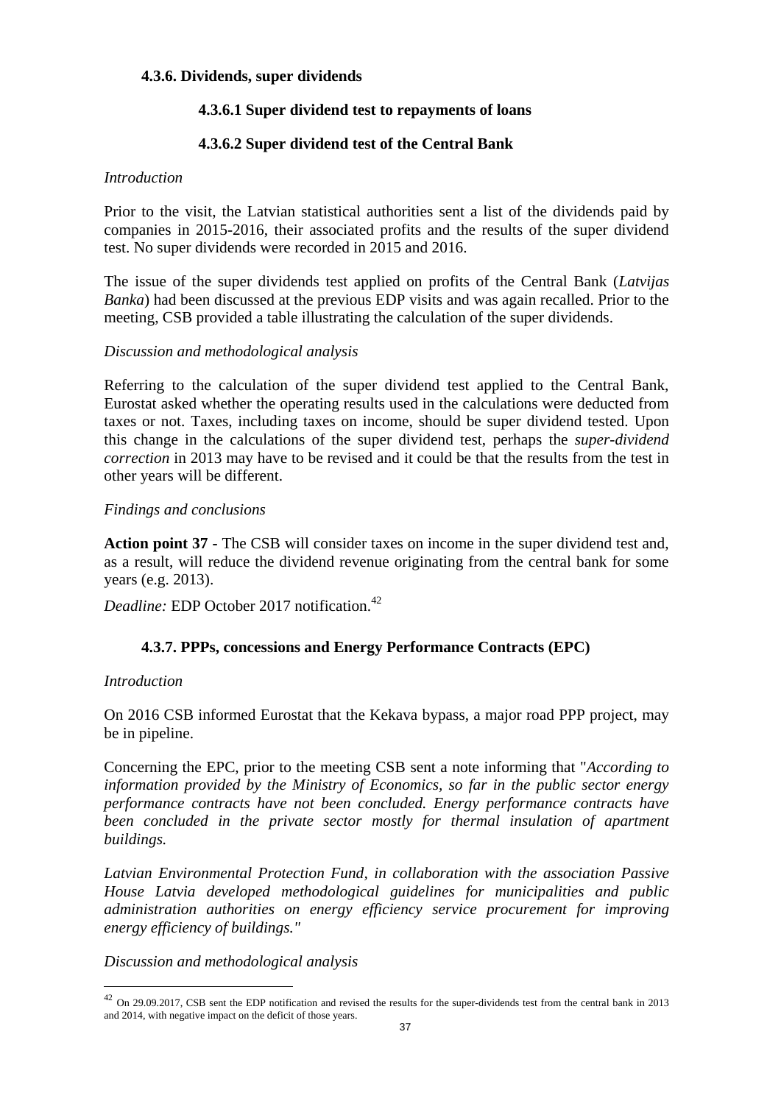### **4.3.6. Dividends, super dividends**

# **4.3.6.1 Super dividend test to repayments of loans**

# **4.3.6.2 Super dividend test of the Central Bank**

#### *Introduction*

Prior to the visit, the Latvian statistical authorities sent a list of the dividends paid by companies in 2015-2016, their associated profits and the results of the super dividend test. No super dividends were recorded in 2015 and 2016.

The issue of the super dividends test applied on profits of the Central Bank (*Latvijas Banka*) had been discussed at the previous EDP visits and was again recalled. Prior to the meeting, CSB provided a table illustrating the calculation of the super dividends.

### *Discussion and methodological analysis*

Referring to the calculation of the super dividend test applied to the Central Bank, Eurostat asked whether the operating results used in the calculations were deducted from taxes or not. Taxes, including taxes on income, should be super dividend tested. Upon this change in the calculations of the super dividend test, perhaps the *super-dividend correction* in 2013 may have to be revised and it could be that the results from the test in other years will be different.

#### *Findings and conclusions*

**Action point 37 -** The CSB will consider taxes on income in the super dividend test and, as a result, will reduce the dividend revenue originating from the central bank for some years (e.g. 2013).

*Deadline:* EDP October 2017 notification.<sup>42</sup>

# **4.3.7. PPPs, concessions and Energy Performance Contracts (EPC)**

#### *Introduction*

 $\overline{a}$ 

On 2016 CSB informed Eurostat that the Kekava bypass, a major road PPP project, may be in pipeline.

Concerning the EPC, prior to the meeting CSB sent a note informing that "*According to information provided by the Ministry of Economics, so far in the public sector energy performance contracts have not been concluded. Energy performance contracts have been concluded in the private sector mostly for thermal insulation of apartment buildings.*

*Latvian Environmental Protection Fund, in collaboration with the association Passive House Latvia developed methodological guidelines for municipalities and public administration authorities on energy efficiency service procurement for improving energy efficiency of buildings."*

*Discussion and methodological analysis*

 $42$  On 29.09.2017, CSB sent the EDP notification and revised the results for the super-dividends test from the central bank in 2013 and 2014, with negative impact on the deficit of those years.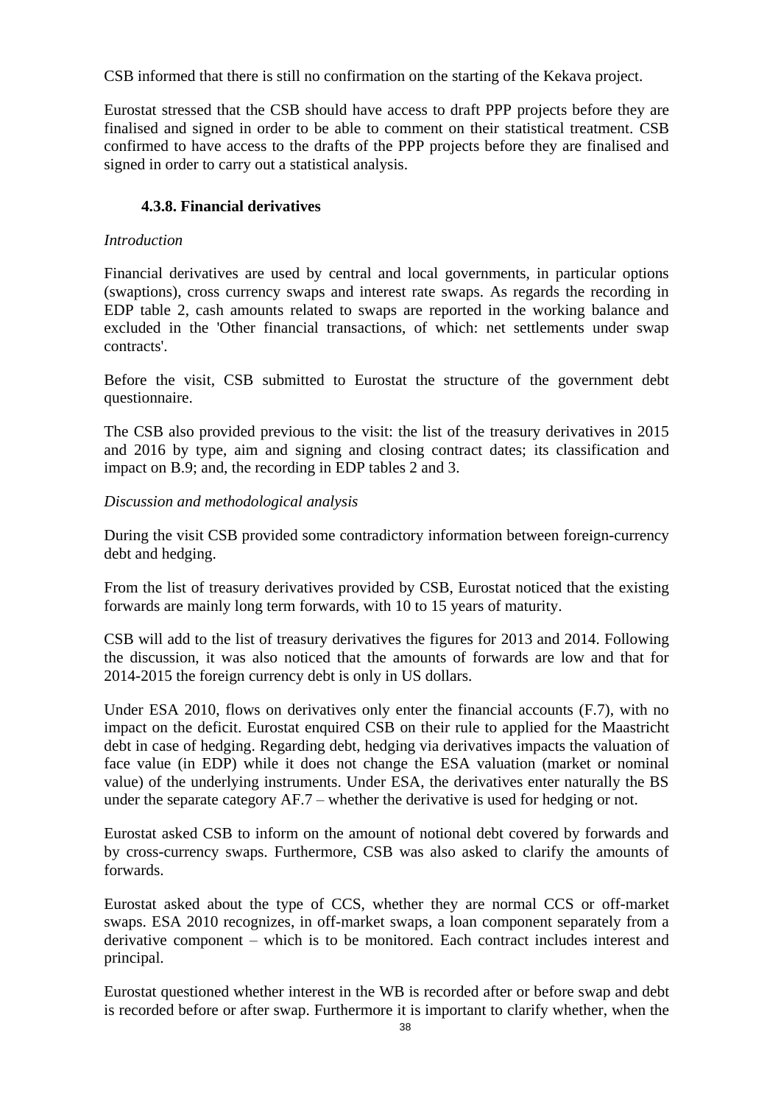CSB informed that there is still no confirmation on the starting of the Kekava project.

Eurostat stressed that the CSB should have access to draft PPP projects before they are finalised and signed in order to be able to comment on their statistical treatment. CSB confirmed to have access to the drafts of the PPP projects before they are finalised and signed in order to carry out a statistical analysis.

# **4.3.8. Financial derivatives**

# *Introduction*

Financial derivatives are used by central and local governments, in particular options (swaptions), cross currency swaps and interest rate swaps. As regards the recording in EDP table 2, cash amounts related to swaps are reported in the working balance and excluded in the 'Other financial transactions, of which: net settlements under swap contracts'.

Before the visit, CSB submitted to Eurostat the structure of the government debt questionnaire.

The CSB also provided previous to the visit: the list of the treasury derivatives in 2015 and 2016 by type, aim and signing and closing contract dates; its classification and impact on B.9; and, the recording in EDP tables 2 and 3.

# *Discussion and methodological analysis*

During the visit CSB provided some contradictory information between foreign-currency debt and hedging.

From the list of treasury derivatives provided by CSB, Eurostat noticed that the existing forwards are mainly long term forwards, with 10 to 15 years of maturity.

CSB will add to the list of treasury derivatives the figures for 2013 and 2014. Following the discussion, it was also noticed that the amounts of forwards are low and that for 2014-2015 the foreign currency debt is only in US dollars.

Under ESA 2010, flows on derivatives only enter the financial accounts (F.7), with no impact on the deficit. Eurostat enquired CSB on their rule to applied for the Maastricht debt in case of hedging. Regarding debt, hedging via derivatives impacts the valuation of face value (in EDP) while it does not change the ESA valuation (market or nominal value) of the underlying instruments. Under ESA, the derivatives enter naturally the BS under the separate category AF.7 – whether the derivative is used for hedging or not.

Eurostat asked CSB to inform on the amount of notional debt covered by forwards and by cross-currency swaps. Furthermore, CSB was also asked to clarify the amounts of forwards.

Eurostat asked about the type of CCS, whether they are normal CCS or off-market swaps. ESA 2010 recognizes, in off-market swaps, a loan component separately from a derivative component – which is to be monitored. Each contract includes interest and principal.

Eurostat questioned whether interest in the WB is recorded after or before swap and debt is recorded before or after swap. Furthermore it is important to clarify whether, when the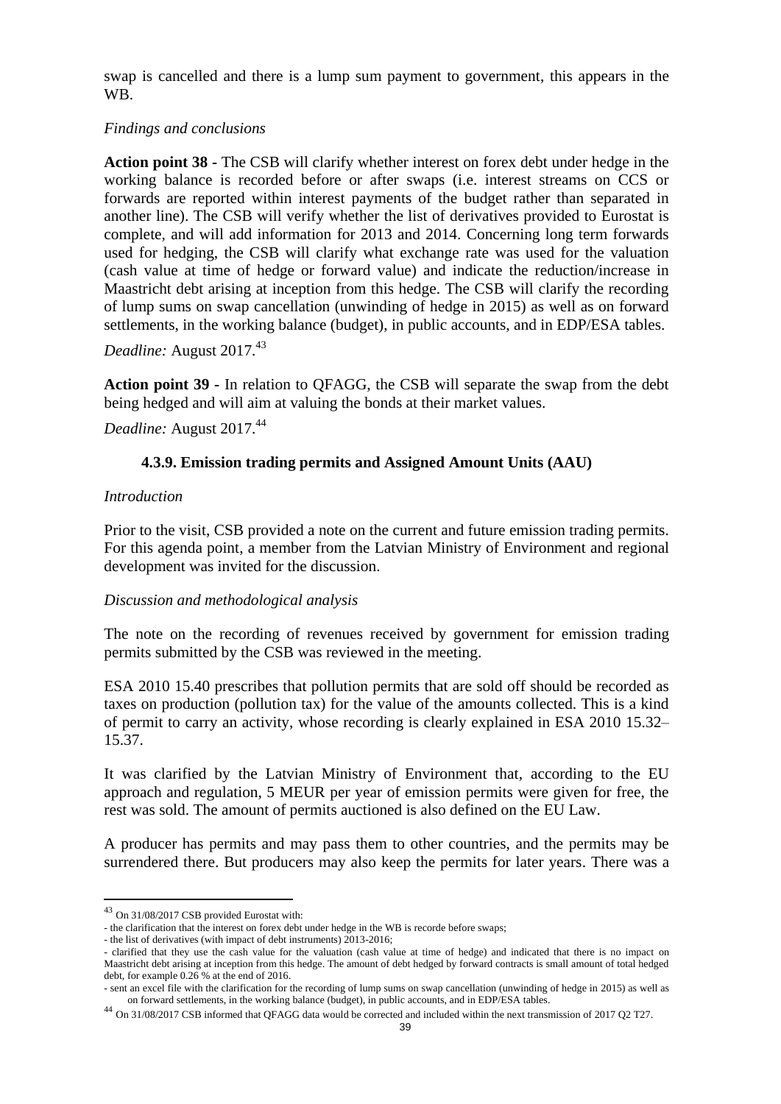swap is cancelled and there is a lump sum payment to government, this appears in the WB.

### *Findings and conclusions*

**Action point 38 -** The CSB will clarify whether interest on forex debt under hedge in the working balance is recorded before or after swaps (i.e. interest streams on CCS or forwards are reported within interest payments of the budget rather than separated in another line). The CSB will verify whether the list of derivatives provided to Eurostat is complete, and will add information for 2013 and 2014. Concerning long term forwards used for hedging, the CSB will clarify what exchange rate was used for the valuation (cash value at time of hedge or forward value) and indicate the reduction/increase in Maastricht debt arising at inception from this hedge. The CSB will clarify the recording of lump sums on swap cancellation (unwinding of hedge in 2015) as well as on forward settlements, in the working balance (budget), in public accounts, and in EDP/ESA tables.

*Deadline:* August 2017.<sup>43</sup>

**Action point 39 -** In relation to QFAGG, the CSB will separate the swap from the debt being hedged and will aim at valuing the bonds at their market values.

*Deadline:* August 2017.<sup>44</sup>

# **4.3.9. Emission trading permits and Assigned Amount Units (AAU)**

#### *Introduction*

Prior to the visit, CSB provided a note on the current and future emission trading permits. For this agenda point, a member from the Latvian Ministry of Environment and regional development was invited for the discussion.

#### *Discussion and methodological analysis*

The note on the recording of revenues received by government for emission trading permits submitted by the CSB was reviewed in the meeting.

ESA 2010 15.40 prescribes that pollution permits that are sold off should be recorded as taxes on production (pollution tax) for the value of the amounts collected. This is a kind of permit to carry an activity, whose recording is clearly explained in ESA 2010 15.32– 15.37.

It was clarified by the Latvian Ministry of Environment that, according to the EU approach and regulation, 5 MEUR per year of emission permits were given for free, the rest was sold. The amount of permits auctioned is also defined on the EU Law.

A producer has permits and may pass them to other countries, and the permits may be surrendered there. But producers may also keep the permits for later years. There was a

<sup>43</sup> On 31/08/2017 CSB provided Eurostat with:

<sup>-</sup> the clarification that the interest on forex debt under hedge in the WB is recorde before swaps;

<sup>-</sup> the list of derivatives (with impact of debt instruments) 2013-2016;

<sup>-</sup> clarified that they use the cash value for the valuation (cash value at time of hedge) and indicated that there is no impact on Maastricht debt arising at inception from this hedge. The amount of debt hedged by forward contracts is small amount of total hedged debt, for example 0.26 % at the end of 2016.

<sup>-</sup> sent an excel file with the clarification for the recording of lump sums on swap cancellation (unwinding of hedge in 2015) as well as on forward settlements, in the working balance (budget), in public accounts, and in EDP/ESA tables.

<sup>44</sup> On 31/08/2017 CSB informed that QFAGG data would be corrected and included within the next transmission of 2017 Q2 T27.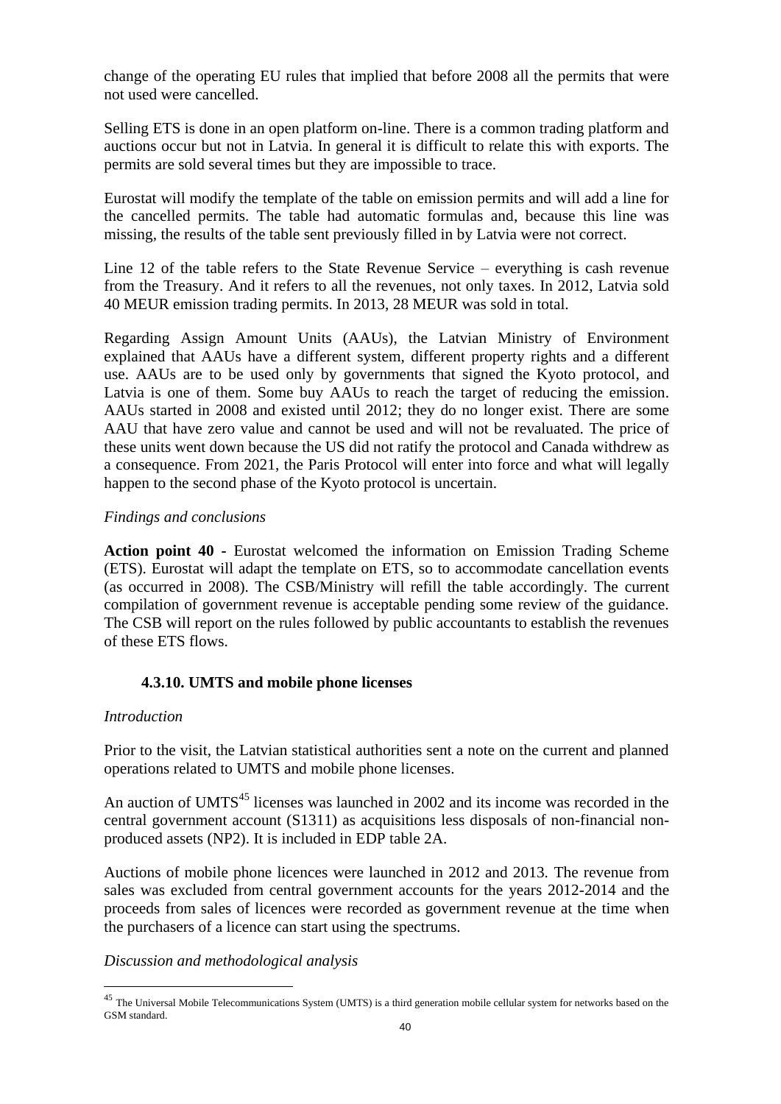change of the operating EU rules that implied that before 2008 all the permits that were not used were cancelled.

Selling ETS is done in an open platform on-line. There is a common trading platform and auctions occur but not in Latvia. In general it is difficult to relate this with exports. The permits are sold several times but they are impossible to trace.

Eurostat will modify the template of the table on emission permits and will add a line for the cancelled permits. The table had automatic formulas and, because this line was missing, the results of the table sent previously filled in by Latvia were not correct.

Line 12 of the table refers to the State Revenue Service – everything is cash revenue from the Treasury. And it refers to all the revenues, not only taxes. In 2012, Latvia sold 40 MEUR emission trading permits. In 2013, 28 MEUR was sold in total.

Regarding Assign Amount Units (AAUs), the Latvian Ministry of Environment explained that AAUs have a different system, different property rights and a different use. AAUs are to be used only by governments that signed the Kyoto protocol, and Latvia is one of them. Some buy AAUs to reach the target of reducing the emission. AAUs started in 2008 and existed until 2012; they do no longer exist. There are some AAU that have zero value and cannot be used and will not be revaluated. The price of these units went down because the US did not ratify the protocol and Canada withdrew as a consequence. From 2021, the Paris Protocol will enter into force and what will legally happen to the second phase of the Kyoto protocol is uncertain.

#### *Findings and conclusions*

**Action point 40 -** Eurostat welcomed the information on Emission Trading Scheme (ETS). Eurostat will adapt the template on ETS, so to accommodate cancellation events (as occurred in 2008). The CSB/Ministry will refill the table accordingly. The current compilation of government revenue is acceptable pending some review of the guidance. The CSB will report on the rules followed by public accountants to establish the revenues of these ETS flows.

#### **4.3.10. UMTS and mobile phone licenses**

#### *Introduction*

 $\overline{a}$ 

Prior to the visit, the Latvian statistical authorities sent a note on the current and planned operations related to UMTS and mobile phone licenses.

An auction of  $UMTS<sup>45</sup>$  licenses was launched in 2002 and its income was recorded in the central government account (S1311) as acquisitions less disposals of non-financial nonproduced assets (NP2). It is included in EDP table 2A.

Auctions of mobile phone licences were launched in 2012 and 2013. The revenue from sales was excluded from central government accounts for the years 2012-2014 and the proceeds from sales of licences were recorded as government revenue at the time when the purchasers of a licence can start using the spectrums.

*Discussion and methodological analysis*

<sup>&</sup>lt;sup>45</sup> The Universal Mobile Telecommunications System (UMTS) is a third generation mobile cellular system for networks based on the GSM standard.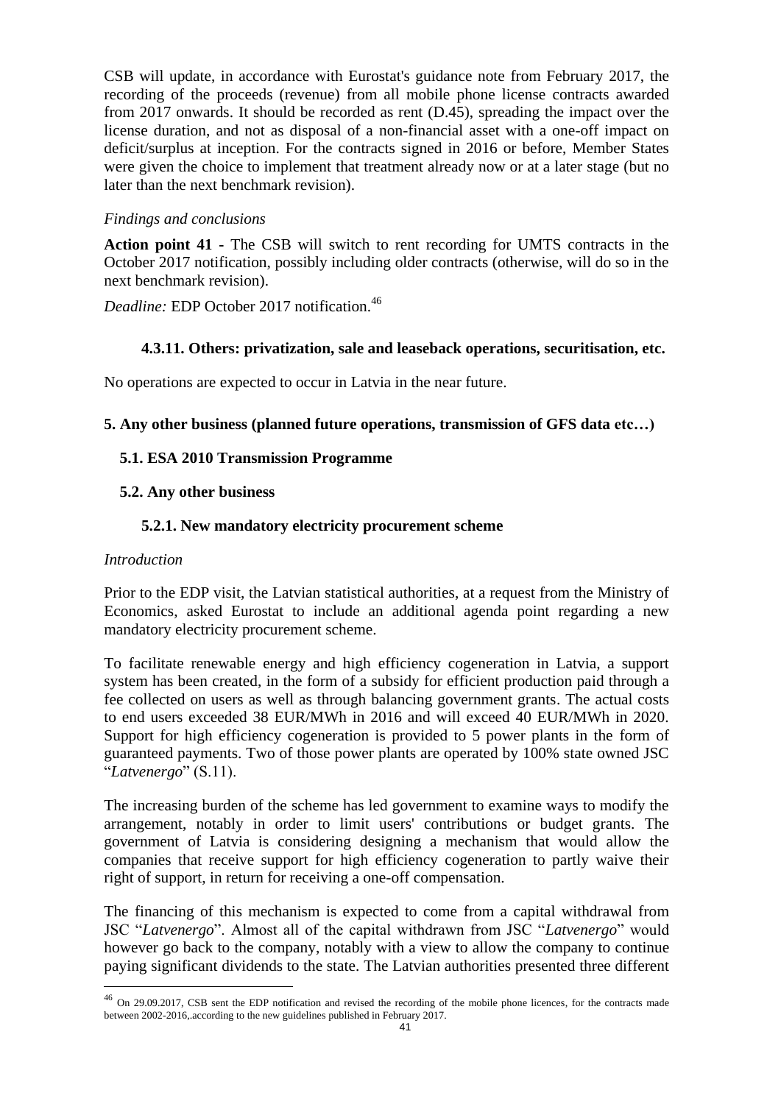CSB will update, in accordance with Eurostat's guidance note from February 2017, the recording of the proceeds (revenue) from all mobile phone license contracts awarded from 2017 onwards. It should be recorded as rent (D.45), spreading the impact over the license duration, and not as disposal of a non-financial asset with a one-off impact on deficit/surplus at inception. For the contracts signed in 2016 or before, Member States were given the choice to implement that treatment already now or at a later stage (but no later than the next benchmark revision).

#### *Findings and conclusions*

**Action point 41 -** The CSB will switch to rent recording for UMTS contracts in the October 2017 notification, possibly including older contracts (otherwise, will do so in the next benchmark revision).

*Deadline:* EDP October 2017 notification.<sup>46</sup>

### **4.3.11. Others: privatization, sale and leaseback operations, securitisation, etc.**

No operations are expected to occur in Latvia in the near future.

### **5. Any other business (planned future operations, transmission of GFS data etc…)**

#### **5.1. ESA 2010 Transmission Programme**

### **5.2. Any other business**

### **5.2.1. New mandatory electricity procurement scheme**

#### *Introduction*

 $\overline{a}$ 

Prior to the EDP visit, the Latvian statistical authorities, at a request from the Ministry of Economics, asked Eurostat to include an additional agenda point regarding a new mandatory electricity procurement scheme.

To facilitate renewable energy and high efficiency cogeneration in Latvia, a support system has been created, in the form of a subsidy for efficient production paid through a fee collected on users as well as through balancing government grants. The actual costs to end users exceeded 38 EUR/MWh in 2016 and will exceed 40 EUR/MWh in 2020. Support for high efficiency cogeneration is provided to 5 power plants in the form of guaranteed payments. Two of those power plants are operated by 100% state owned JSC "*Latvenergo*" (S.11).

The increasing burden of the scheme has led government to examine ways to modify the arrangement, notably in order to limit users' contributions or budget grants. The government of Latvia is considering designing a mechanism that would allow the companies that receive support for high efficiency cogeneration to partly waive their right of support, in return for receiving a one-off compensation.

The financing of this mechanism is expected to come from a capital withdrawal from JSC "*Latvenergo*". Almost all of the capital withdrawn from JSC "*Latvenergo*" would however go back to the company, notably with a view to allow the company to continue paying significant dividends to the state. The Latvian authorities presented three different

<sup>&</sup>lt;sup>46</sup> On 29.09.2017, CSB sent the EDP notification and revised the recording of the mobile phone licences, for the contracts made between 2002-2016,.according to the new guidelines published in February 2017.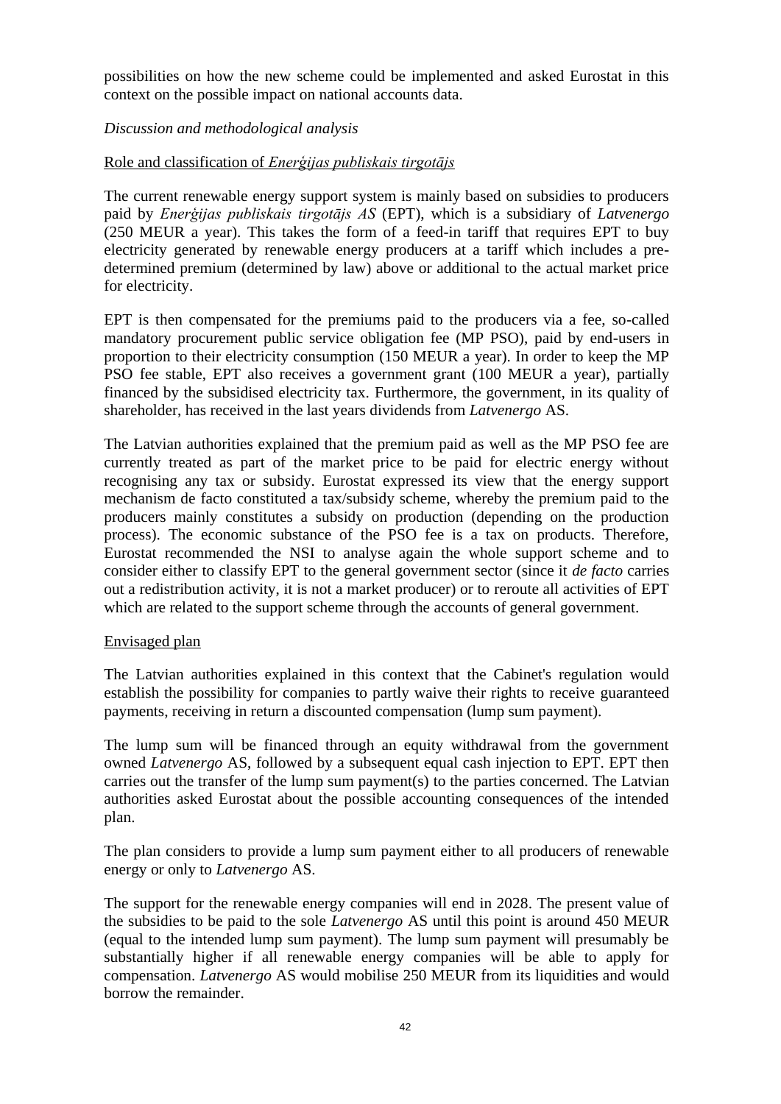possibilities on how the new scheme could be implemented and asked Eurostat in this context on the possible impact on national accounts data.

### *Discussion and methodological analysis*

#### Role and classification of *Enerģijas publiskais tirgotājs*

The current renewable energy support system is mainly based on subsidies to producers paid by *Enerģijas publiskais tirgotājs AS* (EPT), which is a subsidiary of *Latvenergo* (250 MEUR a year). This takes the form of a feed-in tariff that requires EPT to buy electricity generated by renewable energy producers at a tariff which includes a predetermined premium (determined by law) above or additional to the actual market price for electricity.

EPT is then compensated for the premiums paid to the producers via a fee, so-called mandatory procurement public service obligation fee (MP PSO), paid by end-users in proportion to their electricity consumption (150 MEUR a year). In order to keep the MP PSO fee stable, EPT also receives a government grant (100 MEUR a year), partially financed by the subsidised electricity tax. Furthermore, the government, in its quality of shareholder, has received in the last years dividends from *Latvenergo* AS.

The Latvian authorities explained that the premium paid as well as the MP PSO fee are currently treated as part of the market price to be paid for electric energy without recognising any tax or subsidy. Eurostat expressed its view that the energy support mechanism de facto constituted a tax/subsidy scheme, whereby the premium paid to the producers mainly constitutes a subsidy on production (depending on the production process). The economic substance of the PSO fee is a tax on products. Therefore, Eurostat recommended the NSI to analyse again the whole support scheme and to consider either to classify EPT to the general government sector (since it *de facto* carries out a redistribution activity, it is not a market producer) or to reroute all activities of EPT which are related to the support scheme through the accounts of general government.

#### Envisaged plan

The Latvian authorities explained in this context that the Cabinet's regulation would establish the possibility for companies to partly waive their rights to receive guaranteed payments, receiving in return a discounted compensation (lump sum payment).

The lump sum will be financed through an equity withdrawal from the government owned *Latvenergo* AS, followed by a subsequent equal cash injection to EPT. EPT then carries out the transfer of the lump sum payment(s) to the parties concerned. The Latvian authorities asked Eurostat about the possible accounting consequences of the intended plan.

The plan considers to provide a lump sum payment either to all producers of renewable energy or only to *Latvenergo* AS.

The support for the renewable energy companies will end in 2028. The present value of the subsidies to be paid to the sole *Latvenergo* AS until this point is around 450 MEUR (equal to the intended lump sum payment). The lump sum payment will presumably be substantially higher if all renewable energy companies will be able to apply for compensation. *Latvenergo* AS would mobilise 250 MEUR from its liquidities and would borrow the remainder.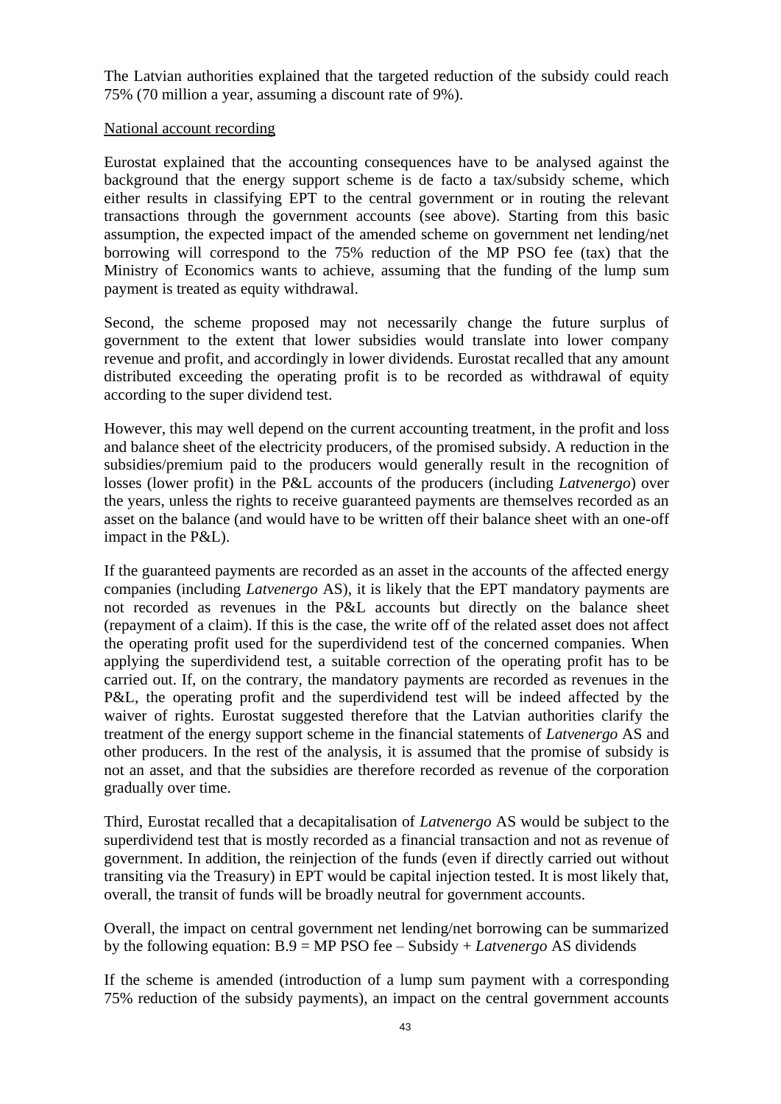The Latvian authorities explained that the targeted reduction of the subsidy could reach 75% (70 million a year, assuming a discount rate of 9%).

#### National account recording

Eurostat explained that the accounting consequences have to be analysed against the background that the energy support scheme is de facto a tax/subsidy scheme, which either results in classifying EPT to the central government or in routing the relevant transactions through the government accounts (see above). Starting from this basic assumption, the expected impact of the amended scheme on government net lending/net borrowing will correspond to the 75% reduction of the MP PSO fee (tax) that the Ministry of Economics wants to achieve, assuming that the funding of the lump sum payment is treated as equity withdrawal.

Second, the scheme proposed may not necessarily change the future surplus of government to the extent that lower subsidies would translate into lower company revenue and profit, and accordingly in lower dividends. Eurostat recalled that any amount distributed exceeding the operating profit is to be recorded as withdrawal of equity according to the super dividend test.

However, this may well depend on the current accounting treatment, in the profit and loss and balance sheet of the electricity producers, of the promised subsidy. A reduction in the subsidies/premium paid to the producers would generally result in the recognition of losses (lower profit) in the P&L accounts of the producers (including *Latvenergo*) over the years, unless the rights to receive guaranteed payments are themselves recorded as an asset on the balance (and would have to be written off their balance sheet with an one-off impact in the P&L).

If the guaranteed payments are recorded as an asset in the accounts of the affected energy companies (including *Latvenergo* AS), it is likely that the EPT mandatory payments are not recorded as revenues in the P&L accounts but directly on the balance sheet (repayment of a claim). If this is the case, the write off of the related asset does not affect the operating profit used for the superdividend test of the concerned companies. When applying the superdividend test, a suitable correction of the operating profit has to be carried out. If, on the contrary, the mandatory payments are recorded as revenues in the P&L, the operating profit and the superdividend test will be indeed affected by the waiver of rights. Eurostat suggested therefore that the Latvian authorities clarify the treatment of the energy support scheme in the financial statements of *Latvenergo* AS and other producers. In the rest of the analysis, it is assumed that the promise of subsidy is not an asset, and that the subsidies are therefore recorded as revenue of the corporation gradually over time.

Third, Eurostat recalled that a decapitalisation of *Latvenergo* AS would be subject to the superdividend test that is mostly recorded as a financial transaction and not as revenue of government. In addition, the reinjection of the funds (even if directly carried out without transiting via the Treasury) in EPT would be capital injection tested. It is most likely that, overall, the transit of funds will be broadly neutral for government accounts.

Overall, the impact on central government net lending/net borrowing can be summarized by the following equation: B.9 = MP PSO fee – Subsidy + *Latvenergo* AS dividends

If the scheme is amended (introduction of a lump sum payment with a corresponding 75% reduction of the subsidy payments), an impact on the central government accounts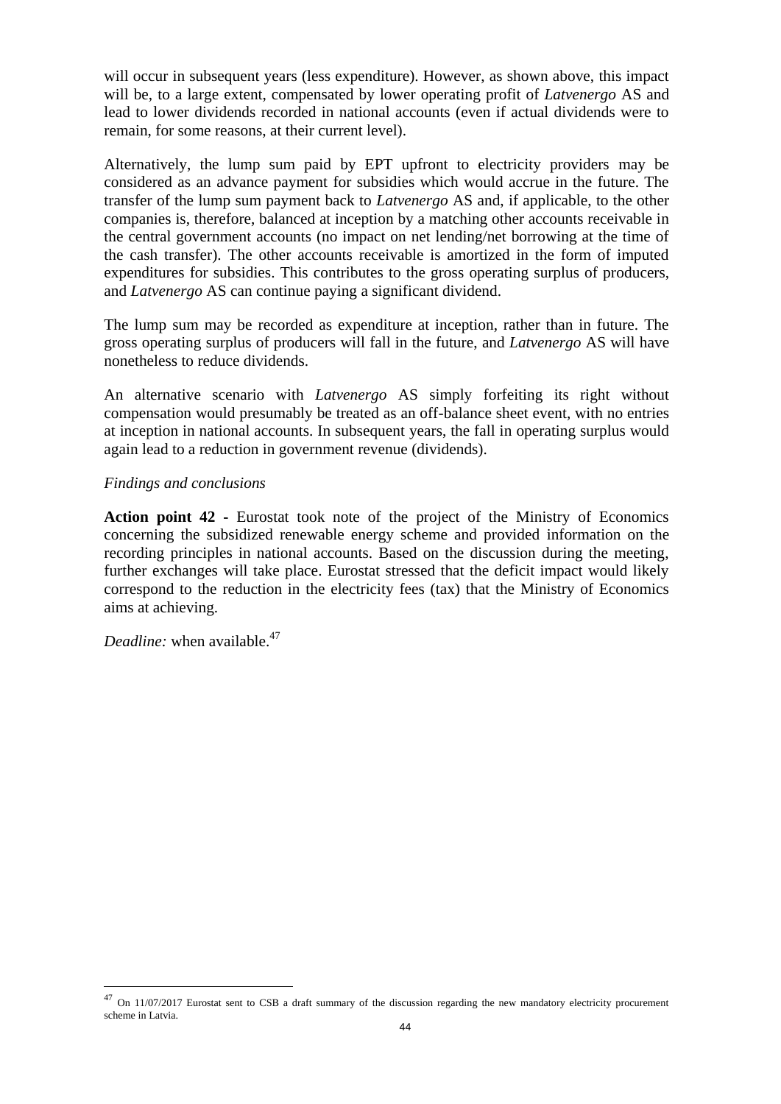will occur in subsequent years (less expenditure). However, as shown above, this impact will be, to a large extent, compensated by lower operating profit of *Latvenergo* AS and lead to lower dividends recorded in national accounts (even if actual dividends were to remain, for some reasons, at their current level).

Alternatively, the lump sum paid by EPT upfront to electricity providers may be considered as an advance payment for subsidies which would accrue in the future. The transfer of the lump sum payment back to *Latvenergo* AS and, if applicable, to the other companies is, therefore, balanced at inception by a matching other accounts receivable in the central government accounts (no impact on net lending/net borrowing at the time of the cash transfer). The other accounts receivable is amortized in the form of imputed expenditures for subsidies. This contributes to the gross operating surplus of producers, and *Latvenergo* AS can continue paying a significant dividend.

The lump sum may be recorded as expenditure at inception, rather than in future. The gross operating surplus of producers will fall in the future, and *Latvenergo* AS will have nonetheless to reduce dividends.

An alternative scenario with *Latvenergo* AS simply forfeiting its right without compensation would presumably be treated as an off-balance sheet event, with no entries at inception in national accounts. In subsequent years, the fall in operating surplus would again lead to a reduction in government revenue (dividends).

#### *Findings and conclusions*

**Action point 42 -** Eurostat took note of the project of the Ministry of Economics concerning the subsidized renewable energy scheme and provided information on the recording principles in national accounts. Based on the discussion during the meeting, further exchanges will take place. Eurostat stressed that the deficit impact would likely correspond to the reduction in the electricity fees (tax) that the Ministry of Economics aims at achieving.

*Deadline:* when available.<sup>47</sup>

<sup>&</sup>lt;sup>47</sup> On 11/07/2017 Eurostat sent to CSB a draft summary of the discussion regarding the new mandatory electricity procurement scheme in Latvia.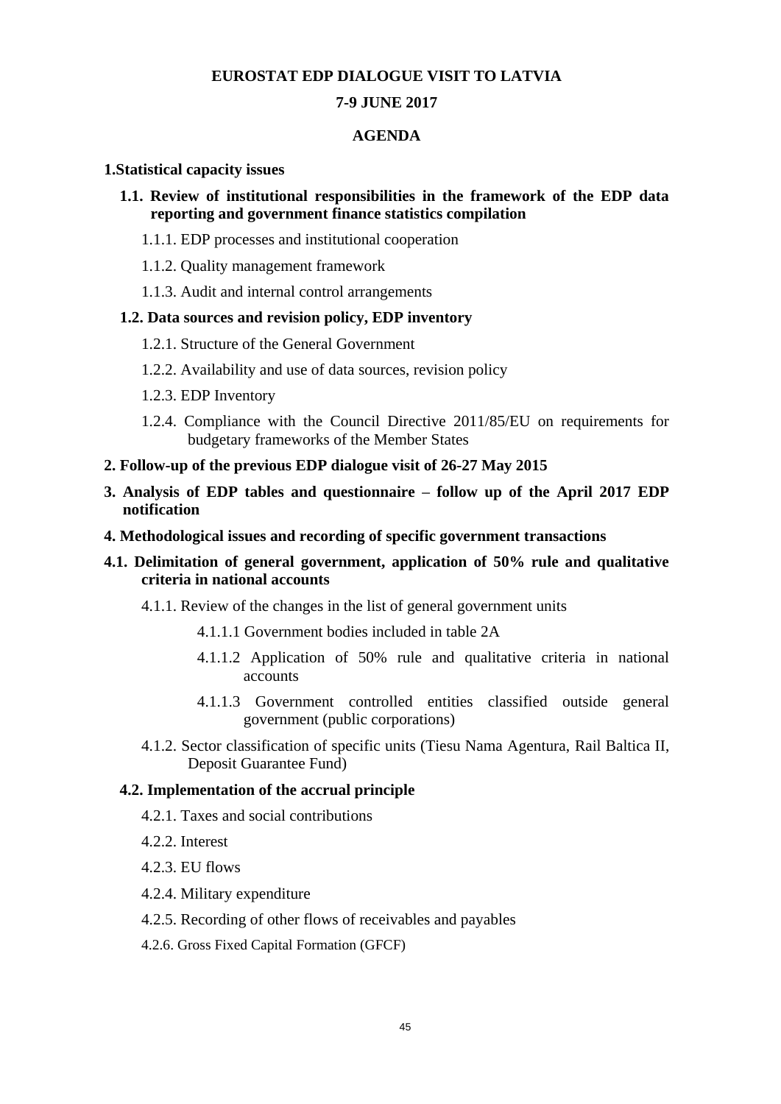#### **EUROSTAT EDP DIALOGUE VISIT TO LATVIA**

#### **7-9 JUNE 2017**

#### **AGENDA**

#### **1.Statistical capacity issues**

- **1.1. Review of institutional responsibilities in the framework of the EDP data reporting and government finance statistics compilation** 
	- 1.1.1. EDP processes and institutional cooperation
	- 1.1.2. Quality management framework
	- 1.1.3. Audit and internal control arrangements

#### **1.2. Data sources and revision policy, EDP inventory**

- 1.2.1. Structure of the General Government
- 1.2.2. Availability and use of data sources, revision policy
- 1.2.3. EDP Inventory
- 1.2.4. Compliance with the Council Directive 2011/85/EU on requirements for budgetary frameworks of the Member States
- **2. Follow-up of the previous EDP dialogue visit of 26-27 May 2015**
- **3. Analysis of EDP tables and questionnaire – follow up of the April 2017 EDP notification**
- **4. Methodological issues and recording of specific government transactions**

#### **4.1. Delimitation of general government, application of 50% rule and qualitative criteria in national accounts**

- 4.1.1. Review of the changes in the list of general government units
	- 4.1.1.1 Government bodies included in table 2A
	- 4.1.1.2 Application of 50% rule and qualitative criteria in national accounts
	- 4.1.1.3 Government controlled entities classified outside general government (public corporations)
- 4.1.2. Sector classification of specific units (Tiesu Nama Agentura, Rail Baltica II, Deposit Guarantee Fund)

#### **4.2. Implementation of the accrual principle**

- 4.2.1. Taxes and social contributions
- 4.2.2. Interest
- 4.2.3. EU flows
- 4.2.4. Military expenditure
- 4.2.5. Recording of other flows of receivables and payables
- 4.2.6. Gross Fixed Capital Formation (GFCF)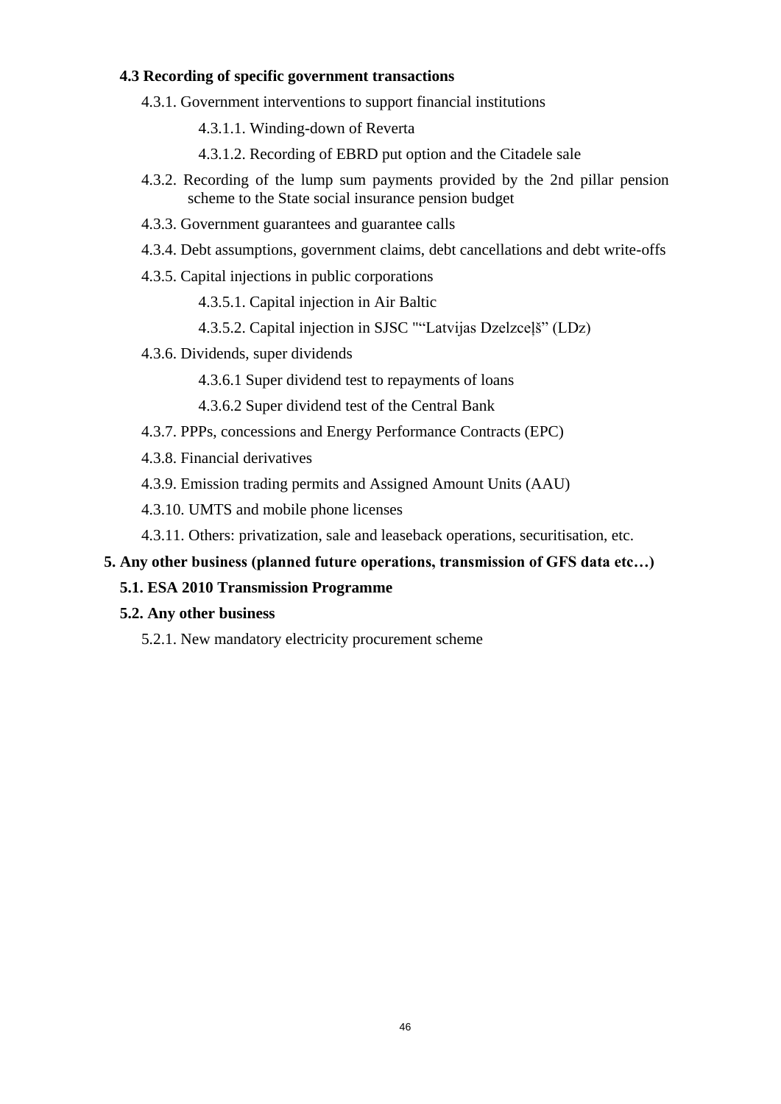#### **4.3 Recording of specific government transactions**

- 4.3.1. Government interventions to support financial institutions
	- 4.3.1.1. Winding-down of Reverta
	- 4.3.1.2. Recording of EBRD put option and the Citadele sale
- 4.3.2. Recording of the lump sum payments provided by the 2nd pillar pension scheme to the State social insurance pension budget
- 4.3.3. Government guarantees and guarantee calls
- 4.3.4. Debt assumptions, government claims, debt cancellations and debt write-offs
- 4.3.5. Capital injections in public corporations

4.3.5.1. Capital injection in Air Baltic

- 4.3.5.2. Capital injection in SJSC ""Latvijas Dzelzceļš" (LDz)
- 4.3.6. Dividends, super dividends
	- 4.3.6.1 Super dividend test to repayments of loans
	- 4.3.6.2 Super dividend test of the Central Bank
- 4.3.7. PPPs, concessions and Energy Performance Contracts (EPC)
- 4.3.8. Financial derivatives
- 4.3.9. Emission trading permits and Assigned Amount Units (AAU)
- 4.3.10. UMTS and mobile phone licenses
- 4.3.11. Others: privatization, sale and leaseback operations, securitisation, etc.

#### **5. Any other business (planned future operations, transmission of GFS data etc…)**

#### **5.1. ESA 2010 Transmission Programme**

#### **5.2. Any other business**

5.2.1. New mandatory electricity procurement scheme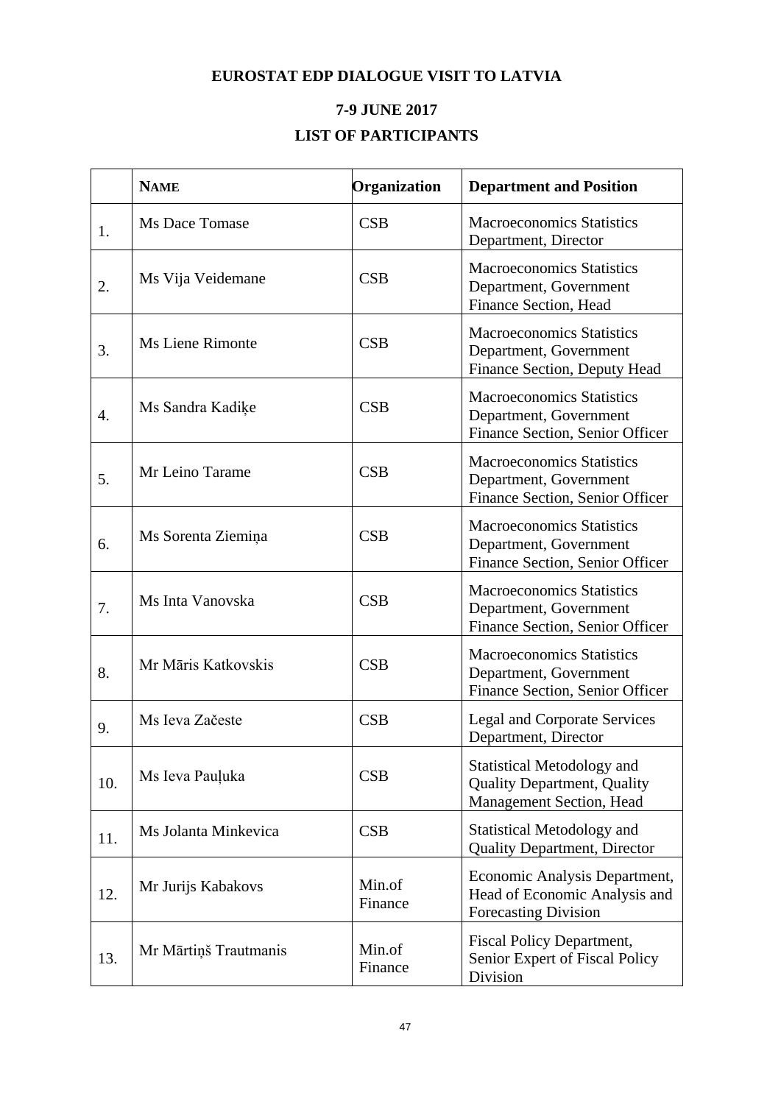# **EUROSTAT EDP DIALOGUE VISIT TO LATVIA**

# **7-9 JUNE 2017 LIST OF PARTICIPANTS**

|     | <b>NAME</b>           | Organization      | <b>Department and Position</b>                                                                      |
|-----|-----------------------|-------------------|-----------------------------------------------------------------------------------------------------|
| 1.  | Ms Dace Tomase        | CSB               | <b>Macroeconomics Statistics</b><br>Department, Director                                            |
| 2.  | Ms Vija Veidemane     | CSB               | <b>Macroeconomics Statistics</b><br>Department, Government<br>Finance Section, Head                 |
| 3.  | Ms Liene Rimonte      | CSB               | <b>Macroeconomics Statistics</b><br>Department, Government<br>Finance Section, Deputy Head          |
| 4.  | Ms Sandra Kadike      | CSB               | <b>Macroeconomics Statistics</b><br>Department, Government<br>Finance Section, Senior Officer       |
| 5.  | Mr Leino Tarame       | CSB               | <b>Macroeconomics Statistics</b><br>Department, Government<br>Finance Section, Senior Officer       |
| 6.  | Ms Sorenta Ziemiņa    | CSB               | <b>Macroeconomics Statistics</b><br>Department, Government<br>Finance Section, Senior Officer       |
| 7.  | Ms Inta Vanovska      | CSB               | <b>Macroeconomics Statistics</b><br>Department, Government<br>Finance Section, Senior Officer       |
| 8.  | Mr Māris Katkovskis   | CSB               | <b>Macroeconomics Statistics</b><br>Department, Government<br>Finance Section, Senior Officer       |
| 9.  | Ms Ieva Začeste       | CSB               | <b>Legal and Corporate Services</b><br>Department, Director                                         |
| 10. | Ms Ieva Pauļuka       | CSB               | <b>Statistical Metodology and</b><br><b>Quality Department, Quality</b><br>Management Section, Head |
| 11. | Ms Jolanta Minkevica  | CSB               | Statistical Metodology and<br><b>Quality Department, Director</b>                                   |
| 12. | Mr Jurijs Kabakovs    | Min.of<br>Finance | Economic Analysis Department,<br>Head of Economic Analysis and<br><b>Forecasting Division</b>       |
| 13. | Mr Mārtiņš Trautmanis | Min.of<br>Finance | <b>Fiscal Policy Department,</b><br>Senior Expert of Fiscal Policy<br>Division                      |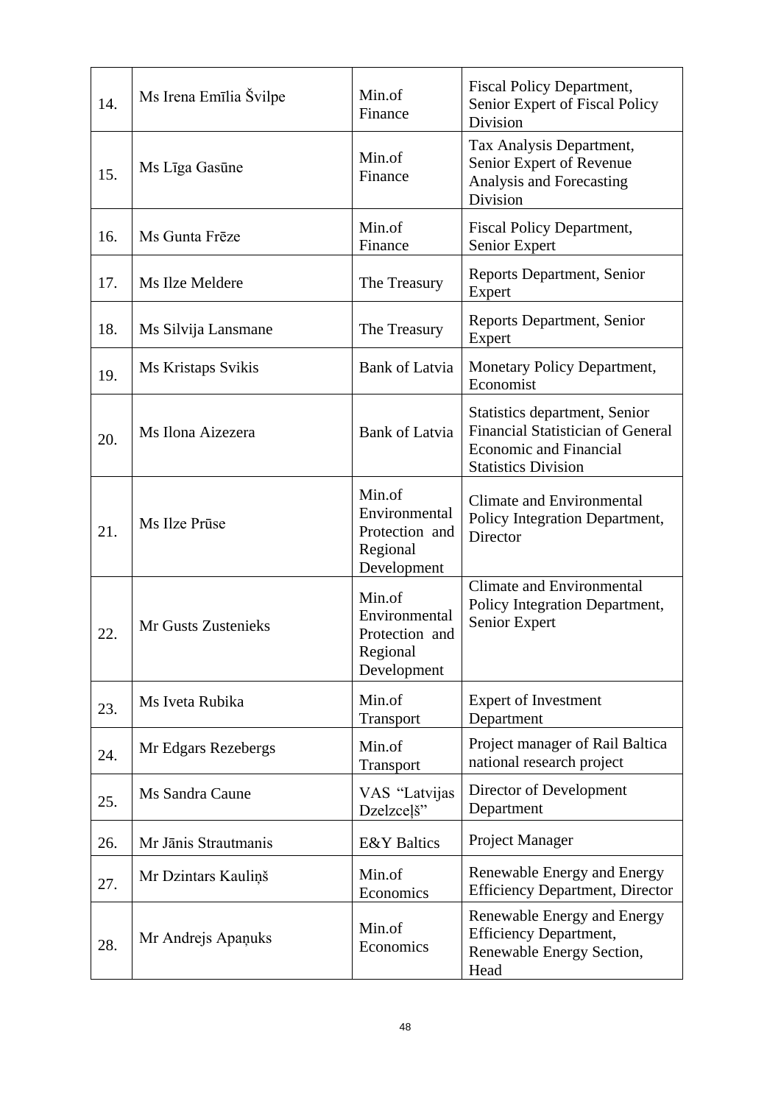| 14. | Ms Irena Emīlia Švilpe | Min.of<br>Finance                                                    | <b>Fiscal Policy Department,</b><br>Senior Expert of Fiscal Policy<br>Division                                                           |
|-----|------------------------|----------------------------------------------------------------------|------------------------------------------------------------------------------------------------------------------------------------------|
| 15. | Ms Līga Gasūne         | Min.of<br>Finance                                                    | Tax Analysis Department,<br>Senior Expert of Revenue<br>Analysis and Forecasting<br>Division                                             |
| 16. | Ms Gunta Frēze         | Min.of<br>Finance                                                    | <b>Fiscal Policy Department,</b><br>Senior Expert                                                                                        |
| 17. | Ms Ilze Meldere        | The Treasury                                                         | Reports Department, Senior<br>Expert                                                                                                     |
| 18. | Ms Silvija Lansmane    | The Treasury                                                         | <b>Reports Department, Senior</b><br>Expert                                                                                              |
| 19. | Ms Kristaps Svikis     | <b>Bank of Latvia</b>                                                | Monetary Policy Department,<br>Economist                                                                                                 |
| 20. | Ms Ilona Aizezera      | <b>Bank of Latvia</b>                                                | Statistics department, Senior<br><b>Financial Statistician of General</b><br><b>Economic and Financial</b><br><b>Statistics Division</b> |
| 21. | Ms Ilze Prūse          | Min.of<br>Environmental<br>Protection and<br>Regional<br>Development | Climate and Environmental<br>Policy Integration Department,<br>Director                                                                  |
| 22. | Mr Gusts Zustenieks    | Min.of<br>Environmental<br>Protection and<br>Regional<br>Development | <b>Climate and Environmental</b><br>Policy Integration Department,<br>Senior Expert                                                      |
| 23. | Ms Iveta Rubika        | Min.of<br>Transport                                                  | <b>Expert of Investment</b><br>Department                                                                                                |
| 24. | Mr Edgars Rezebergs    | Min.of<br>Transport                                                  | Project manager of Rail Baltica<br>national research project                                                                             |
| 25. | Ms Sandra Caune        | VAS "Latvijas<br>Dzelzcelš"                                          | Director of Development<br>Department                                                                                                    |
| 26. | Mr Jānis Strautmanis   | <b>E&amp;Y</b> Baltics                                               | Project Manager                                                                                                                          |
| 27. | Mr Dzintars Kauliņš    | Min.of<br>Economics                                                  | Renewable Energy and Energy<br><b>Efficiency Department, Director</b>                                                                    |
| 28. | Mr Andrejs Apanuks     | Min.of<br>Economics                                                  | Renewable Energy and Energy<br><b>Efficiency Department,</b><br>Renewable Energy Section,<br>Head                                        |